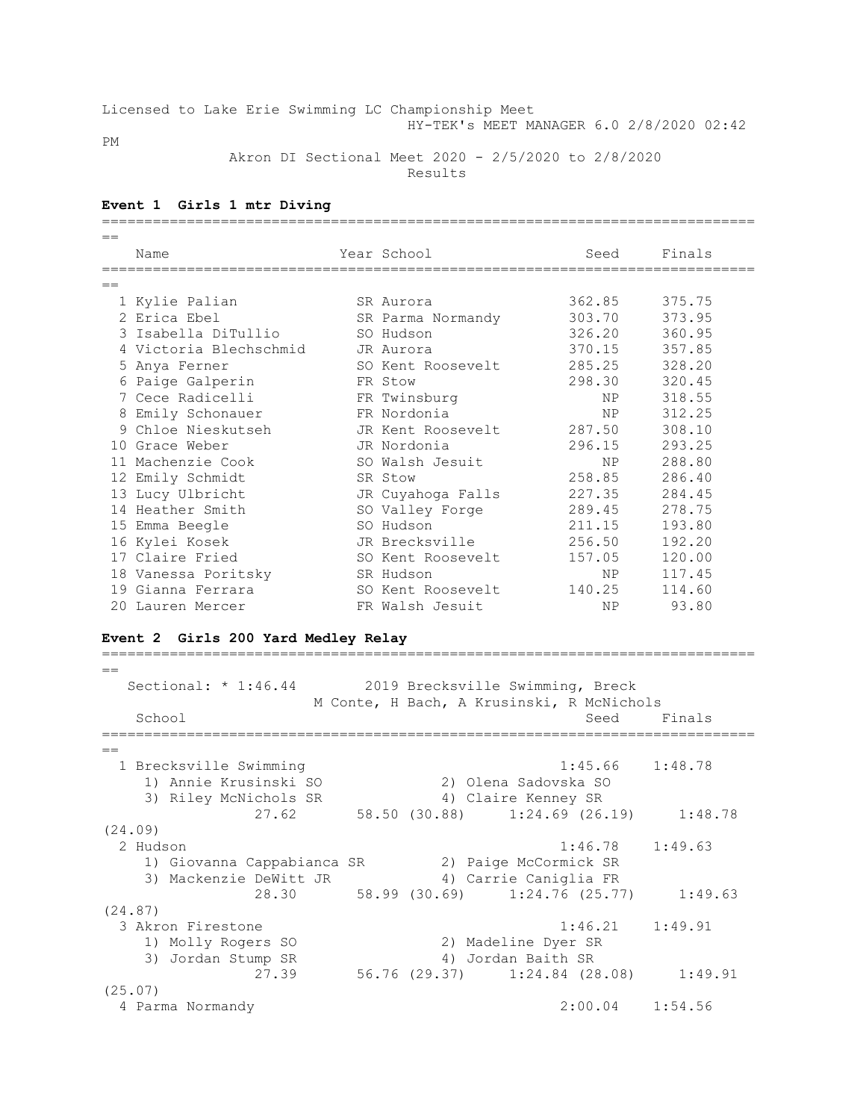## Licensed to Lake Erie Swimming LC Championship Meet HY-TEK's MEET MANAGER 6.0 2/8/2020 02:42

PM

 Akron DI Sectional Meet 2020 - 2/5/2020 to 2/8/2020 Results

## **Event 1 Girls 1 mtr Diving**

| $=$ |                        |  |                   |           |        |  |  |
|-----|------------------------|--|-------------------|-----------|--------|--|--|
|     | Name                   |  | Year School       | Seed      | Finals |  |  |
|     |                        |  |                   |           |        |  |  |
| $=$ |                        |  |                   |           |        |  |  |
|     | 1 Kylie Palian         |  | SR Aurora         | 362.85    | 375.75 |  |  |
|     | 2 Erica Ebel           |  | SR Parma Normandy | 303.70    | 373.95 |  |  |
|     | 3 Isabella DiTullio    |  | SO Hudson         | 326.20    | 360.95 |  |  |
|     | 4 Victoria Blechschmid |  | JR Aurora         | 370.15    | 357.85 |  |  |
|     | 5 Anya Ferner          |  | SO Kent Roosevelt | 285.25    | 328.20 |  |  |
|     | 6 Paige Galperin       |  | FR Stow           | 298.30    | 320.45 |  |  |
|     | 7 Cece Radicelli       |  | FR Twinsburg      | NP        | 318.55 |  |  |
|     | 8 Emily Schonauer      |  | FR Nordonia       | NP        | 312.25 |  |  |
|     | 9 Chloe Nieskutseh     |  | JR Kent Roosevelt | 287.50    | 308.10 |  |  |
|     | 10 Grace Weber         |  | JR Nordonia       | 296.15    | 293.25 |  |  |
|     | 11 Machenzie Cook      |  | SO Walsh Jesuit   | NP        | 288.80 |  |  |
|     | 12 Emily Schmidt       |  | SR Stow           | 258.85    | 286.40 |  |  |
|     | 13 Lucy Ulbricht       |  | JR Cuyahoga Falls | 227.35    | 284.45 |  |  |
|     | 14 Heather Smith       |  | SO Valley Forge   | 289.45    | 278.75 |  |  |
|     | 15 Emma Beegle         |  | SO Hudson         | 211.15    | 193.80 |  |  |
|     | 16 Kylei Kosek         |  | JR Brecksville    | 256.50    | 192.20 |  |  |
|     | 17 Claire Fried        |  | SO Kent Roosevelt | 157.05    | 120.00 |  |  |
|     | 18 Vanessa Poritsky    |  | SR Hudson         | NP.       | 117.45 |  |  |
|     | 19 Gianna Ferrara      |  | SO Kent Roosevelt | 140.25    | 114.60 |  |  |
|     | 20 Lauren Mercer       |  | FR Walsh Jesuit   | <b>NP</b> | 93.80  |  |  |

### **Event 2 Girls 200 Yard Medley Relay**

 $=$ Sectional: \* 1:46.44 2019 Brecksville Swimming, Breck M Conte, H Bach, A Krusinski, R McNichols School Seed Finals =============================================================================  $-$  1 Brecksville Swimming 1:45.66 1:48.78 1) Annie Krusinski SO 2) Olena Sadovska SO 3) Riley McNichols SR 4) Claire Kenney SR 27.62 58.50 (30.88) 1:24.69 (26.19) 1:48.78 (24.09) 2 Hudson 1:46.78 1:49.63 1) Giovanna Cappabianca SR 2) Paige McCormick SR 3) Mackenzie DeWitt JR 4) Carrie Caniglia FR 28.30 58.99 (30.69) 1:24.76 (25.77) 1:49.63 (24.87) 3 Akron Firestone 1:46.21 1:49.91 1) Molly Rogers SO 2) Madeline Dyer SR 3) Jordan Stump SR 4) Jordan Baith SR 27.39 56.76 (29.37) 1:24.84 (28.08) 1:49.91 (25.07) 4 Parma Normandy 2:00.04 1:54.56

=============================================================================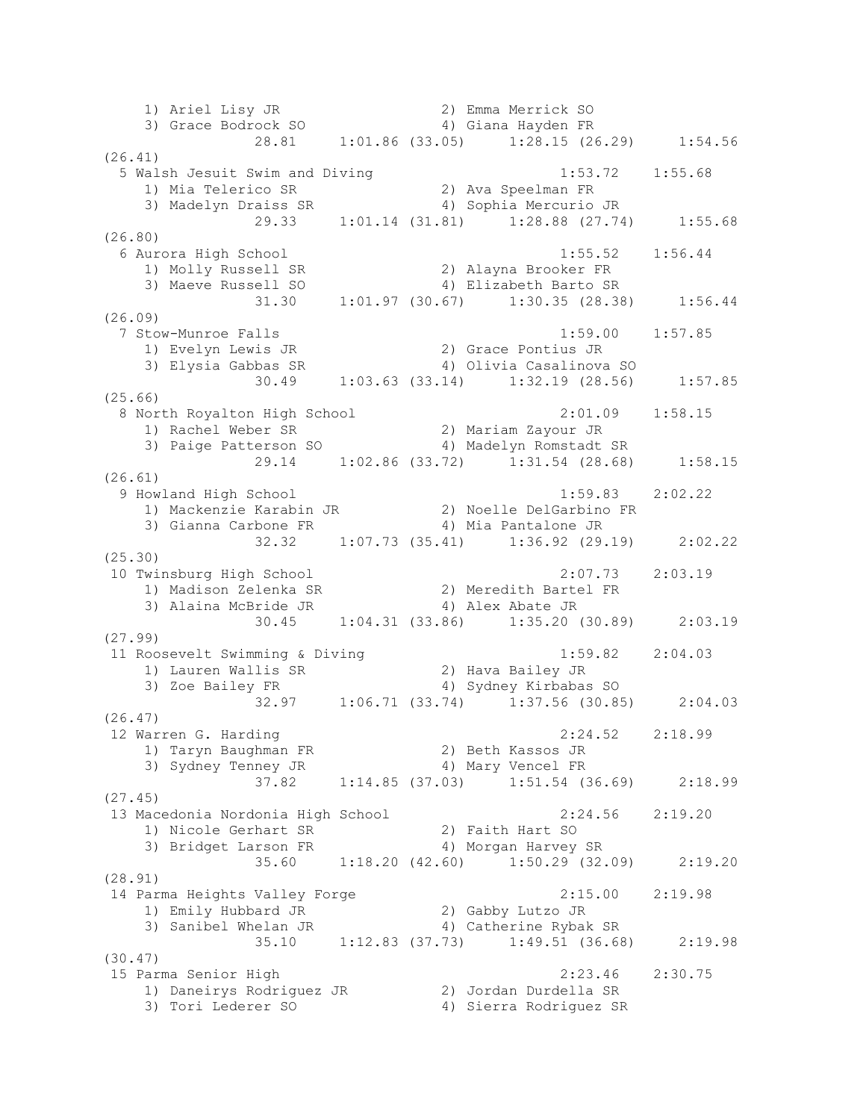1) Ariel Lisy JR 2) Emma Merrick SO 3) Grace Bodrock SO 4) Giana Hayden FR 28.81 1:01.86 (33.05) 1:28.15 (26.29) 1:54.56 (26.41) 5 Walsh Jesuit Swim and Diving 1:53.72 1:55.68 1) Mia Telerico SR 2) Ava Speelman FR 3) Madelyn Draiss SR 4) Sophia Mercurio JR 29.33 1:01.14 (31.81) 1:28.88 (27.74) 1:55.68 (26.80) 6 Aurora High School 1:55.52 1:56.44 1) Molly Russell SR 2) Alayna Brooker FR 3) Maeve Russell SO 4) Elizabeth Barto SR 31.30 1:01.97 (30.67) 1:30.35 (28.38) 1:56.44 (26.09) 7 Stow-Munroe Falls 1:59.00 1:57.85 1) Evelyn Lewis JR 2) Grace Pontius JR 3) Elysia Gabbas SR 4) Olivia Casalinova SO 30.49 1:03.63 (33.14) 1:32.19 (28.56) 1:57.85 (25.66) 8 North Royalton High School 2:01.09 1:58.15 1) Rachel Weber SR 2) Mariam Zayour JR 3) Paige Patterson SO 4) Madelyn Romstadt SR 29.14 1:02.86 (33.72) 1:31.54 (28.68) 1:58.15 (26.61) 9 Howland High School 1:59.83 2:02.22 1) Mackenzie Karabin JR 2) Noelle DelGarbino FR 3) Gianna Carbone FR 4) Mia Pantalone JR 32.32 1:07.73 (35.41) 1:36.92 (29.19) 2:02.22 (25.30) 10 Twinsburg High School 2:07.73 2:03.19 1) Madison Zelenka SR 2) Meredith Bartel FR 3) Alaina McBride JR 4) Alex Abate JR 30.45 1:04.31 (33.86) 1:35.20 (30.89) 2:03.19 (27.99) 11 Roosevelt Swimming & Diving 1:59.82 2:04.03 1) Lauren Wallis SR 2) Hava Bailey JR 3) Zoe Bailey FR 4) Sydney Kirbabas SO 32.97 1:06.71 (33.74) 1:37.56 (30.85) 2:04.03 (26.47) 12 Warren G. Harding 2:24.52 2:18.99 1) Taryn Baughman FR 2) Beth Kassos JR 3) Sydney Tenney JR 4) Mary Vencel FR 37.82 1:14.85 (37.03) 1:51.54 (36.69) 2:18.99 (27.45) 13 Macedonia Nordonia High School 2:24.56 2:19.20 1) Nicole Gerhart SR 2) Faith Hart SO 3) Bridget Larson FR 4) Morgan Harvey SR 35.60 1:18.20 (42.60) 1:50.29 (32.09) 2:19.20 (28.91) 14 Parma Heights Valley Forge 2:15.00 2:19.98 1) Emily Hubbard JR 2) Gabby Lutzo JR 3) Sanibel Whelan JR 4) Catherine Rybak SR 35.10 1:12.83 (37.73) 1:49.51 (36.68) 2:19.98 (30.47) 15 Parma Senior High 2:23.46 2:30.75 1) Daneirys Rodriguez JR 2) Jordan Durdella SR 3) Tori Lederer SO 4) Sierra Rodriguez SR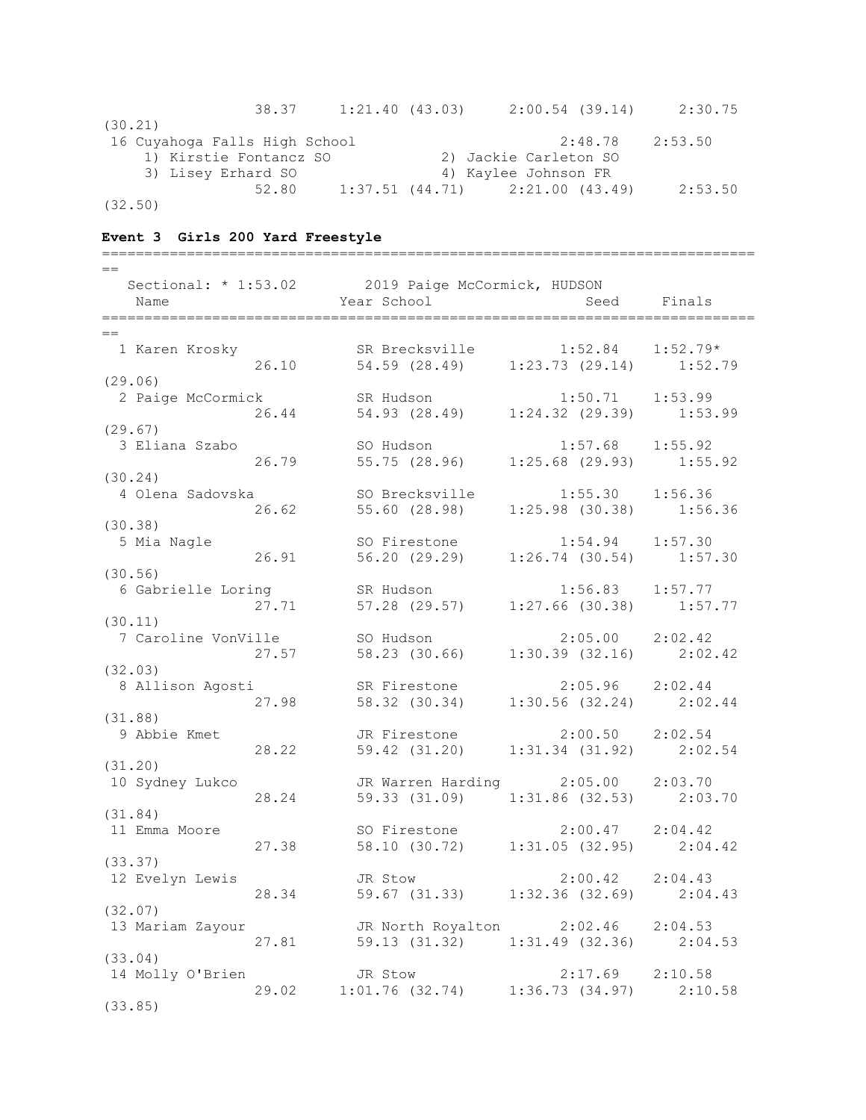|         | 38.37                         | 1:21.40(43.03) | $2:00.54$ (39.14)                       | 2:30.75 |
|---------|-------------------------------|----------------|-----------------------------------------|---------|
| (30.21) |                               |                |                                         |         |
|         | 16 Cuyahoga Falls High School |                | 2:48.78                                 | 2:53.50 |
|         | 1) Kirstie Fontancz SO        |                | 2) Jackie Carleton SO                   |         |
|         | 3) Lisey Erhard SO            |                | 4) Kaylee Johnson FR                    |         |
|         | 52.80                         |                | $1:37.51$ $(44.71)$ $2:21.00$ $(43.49)$ | 2:53.50 |
| (32.50) |                               |                |                                         |         |

### **Event 3 Girls 200 Yard Freestyle**

============================================================================= == Sectional: \* 1:53.02 2019 Paige McCormick, HUDSON Name Seed Finals (Name Seed Finals ============================================================================= == 1 Karen Krosky SR Brecksville 1:52.84 1:52.79\* 26.10 54.59 (28.49) 1:23.73 (29.14) 1:52.79 (29.06) 2 Paige McCormick SR Hudson 1:50.71 1:53.99 26.44 54.93 (28.49) 1:24.32 (29.39) 1:53.99 (29.67) 3 Eliana Szabo SO Hudson 1:57.68 1:55.92 26.79 55.75 (28.96) 1:25.68 (29.93) 1:55.92 (30.24) 4 Olena Sadovska SO Brecksville 1:55.30 1:56.36 26.62 55.60 (28.98) 1:25.98 (30.38) 1:56.36 (30.38) 5 Mia Nagle SO Firestone 1:54.94 1:57.30 26.91 56.20 (29.29) 1:26.74 (30.54) 1:57.30 (30.56) 6 Gabrielle Loring SR Hudson 1:56.83 1:57.77 27.71 57.28 (29.57) 1:27.66 (30.38) 1:57.77 (30.11) 7 Caroline VonVille SO Hudson 2:05.00 2:02.42<br>27.57 58.23 (30.66) 1:30 20 10 1:30 27.57 58.23 (30.66) 1:30.39 (32.16) 2:02.42 (32.03) 8 Allison Agosti SR Firestone 2:05.96 2:02.44 27.98 58.32 (30.34) 1:30.56 (32.24) 2:02.44 (31.88) 9 Abbie Kmet JR Firestone 2:00.50 2:02.54 28.22 59.42 (31.20) 1:31.34 (31.92) 2:02.54 (31.20) 10 Sydney Lukco JR Warren Harding 2:05.00 2:03.70 28.24 59.33 (31.09) 1:31.86 (32.53) 2:03.70 (31.84) 11 Emma Moore SO Firestone 2:00.47 2:04.42 27.38 58.10 (30.72) 1:31.05 (32.95) 2:04.42 (33.37) 12 Evelyn Lewis JR Stow 2:00.42 2:04.43<br>28.34 59.67 (31.33) 1:32.36 (32.69) 2:04 28.34 59.67 (31.33) 1:32.36 (32.69) 2:04.43 (32.07)<br>13 Mariam Zayour JR North Royalton 2:02.46 2:04.53 27.81 59.13 (31.32) 1:31.49 (32.36) 2:04.53 (33.04) 14 Molly O'Brien JR Stow 2:17.69 2:10.58 29.02 1:01.76 (32.74) 1:36.73 (34.97) 2:10.58 (33.85)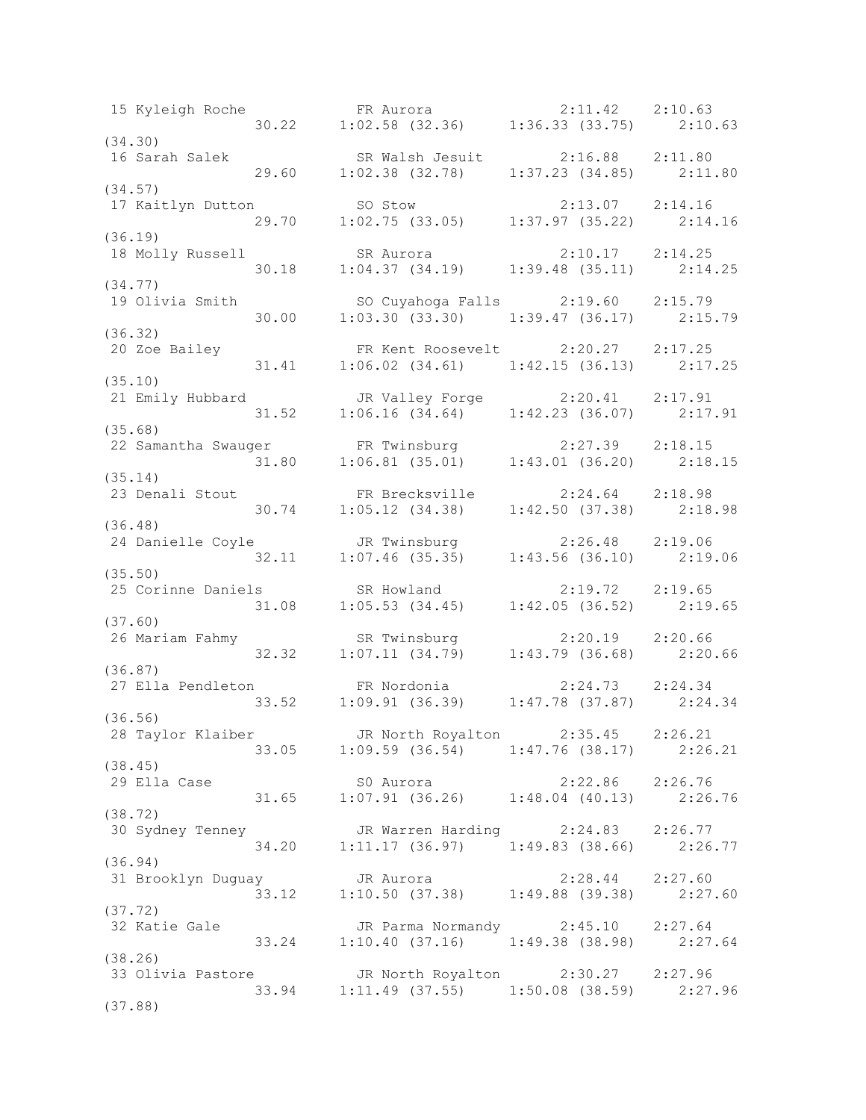15 Kyleigh Roche FR Aurora 2:11.42 2:10.63 30.22 1:02.58 (32.36) 1:36.33 (33.75) 2:10.63 (34.30) 16 Sarah Salek SR Walsh Jesuit 2:16.88 2:11.80 29.60 1:02.38 (32.78) 1:37.23 (34.85) 2:11.80 (34.57) 17 Kaitlyn Dutton SO Stow 2:13.07 2:14.16 29.70 1:02.75 (33.05) 1:37.97 (35.22) 2:14.16 (36.19) 18 Molly Russell SR Aurora 2:10.17 2:14.25 30.18 1:04.37 (34.19) 1:39.48 (35.11) 2:14.25 (34.77) 19 Olivia Smith SO Cuyahoga Falls 2:19.60 2:15.79 30.00 1:03.30 (33.30) 1:39.47 (36.17) 2:15.79 (36.32) 20 Zoe Bailey **FR** Kent Roosevelt 2:20.27 2:17.25 31.41 1:06.02 (34.61) 1:42.15 (36.13) 2:17.25 (35.10) 21 Emily Hubbard JR Valley Forge 2:20.41 2:17.91 31.52 1:06.16 (34.64) 1:42.23 (36.07) 2:17.91 (35.68) 22 Samantha Swauger FR Twinsburg 2:27.39 2:18.15 31.80 1:06.81 (35.01) 1:43.01 (36.20) 2:18.15 (35.14) 23 Denali Stout FR Brecksville 2:24.64 2:18.98 30.74 1:05.12 (34.38) 1:42.50 (37.38) 2:18.98 (36.48) 24 Danielle Coyle JR Twinsburg 2:26.48 2:19.06 32.11 1:07.46 (35.35) 1:43.56 (36.10) 2:19.06 (35.50) 25 Corinne Daniels SR Howland 2:19.72 2:19.65 31.08 1:05.53 (34.45) 1:42.05 (36.52) 2:19.65 (37.60) 26 Mariam Fahmy SR Twinsburg 2:20.19 2:20.66 32.32 1:07.11 (34.79) 1:43.79 (36.68) 2:20.66 (36.87) 27 Ella Pendleton FR Nordonia 2:24.73 2:24.34 33.52 1:09.91 (36.39) 1:47.78 (37.87) 2:24.34 (36.56) 28 Taylor Klaiber JR North Royalton 2:35.45 2:26.21 33.05 1:09.59 (36.54) 1:47.76 (38.17) 2:26.21 (38.45) 29 Ella Case S0 Aurora 2:22.86 2:26.76 31.65 1:07.91 (36.26) 1:48.04 (40.13) 2:26.76 (38.72) 30 Sydney Tenney JR Warren Harding 2:24.83 2:26.77 34.20 1:11.17 (36.97) 1:49.83 (38.66) 2:26.77 (36.94) 31 Brooklyn Duguay JR Aurora 2:28.44 2:27.60 33.12 1:10.50 (37.38) 1:49.88 (39.38) 2:27.60 (37.72) 32 Katie Gale JR Parma Normandy 2:45.10 2:27.64 33.24 1:10.40 (37.16) 1:49.38 (38.98) 2:27.64 (38.26) 33 Olivia Pastore JR North Royalton 2:30.27 2:27.96 33.94 1:11.49 (37.55) 1:50.08 (38.59) 2:27.96 (37.88)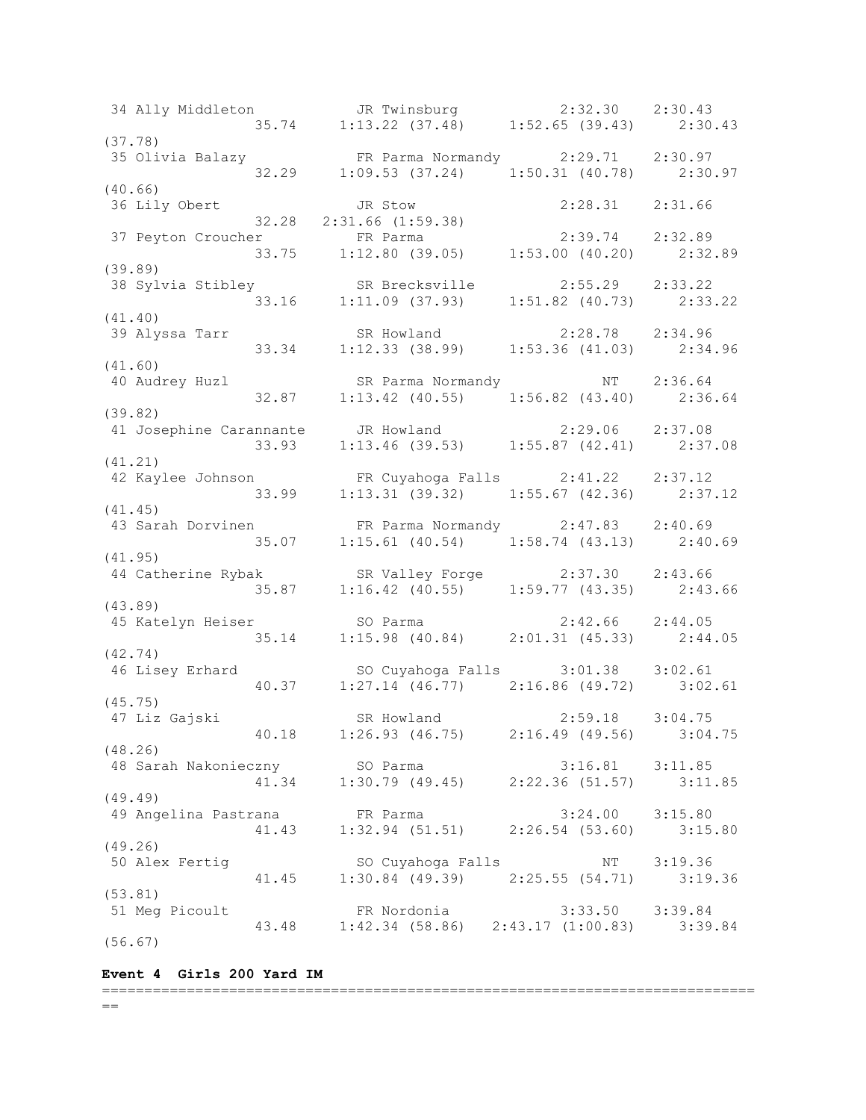34 Ally Middleton JR Twinsburg 2:32.30 2:30.43 35.74 1:13.22 (37.48) 1:52.65 (39.43) 2:30.43 (37.78) 35 Olivia Balazy FR Parma Normandy 2:29.71 2:30.97 32.29 1:09.53 (37.24) 1:50.31 (40.78) 2:30.97 (40.66) 36 Lily Obert JR Stow 2:28.31 2:31.66 32.28 2:31.66 (1:59.38) 37 Peyton Croucher FR Parma 2:39.74 2:32.89 33.75 1:12.80 (39.05) 1:53.00 (40.20) 2:32.89 (39.89) 38 Sylvia Stibley SR Brecksville 2:55.29 2:33.22 33.16 1:11.09 (37.93) 1:51.82 (40.73) 2:33.22 (41.40) 39 Alyssa Tarr SR Howland 2:28.78 2:34.96 33.34 1:12.33 (38.99) 1:53.36 (41.03) 2:34.96 (41.60) 40 Audrey Huzl SR Parma Normandy NT 2:36.64 32.87 1:13.42 (40.55) 1:56.82 (43.40) 2:36.64 (39.82) 41 Josephine Carannante JR Howland 2:29.06 2:37.08 33.93 1:13.46 (39.53) 1:55.87 (42.41) 2:37.08 (41.21) 42 Kaylee Johnson FR Cuyahoga Falls 2:41.22 2:37.12 33.99 1:13.31 (39.32) 1:55.67 (42.36) 2:37.12 (41.45) 43 Sarah Dorvinen FR Parma Normandy 2:47.83 2:40.69 35.07 1:15.61 (40.54) 1:58.74 (43.13) 2:40.69 (41.95) 44 Catherine Rybak SR Valley Forge 2:37.30 2:43.66 35.87 1:16.42 (40.55) 1:59.77 (43.35) 2:43.66 (43.89) 45 Katelyn Heiser SO Parma 2:42.66 2:44.05 35.14 1:15.98 (40.84) 2:01.31 (45.33) 2:44.05 (42.74) 46 Lisey Erhard SO Cuyahoga Falls 3:01.38 3:02.61 40.37 1:27.14 (46.77) 2:16.86 (49.72) 3:02.61 (45.75)<br>47 Liz Gajski 47 Liz Gajski SR Howland 2:59.18 3:04.75 40.18 1:26.93 (46.75) 2:16.49 (49.56) 3:04.75 (48.26) 48 Sarah Nakonieczny SO Parma 3:16.81 3:11.85 41.34 1:30.79 (49.45) 2:22.36 (51.57) 3:11.85 (49.49) 49 Angelina Pastrana FR Parma 3:24.00 3:15.80 41.43 1:32.94 (51.51) 2:26.54 (53.60) 3:15.80 (49.26) 50 Alex Fertig SO Cuyahoga Falls NT 3:19.36 41.45 1:30.84 (49.39) 2:25.55 (54.71) 3:19.36 (53.81) 51 Meg Picoult FR Nordonia 3:33.50 3:39.84 43.48 1:42.34 (58.86) 2:43.17 (1:00.83) 3:39.84 (56.67)

**Event 4 Girls 200 Yard IM**

#### =============================================================================  $=$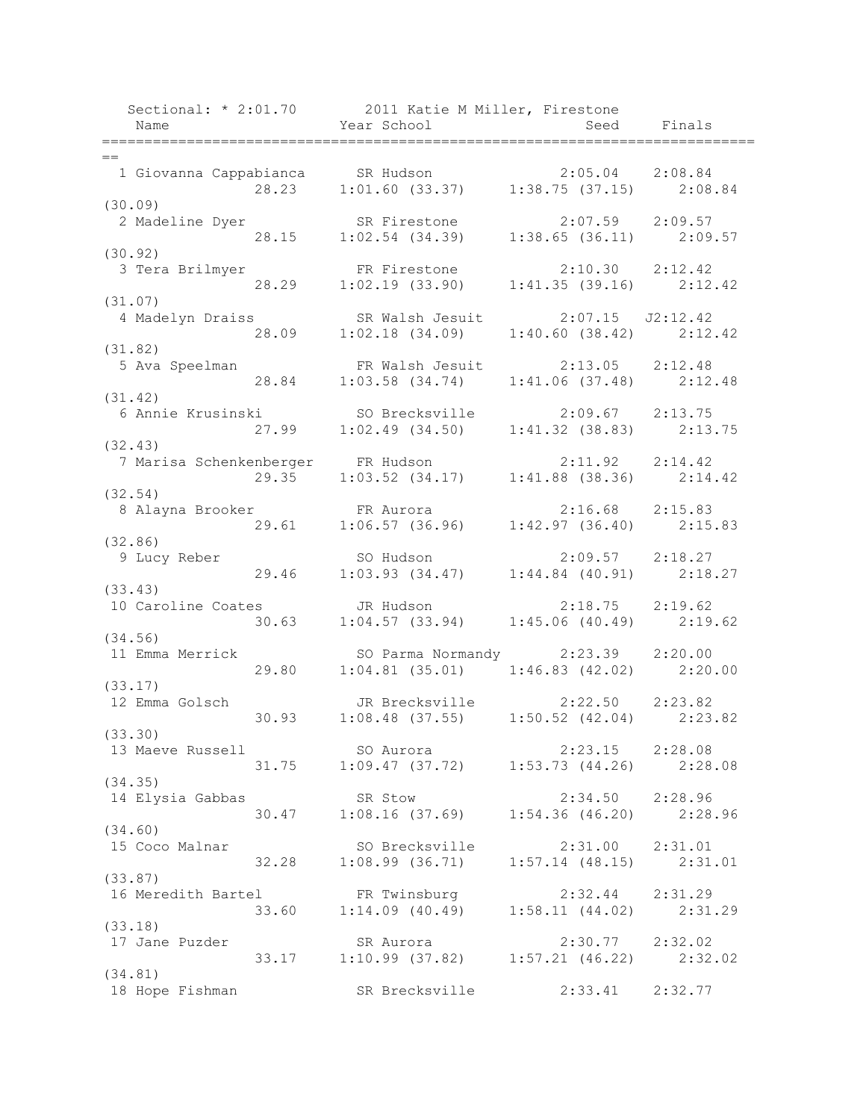| Name                          |       | Sectional: * 2:01.70 2011 Katie M Miller, Firestone<br>Year School      | Seed                        | Finals |
|-------------------------------|-------|-------------------------------------------------------------------------|-----------------------------|--------|
|                               |       |                                                                         |                             |        |
| $=$<br>1 Giovanna Cappabianca |       | SR Hudson 2:05.04 2:08.84<br>1:01.60 (33.37) 1:38.75 (37.15) 2:08.84    |                             |        |
| (30.09)                       | 28.23 |                                                                         |                             |        |
| 2 Madeline Dyer               |       | SR Firestone 2:07.59 2:09.57                                            |                             |        |
|                               | 28.15 | $1:02.54$ (34.39) $1:38.65$ (36.11) $2:09.57$                           |                             |        |
| (30.92)                       |       |                                                                         |                             |        |
| 3 Tera Brilmyer               |       |                                                                         |                             |        |
|                               | 28.29 | FR Firestone 2:10.30 2:12.42<br>1:02.19 (33.90) 1:41.35 (39.16) 2:12.42 |                             |        |
| (31.07)                       |       |                                                                         |                             |        |
| 4 Madelyn Draiss              |       | SR Walsh Jesuit                                                         | $2:07.15$ $J2:12.42$        |        |
|                               | 28.09 | $1:02.18$ $(34.09)$                                                     | $1:40.60$ (38.42) $2:12.42$ |        |
| (31.82)                       |       |                                                                         |                             |        |
| 5 Ava Speelman                |       | FR Walsh Jesuit                                                         | $2:13.05$ $2:12.48$         |        |
|                               | 28.84 | $1:03.58$ $(34.74)$                                                     | $1:41.06$ (37.48) $2:12.48$ |        |
| (31.42)                       |       |                                                                         |                             |        |
| 6 Annie Krusinski             |       | SO Brecksville 2:09.67 2:13.75                                          |                             |        |
|                               | 27.99 | $1:02.49$ (34.50) $1:41.32$ (38.83) $2:13.75$                           |                             |        |
| (32.43)                       |       |                                                                         |                             |        |
|                               |       | 7 Marisa Schenkenberger FR Hudson 2:11.92 2:14.42                       |                             |        |
|                               | 29.35 | $1:03.52$ (34.17) $1:41.88$ (38.36) $2:14.42$                           |                             |        |
| (32.54)                       |       |                                                                         |                             |        |
| 8 Alayna Brooker              |       |                                                                         |                             |        |
|                               | 29.61 | $1:06.57$ (36.96) $1:42.97$ (36.40) $2:15.83$                           |                             |        |
| (32.86)                       |       |                                                                         |                             |        |
| 9 Lucy Reber                  |       | SO Hudson<br>1:03.93 (34.47)<br>1:44.84 (40.91)<br>2:18.27<br>SO Hudson |                             |        |
|                               | 29.46 |                                                                         |                             |        |
| (33.43)                       |       |                                                                         |                             |        |
| 10 Caroline Coates            |       | JR Hudson                                                               | $2:18.75$ $2:19.62$         |        |
| (34.56)                       | 30.63 | 1:04.57(33.94)                                                          | $1:45.06$ (40.49) 2:19.62   |        |
| 11 Emma Merrick               |       | SO Parma Normandy 2:23.39 2:20.00                                       |                             |        |
|                               | 29.80 | $1:04.81$ (35.01) $1:46.83$ (42.02) $2:20.00$                           |                             |        |
| (33.17)                       |       |                                                                         |                             |        |
| 12 Emma Golsch                |       | JR Brecksville 2:22.50 2:23.82                                          |                             |        |
|                               | 30.93 | $1:08.48$ (37.55) $1:50.52$ (42.04) $2:23.82$                           |                             |        |
| (33.30)                       |       |                                                                         |                             |        |
| 13 Maeve Russell              |       | SO Aurora                                                               | $2:23.15$ $2:28.08$         |        |
|                               |       | 31.75 1:09.47 (37.72) 1:53.73 (44.26) 2:28.08                           |                             |        |
| (34.35)                       |       |                                                                         |                             |        |
| 14 Elysia Gabbas              |       | SR Stow                                                                 | $2:34.50$ $2:28.96$         |        |
|                               |       | 30.47 1:08.16 (37.69) 1:54.36 (46.20) 2:28.96                           |                             |        |
| (34.60)                       |       |                                                                         |                             |        |
| 15 Coco Malnar                |       | SO Brecksville                                                          | $2:31.00$ $2:31.01$         |        |
|                               | 32.28 | $1:08.99$ (36.71) $1:57.14$ (48.15) $2:31.01$                           |                             |        |
| (33.87)                       |       |                                                                         |                             |        |
| 16 Meredith Bartel            |       | FR Twinsburg                                                            | 2:32.44 2:31.29             |        |
|                               |       | 33.60 1:14.09 (40.49) 1:58.11 (44.02) 2:31.29                           |                             |        |
| (33.18)                       |       |                                                                         |                             |        |
| 17 Jane Puzder                |       | SR Aurora                                                               | 2:30.77 2:32.02             |        |
|                               | 33.17 | $1:10.99$ (37.82) $1:57.21$ (46.22) $2:32.02$                           |                             |        |
| (34.81)                       |       |                                                                         |                             |        |
| 18 Hope Fishman               |       | SR Brecksville                                                          | 2:33.41 2:32.77             |        |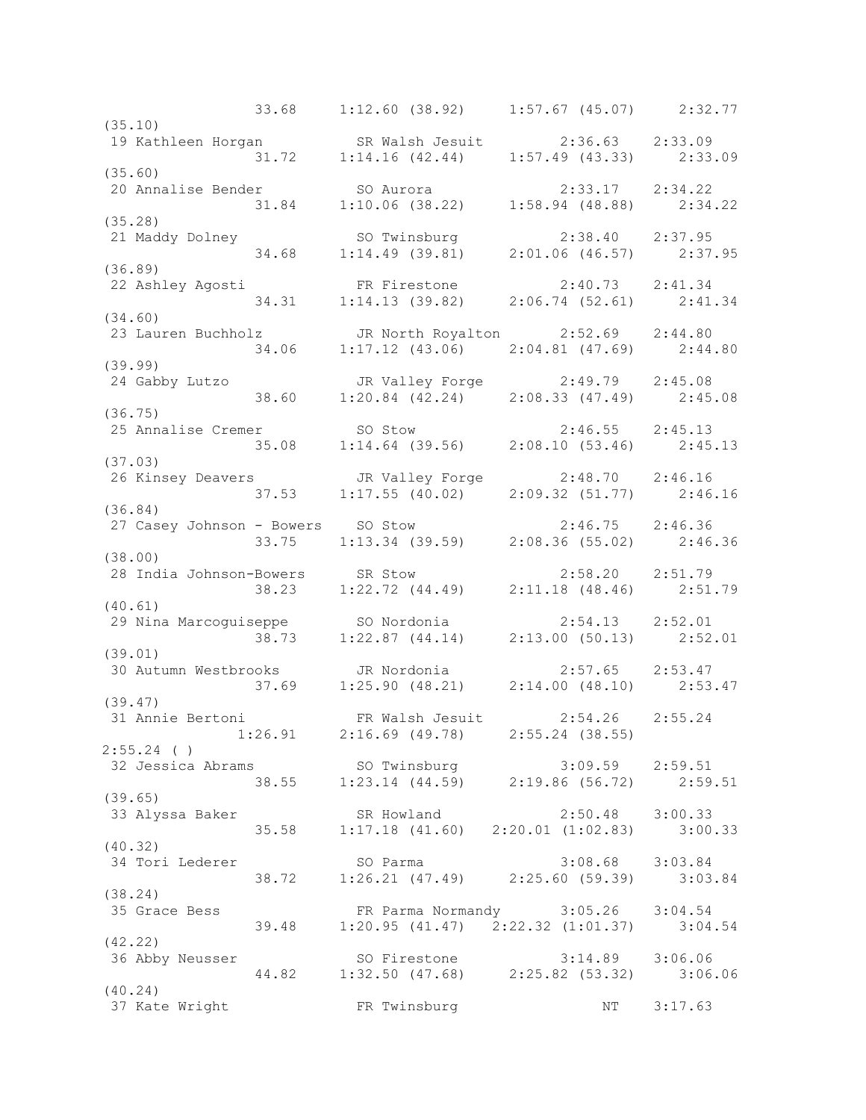33.68 1:12.60 (38.92) 1:57.67 (45.07) 2:32.77 (35.10) 19 Kathleen Horgan SR Walsh Jesuit 2:36.63 2:33.09 31.72 1:14.16 (42.44) 1:57.49 (43.33) 2:33.09 (35.60) 20 Annalise Bender SO Aurora 2:33.17 2:34.22 31.84 1:10.06 (38.22) 1:58.94 (48.88) 2:34.22 (35.28) 21 Maddy Dolney SO Twinsburg 2:38.40 2:37.95 34.68 1:14.49 (39.81) 2:01.06 (46.57) 2:37.95 (36.89) 22 Ashley Agosti FR Firestone 2:40.73 2:41.34 34.31 1:14.13 (39.82) 2:06.74 (52.61) 2:41.34 (34.60) 23 Lauren Buchholz JR North Royalton 2:52.69 2:44.80 34.06 1:17.12 (43.06) 2:04.81 (47.69) 2:44.80 (39.99) 24 Gabby Lutzo JR Valley Forge 2:49.79 2:45.08 38.60 1:20.84 (42.24) 2:08.33 (47.49) 2:45.08 (36.75) 25 Annalise Cremer SO Stow 2:46.55 2:45.13 35.08 1:14.64 (39.56) 2:08.10 (53.46) 2:45.13 (37.03) 26 Kinsey Deavers JR Valley Forge 2:48.70 2:46.16 37.53 1:17.55 (40.02) 2:09.32 (51.77) 2:46.16 (36.84) 27 Casey Johnson - Bowers SO Stow 2:46.75 2:46.36 33.75 1:13.34 (39.59) 2:08.36 (55.02) 2:46.36 (38.00) 28 India Johnson-Bowers SR Stow 2:58.20 2:51.79 38.23 1:22.72 (44.49) 2:11.18 (48.46) 2:51.79 (40.61) 29 Nina Marcoguiseppe SO Nordonia 2:54.13 2:52.01 38.73 1:22.87 (44.14) 2:13.00 (50.13) 2:52.01 (39.01) 30 Autumn Westbrooks JR Nordonia 2:57.65 2:53.47 37.69 1:25.90 (48.21) 2:14.00 (48.10) 2:53.47 (39.47) 31 Annie Bertoni FR Walsh Jesuit 2:54.26 2:55.24 1:26.91 2:16.69 (49.78) 2:55.24 (38.55) 2:55.24 ( ) 32 Jessica Abrams SO Twinsburg 3:09.59 2:59.51 38.55 1:23.14 (44.59) 2:19.86 (56.72) 2:59.51 (39.65) 33 Alyssa Baker SR Howland 2:50.48 3:00.33 35.58 1:17.18 (41.60) 2:20.01 (1:02.83) 3:00.33 (40.32) 34 Tori Lederer SO Parma 3:08.68 3:03.84 38.72 1:26.21 (47.49) 2:25.60 (59.39) 3:03.84 (38.24) 35 Grace Bess FR Parma Normandy 3:05.26 3:04.54 39.48 1:20.95 (41.47) 2:22.32 (1:01.37) 3:04.54 (42.22) 36 Abby Neusser SO Firestone 3:14.89 3:06.06 44.82 1:32.50 (47.68) 2:25.82 (53.32) 3:06.06 (40.24) 37 Kate Wright FR Twinsburg NT 3:17.63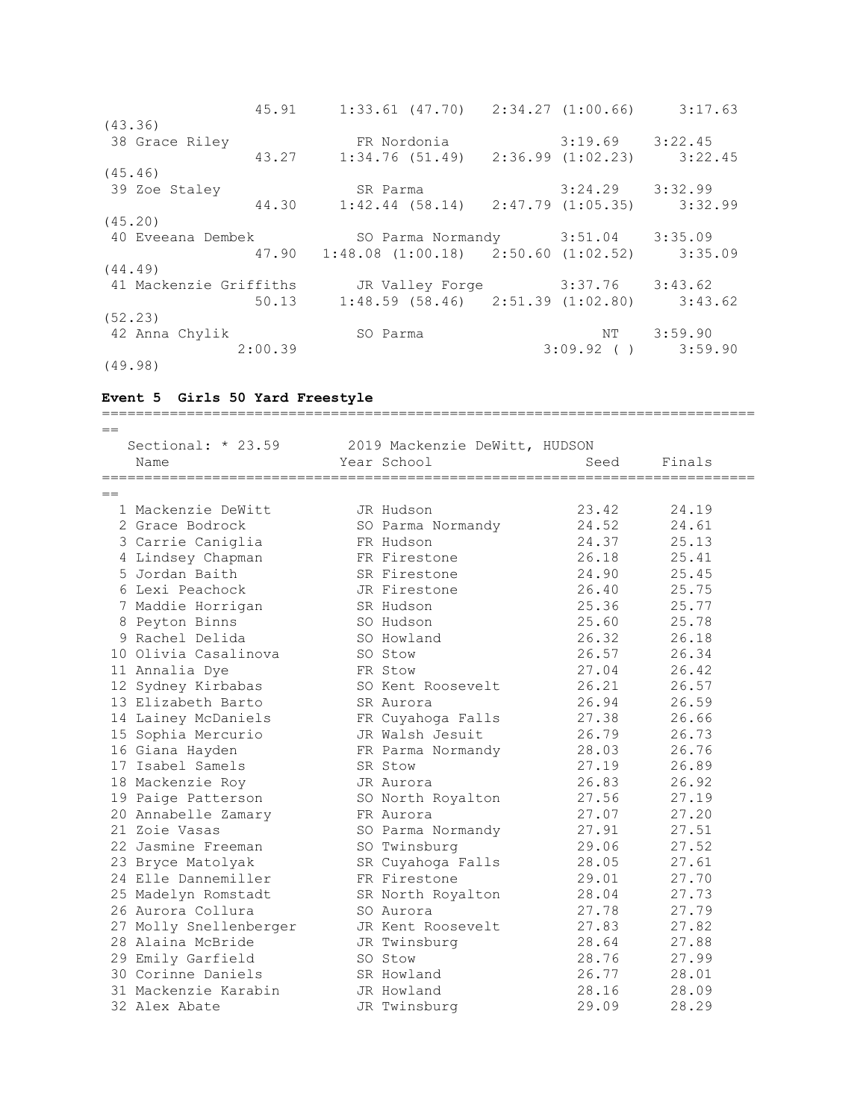| 45.91                  | $1:33.61$ (47.70) $2:34.27$ (1:00.66) $3:17.63$               |                     |                         |
|------------------------|---------------------------------------------------------------|---------------------|-------------------------|
| (43.36)                |                                                               |                     |                         |
| 38 Grace Riley         | FR Nordonia                                                   | $3:19.69$ $3:22.45$ |                         |
| 43.27                  | $1:34.76$ (51.49) $2:36.99$ (1:02.23) 3:22.45                 |                     |                         |
| (45.46)                |                                                               |                     |                         |
| 39 Zoe Staley          | SR Parma                                                      | 3:24.29             | 3:32.99                 |
| 44.30                  | $1:42.44$ (58.14) $2:47.79$ (1:05.35) 3:32.99                 |                     |                         |
| (45.20)                |                                                               |                     |                         |
| 40 Eveeana Dembek      | SO Parma Normandy 3:51.04 3:35.09                             |                     |                         |
|                        | $47.90 \t1:48.08 \t(1:00.18) \t2:50.60 \t(1:02.52) \t3:35.09$ |                     |                         |
| (44.49)                |                                                               |                     |                         |
| 41 Mackenzie Griffiths | JR Valley Forge 3:37.76                                       |                     | 3:43.62                 |
| 50.13                  | $1:48.59$ (58.46) $2:51.39$ (1:02.80) $3:43.62$               |                     |                         |
| (52, 23)               |                                                               |                     |                         |
| 42 Anna Chylik         | SO Parma                                                      | NT                  | 3:59.90                 |
| 2:00.39                |                                                               |                     | $3:09.92$ ( ) $3:59.90$ |
| (49.98)                |                                                               |                     |                         |

### **Event 5 Girls 50 Yard Freestyle**

============================================================================= == Sectional: \* 23.59 2019 Mackenzie DeWitt, HUDSON Name Seed Finals (Name Seed Finals ============================================================================= == 1 Mackenzie DeWitt JR Hudson 23.42 24.19 2 Grace Bodrock SO Parma Normandy 24.52 24.61 3 Carrie Caniglia FR Hudson 24.37 25.13 4 Lindsey Chapman FR Firestone 26.18 25.41 5 Jordan Baith SR Firestone 24.90 25.45 6 Lexi Peachock JR Firestone 26.40 25.75 7 Maddie Horrigan SR Hudson 25.36 25.77 8 Peyton Binns SO Hudson 25.60 25.78 9 Rachel Delida SO Howland 26.32 26.18 10 Olivia Casalinova SO Stow 26.57 26.34 11 Annalia Dye FR Stow 27.04 26.42 12 Sydney Kirbabas SO Kent Roosevelt 26.21 26.57 13 Elizabeth Barto SR Aurora 26.94 26.59 14 Lainey McDaniels FR Cuyahoga Falls 27.38 26.66 15 Sophia Mercurio JR Walsh Jesuit 26.79 26.73 16 Giana Hayden FR Parma Normandy 28.03 26.76 17 Isabel Samels SR Stow 27.19 26.89 18 Mackenzie Roy JR Aurora 26.83 26.92 19 Paige Patterson SO North Royalton 27.56 27.19 20 Annabelle Zamary FR Aurora 27.07 27.20 21 Zoie Vasas SO Parma Normandy 27.91 27.51 22 Jasmine Freeman SO Twinsburg 29.06 27.52 23 Bryce Matolyak SR Cuyahoga Falls 28.05 27.61 24 Elle Dannemiller FR Firestone 29.01 27.70 25 Madelyn Romstadt SR North Royalton 28.04 27.73 26 Aurora Collura SO Aurora 27.78 27.79 27 Molly Snellenberger JR Kent Roosevelt 27.83 27.82 28 Alaina McBride JR Twinsburg 28.64 27.88 29 Emily Garfield SO Stow 28.76 27.99 30 Corinne Daniels SR Howland 26.77 28.01 31 Mackenzie Karabin JR Howland 28.16 28.09 32 Alex Abate JR Twinsburg 29.09 28.29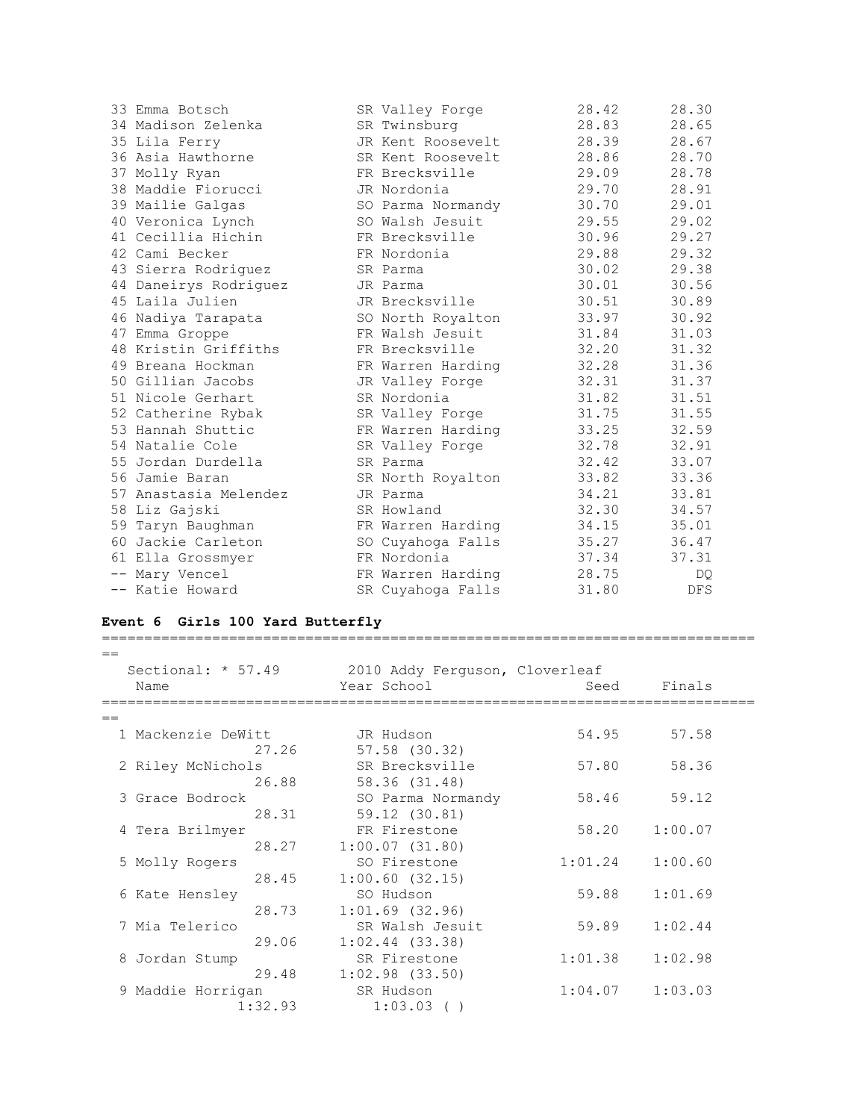| 33 Emma Botsch        | SR Valley Forge   | 28.42 | 28.30      |
|-----------------------|-------------------|-------|------------|
| 34 Madison Zelenka    | SR Twinsburg      | 28.83 | 28.65      |
| 35 Lila Ferry         | JR Kent Roosevelt | 28.39 | 28.67      |
| 36 Asia Hawthorne     | SR Kent Roosevelt | 28.86 | 28.70      |
| 37 Molly Ryan         | FR Brecksville    | 29.09 | 28.78      |
| 38 Maddie Fiorucci    | JR Nordonia       | 29.70 | 28.91      |
| 39 Mailie Galgas      | SO Parma Normandy | 30.70 | 29.01      |
| 40 Veronica Lynch     | SO Walsh Jesuit   | 29.55 | 29.02      |
| 41 Cecillia Hichin    | FR Brecksville    | 30.96 | 29.27      |
| 42 Cami Becker        | FR Nordonia       | 29.88 | 29.32      |
| 43 Sierra Rodriquez   | SR Parma          | 30.02 | 29.38      |
| 44 Daneirys Rodriguez | JR Parma          | 30.01 | 30.56      |
| 45 Laila Julien       | JR Brecksville    | 30.51 | 30.89      |
| 46 Nadiya Tarapata    | SO North Royalton | 33.97 | 30.92      |
| 47 Emma Groppe        | FR Walsh Jesuit   | 31.84 | 31.03      |
| 48 Kristin Griffiths  | FR Brecksville    | 32.20 | 31.32      |
| 49 Breana Hockman     | FR Warren Harding | 32.28 | 31.36      |
| 50 Gillian Jacobs     | JR Valley Forge   | 32.31 | 31.37      |
| 51 Nicole Gerhart     | SR Nordonia       | 31.82 | 31.51      |
| 52 Catherine Rybak    | SR Valley Forge   | 31.75 | 31.55      |
| 53 Hannah Shuttic     | FR Warren Harding | 33.25 | 32.59      |
| 54 Natalie Cole       | SR Valley Forge   | 32.78 | 32.91      |
| 55 Jordan Durdella    | SR Parma          | 32.42 | 33.07      |
| 56 Jamie Baran        | SR North Royalton | 33.82 | 33.36      |
| 57 Anastasia Melendez | JR Parma          | 34.21 | 33.81      |
| 58 Liz Gajski         | SR Howland        | 32.30 | 34.57      |
| 59 Taryn Baughman     | FR Warren Harding | 34.15 | 35.01      |
| 60 Jackie Carleton    | SO Cuyahoga Falls | 35.27 | 36.47      |
| 61 Ella Grossmyer     | FR Nordonia       | 37.34 | 37.31      |
| -- Mary Vencel        | FR Warren Harding | 28.75 | DQ.        |
| -- Katie Howard       | SR Cuyahoga Falls | 31.80 | <b>DFS</b> |

## **Event 6 Girls 100 Yard Butterfly**

| $=$<br>Sectional: $* 57.49$ | 2010 Addy Ferquson, Cloverleaf |         |         |
|-----------------------------|--------------------------------|---------|---------|
| Name                        | Year School                    | Seed    | Finals  |
|                             |                                |         |         |
| 1 Mackenzie DeWitt          | JR Hudson                      | 54.95   | 57.58   |
| 27.26                       | 57.58 (30.32)                  |         |         |
| 2 Riley McNichols           | SR Brecksville                 | 57.80   | 58.36   |
| 26.88                       | 58.36 (31.48)                  |         |         |
| 3 Grace Bodrock             | SO Parma Normandy              | 58.46   | 59.12   |
| 28.31                       | 59.12 (30.81)                  |         |         |
| 4 Tera Brilmyer             | FR Firestone                   | 58.20   | 1:00.07 |
| 28.27                       | 1:00.07(31.80)                 |         |         |
| 5 Molly Rogers              | SO Firestone                   | 1:01.24 | 1:00.60 |
| 28.45                       | 1:00.60(32.15)                 |         |         |
| 6 Kate Hensley              | SO Hudson                      | 59.88   | 1:01.69 |
| 28.73                       | $1:01.69$ (32.96)              |         |         |
| 7 Mia Telerico              | SR Walsh Jesuit                | 59.89   | 1:02.44 |
| 29.06                       | $1:02.44$ (33.38)              |         |         |
| Jordan Stump<br>8           | SR Firestone                   | 1:01.38 | 1:02.98 |
| 29.48                       | $1:02.98$ $(33.50)$            |         |         |
| 9 Maddie Horrigan           | SR Hudson                      | 1:04.07 | 1:03.03 |
| 1:32.93                     | 1:03.03()                      |         |         |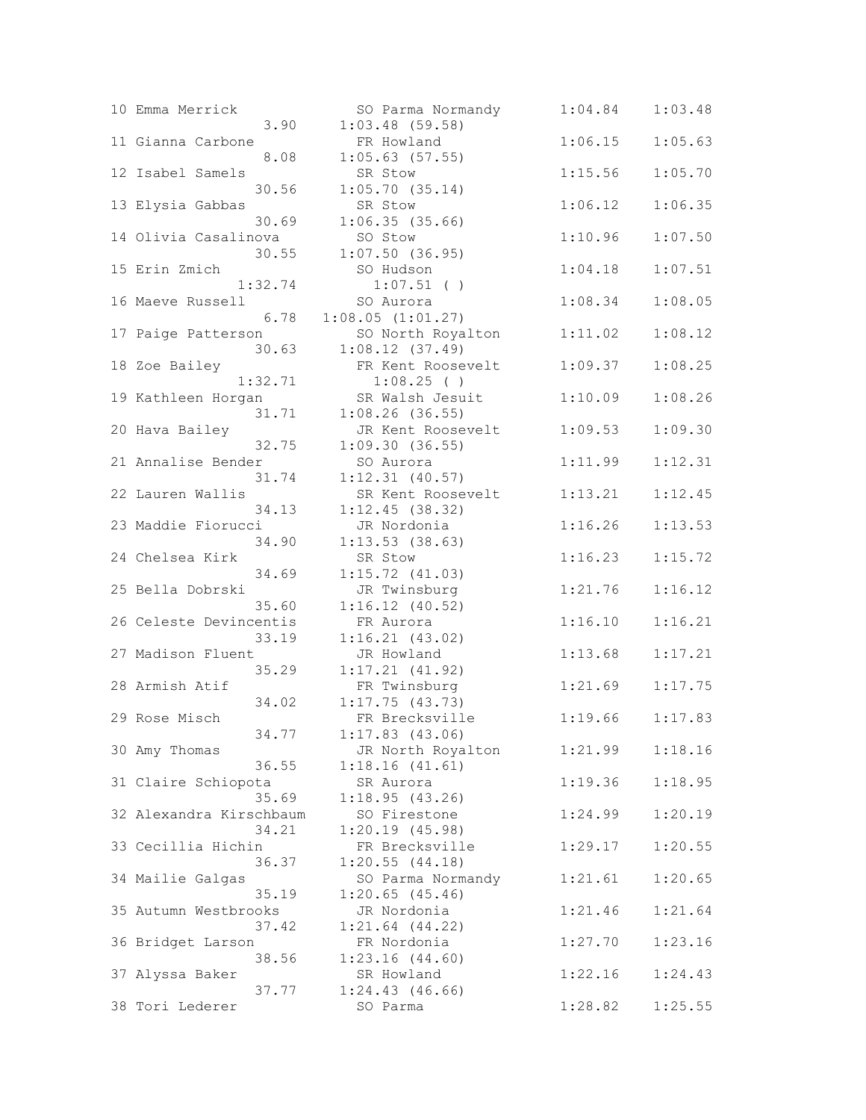| 10 | Emma Merrick            |         | SO Parma Norma      |
|----|-------------------------|---------|---------------------|
|    |                         | 3.90    | $1:03.48$ (59.58)   |
|    | 11 Gianna Carbone       |         | FR Howland          |
|    |                         | 8.08    | $1:05.63$ (57.55)   |
|    | 12 Isabel Samels        |         | SR Stow             |
|    |                         | 30.56   |                     |
|    |                         |         | 1:05.70(35.14)      |
|    | 13 Elysia Gabbas        |         | SR Stow             |
|    |                         | 30.69   | 1:06.35(35.66)      |
|    | 14 Olivia Casalinova    |         | SO Stow             |
|    |                         | 30.55   | $1:07.50$ (36.95)   |
|    | 15 Erin Zmich           |         | SO Hudson           |
|    |                         | 1:32.74 | $1:07.51$ ( )       |
|    |                         |         |                     |
|    | 16 Maeve Russell        |         | SO Aurora           |
|    |                         | 6.78    | 1:08.05(1:01.27)    |
|    | 17 Paige Patterson      |         | SO North Royal      |
|    |                         | 30.63   | 1:08.12(37.49)      |
|    | 18 Zoe Bailey           |         | FR Kent Roosev      |
|    |                         | 1:32.71 | $1:08.25$ ( )       |
|    |                         |         |                     |
|    | 19 Kathleen Horgan      |         | SR Walsh Jesui      |
|    |                         | 31.71   | $1:08.26$ (36.55)   |
|    | 20 Hava Bailey          |         | JR Kent Roosev      |
|    |                         | 32.75   | 1:09.30(36.55)      |
|    | 21 Annalise Bender      |         | SO Aurora           |
|    |                         | 31.74   | 1:12.31(40.57)      |
|    | 22 Lauren Wallis        |         | SR Kent Roosev      |
|    |                         |         |                     |
|    |                         | 34.13   | 1:12.45(38.32)      |
|    | 23 Maddie Fiorucci      |         | JR Nordonia         |
|    |                         | 34.90   | 1:13.53(38.63)      |
|    | 24 Chelsea Kirk         |         | SR Stow             |
|    |                         | 34.69   | 1:15.72(41.03)      |
|    | 25 Bella Dobrski        |         | JR Twinsburg        |
|    |                         | 35.60   | 1:16.12(40.52)      |
|    |                         |         |                     |
|    | 26 Celeste Devincentis  |         | FR Aurora           |
|    |                         | 33.19   | 1:16.21(43.02)      |
|    | 27 Madison Fluent       |         | JR Howland          |
|    |                         | 35.29   | 1:17.21(41.92)      |
|    | 28 Armish Atif          |         | FR Twinsburg        |
|    |                         | 34.02   | 1:17.75(43.73)      |
|    |                         |         |                     |
|    | 29 Rose Misch           |         | FR Brecksville      |
|    |                         | 34.77   | 1:17.83(43.06)      |
|    | 30 Amy Thomas           |         | JR North Royal      |
|    |                         | 36.55   | 1:18.16(41.61)      |
|    | 31 Claire Schiopota     |         | SR Aurora           |
|    |                         | 35.69   | 1:18.95(43.26)      |
|    | 32 Alexandra Kirschbaum |         | SO Firestone        |
|    |                         |         |                     |
|    |                         | 34.21   | 1:20.19(45.98)      |
|    | 33 Cecillia Hichin      |         | FR Brecksville      |
|    |                         | 36.37   | 1:20.55(44.18)      |
|    | 34 Mailie Galgas        |         | SO Parma Norma      |
|    |                         | 35.19   | 1:20.65(45.46)      |
|    | 35 Autumn Westbrooks    |         | JR Nordonia         |
|    |                         | 37.42   | $1:21.64$ $(44.22)$ |
|    |                         |         |                     |
|    | 36 Bridget Larson       |         | FR Nordonia         |
|    |                         | 38.56   | 1:23.16(44.60)      |
|    | 37 Alyssa Baker         |         | SR Howland          |
|    |                         | 37.77   | 1:24.43(46.66)      |
| 38 | Tori Lederer            |         | SO Parma            |
|    |                         |         |                     |

| 10 Emma Merrick         | SO Parma Normandy   | 1:04.84 | 1:03.48 |
|-------------------------|---------------------|---------|---------|
| 3.90                    | $1:03.48$ (59.58)   |         |         |
| 11 Gianna Carbone       | FR Howland          | 1:06.15 | 1:05.63 |
| 8.08                    | $1:05.63$ (57.55)   |         |         |
| 12 Isabel Samels        | SR Stow             | 1:15.56 | 1:05.70 |
| 30.56                   | 1:05.70(35.14)      |         |         |
| 13 Elysia Gabbas        | SR Stow             | 1:06.12 | 1:06.35 |
| 30.69                   | 1:06.35(35.66)      |         |         |
| 14 Olivia Casalinova    | SO Stow             | 1:10.96 | 1:07.50 |
| 30.55                   | $1:07.50$ (36.95)   |         |         |
| 15 Erin Zmich           | SO Hudson           | 1:04.18 | 1:07.51 |
| 1:32.74                 | $1:07.51$ ()        |         |         |
| 16 Maeve Russell        | SO Aurora           | 1:08.34 | 1:08.05 |
| 6.78                    | 1:08.05(1:01.27)    |         |         |
| 17 Paige Patterson      | SO North Royalton   | 1:11.02 | 1:08.12 |
| 30.63                   | 1:08.12(37.49)      |         |         |
| 18 Zoe Bailey           | FR Kent Roosevelt   | 1:09.37 | 1:08.25 |
| 1:32.71                 | $1:08.25$ ()        |         |         |
|                         |                     |         |         |
| 19 Kathleen Horgan      | SR Walsh Jesuit     | 1:10.09 | 1:08.26 |
| 31.71                   | $1:08.26$ (36.55)   |         |         |
| 20 Hava Bailey          | JR Kent Roosevelt   | 1:09.53 | 1:09.30 |
| 32.75                   | 1:09.30(36.55)      |         |         |
| 21 Annalise Bender      | SO Aurora           | 1:11.99 | 1:12.31 |
| 31.74                   | $1:12.31$ (40.57)   |         |         |
| 22 Lauren Wallis        | SR Kent Roosevelt   | 1:13.21 | 1:12.45 |
| 34.13                   | 1:12.45(38.32)      |         |         |
| 23 Maddie Fiorucci      | JR Nordonia         | 1:16.26 | 1:13.53 |
| 34.90                   | 1:13.53(38.63)      |         |         |
| 24 Chelsea Kirk         | SR Stow             | 1:16.23 | 1:15.72 |
| 34.69                   | 1:15.72(41.03)      |         |         |
| 25 Bella Dobrski        | JR Twinsburg        | 1:21.76 | 1:16.12 |
| 35.60                   | 1:16.12(40.52)      |         |         |
| 26 Celeste Devincentis  | FR Aurora           | 1:16.10 | 1:16.21 |
| 33.19                   | 1:16.21(43.02)      |         |         |
| 27 Madison Fluent       | JR Howland          | 1:13.68 | 1:17.21 |
| 35.29                   | 1:17.21(41.92)      |         |         |
| 28 Armish Atif          | FR Twinsburg        | 1:21.69 | 1:17.75 |
| 34.02                   | 1:17.75(43.73)      |         |         |
| 29 Rose Misch           | FR Brecksville      | 1:19.66 | 1:17.83 |
| 34.77                   | $1:17.83$ (43.06)   |         |         |
| 30 Amy Thomas           | JR North Royalton   | 1:21.99 | 1:18.16 |
| 36.55                   | 1:18.16(41.61)      |         |         |
| 31 Claire Schiopota     | SR Aurora           | 1:19.36 | 1:18.95 |
| 35.69                   | 1:18.95(43.26)      |         |         |
|                         |                     |         |         |
| 32 Alexandra Kirschbaum | SO Firestone        | 1:24.99 | 1:20.19 |
| 34.21                   | 1:20.19(45.98)      |         |         |
| 33 Cecillia Hichin      | FR Brecksville      | 1:29.17 | 1:20.55 |
| 36.37                   | 1:20.55(44.18)      |         |         |
| 34 Mailie Galgas        | SO Parma Normandy   | 1:21.61 | 1:20.65 |
| 35.19                   | $1:20.65$ (45.46)   |         |         |
| 35 Autumn Westbrooks    | JR Nordonia         | 1:21.46 | 1:21.64 |
| 37.42                   | $1:21.64$ $(44.22)$ |         |         |
| 36 Bridget Larson       | FR Nordonia         | 1:27.70 | 1:23.16 |
| 38.56                   | 1:23.16(44.60)      |         |         |
| 37 Alyssa Baker         | SR Howland          | 1:22.16 | 1:24.43 |
| 37.77                   | 1:24.43(46.66)      |         |         |
| 38 Tori Lederer         | SO Parma            | 1:28.82 | 1:25.55 |
|                         |                     |         |         |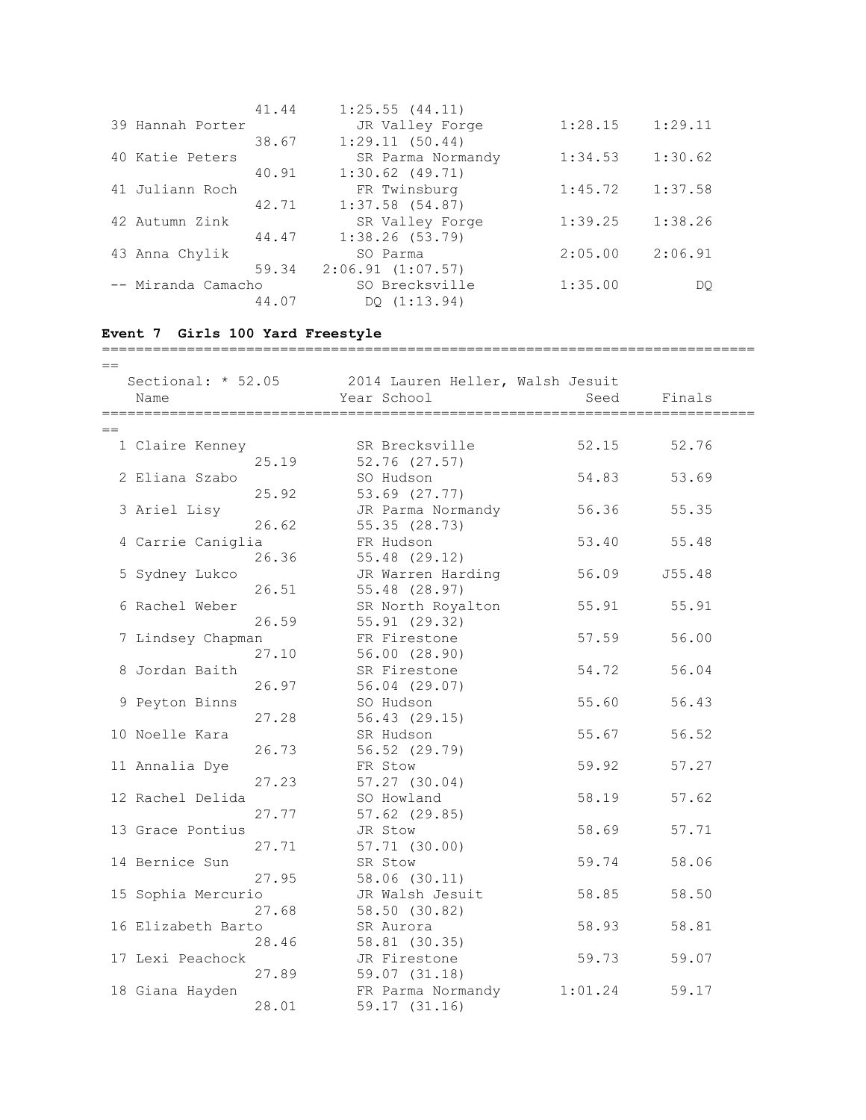|                    | 41.44 | 1:25.55(44.11)    |         |         |
|--------------------|-------|-------------------|---------|---------|
| 39 Hannah Porter   |       | JR Valley Forge   | 1:28.15 | 1:29.11 |
|                    | 38.67 | 1:29.11(50.44)    |         |         |
| 40 Katie Peters    |       | SR Parma Normandy | 1:34.53 | 1:30.62 |
|                    | 40.91 | $1:30.62$ (49.71) |         |         |
| 41 Juliann Roch    |       | FR Twinsburg      | 1:45.72 | 1:37.58 |
|                    | 42.71 | $1:37.58$ (54.87) |         |         |
| 42 Autumn Zink     |       | SR Valley Forge   | 1:39.25 | 1:38.26 |
|                    | 44.47 | 1:38.26(53.79)    |         |         |
| 43 Anna Chylik     |       | SO Parma          | 2:05.00 | 2:06.91 |
|                    | 59.34 | 2:06.91(1:07.57)  |         |         |
| -- Miranda Camacho |       | SO Brecksville    | 1:35.00 | DO      |
|                    | 44.07 | DQ (1:13.94)      |         |         |

=============================================================================

## **Event 7 Girls 100 Yard Freestyle**

| $=$ |                    |       |                                                                    |         |        |
|-----|--------------------|-------|--------------------------------------------------------------------|---------|--------|
|     | Name               |       | Sectional: * 52.05 2014 Lauren Heller, Walsh Jesuit<br>Year School | Seed    | Finals |
|     |                    |       |                                                                    |         |        |
| $=$ |                    |       |                                                                    |         |        |
|     | 1 Claire Kenney    |       | SR Brecksville                                                     | 52.15   | 52.76  |
|     |                    | 25.19 | $52.76$ $(27.57)$                                                  |         |        |
|     | 2 Eliana Szabo     |       | SO Hudson                                                          | 54.83   | 53.69  |
|     |                    | 25.92 | 53.69 (27.77)                                                      |         |        |
|     | 3 Ariel Lisy       |       | JR Parma Normandy                                                  | 56.36   | 55.35  |
|     |                    | 26.62 | 55.35(28.73)                                                       |         |        |
|     | 4 Carrie Caniglia  |       | FR Hudson                                                          | 53.40   | 55.48  |
|     |                    | 26.36 | 55.48 (29.12)                                                      |         |        |
|     | 5 Sydney Lukco     |       | JR Warren Harding                                                  | 56.09   | J55.48 |
|     |                    | 26.51 | 55.48 (28.97)                                                      |         |        |
|     | 6 Rachel Weber     |       | SR North Royalton                                                  | 55.91   | 55.91  |
|     |                    | 26.59 | 55.91(29.32)                                                       |         |        |
|     | 7 Lindsey Chapman  |       | FR Firestone                                                       | 57.59   | 56.00  |
|     |                    | 27.10 | 56.00(28.90)                                                       |         |        |
|     | 8 Jordan Baith     |       | SR Firestone                                                       | 54.72   | 56.04  |
|     |                    | 26.97 | 56.04 (29.07)                                                      |         |        |
|     | 9 Peyton Binns     |       | SO Hudson                                                          | 55.60   | 56.43  |
|     |                    | 27.28 | 56.43(29.15)                                                       |         |        |
|     | 10 Noelle Kara     |       | SR Hudson                                                          | 55.67   | 56.52  |
|     |                    | 26.73 | 56.52 (29.79)                                                      |         |        |
|     | 11 Annalia Dye     |       | FR Stow                                                            | 59.92   | 57.27  |
|     |                    | 27.23 | $57.27$ $(30.04)$                                                  |         |        |
|     | 12 Rachel Delida   |       | SO Howland                                                         | 58.19   | 57.62  |
|     |                    | 27.77 | $57.62$ $(29.85)$                                                  |         |        |
|     | 13 Grace Pontius   |       | JR Stow                                                            | 58.69   | 57.71  |
|     |                    | 27.71 | $57.71$ $(30.00)$                                                  |         |        |
|     | 14 Bernice Sun     |       | SR Stow                                                            | 59.74   | 58.06  |
|     |                    | 27.95 | 58.06 (30.11)                                                      |         |        |
|     | 15 Sophia Mercurio |       | JR Walsh Jesuit                                                    | 58.85   | 58.50  |
|     |                    | 27.68 | 58.50 (30.82)                                                      |         |        |
|     | 16 Elizabeth Barto |       | SR Aurora                                                          | 58.93   | 58.81  |
|     |                    | 28.46 | 58.81 (30.35)                                                      |         |        |
|     | 17 Lexi Peachock   |       | JR Firestone                                                       | 59.73   | 59.07  |
|     |                    | 27.89 | $59.07$ $(31.18)$                                                  |         |        |
|     | 18 Giana Hayden    |       | FR Parma Normandy                                                  | 1:01.24 | 59.17  |
|     |                    | 28.01 | 59.17 (31.16)                                                      |         |        |
|     |                    |       |                                                                    |         |        |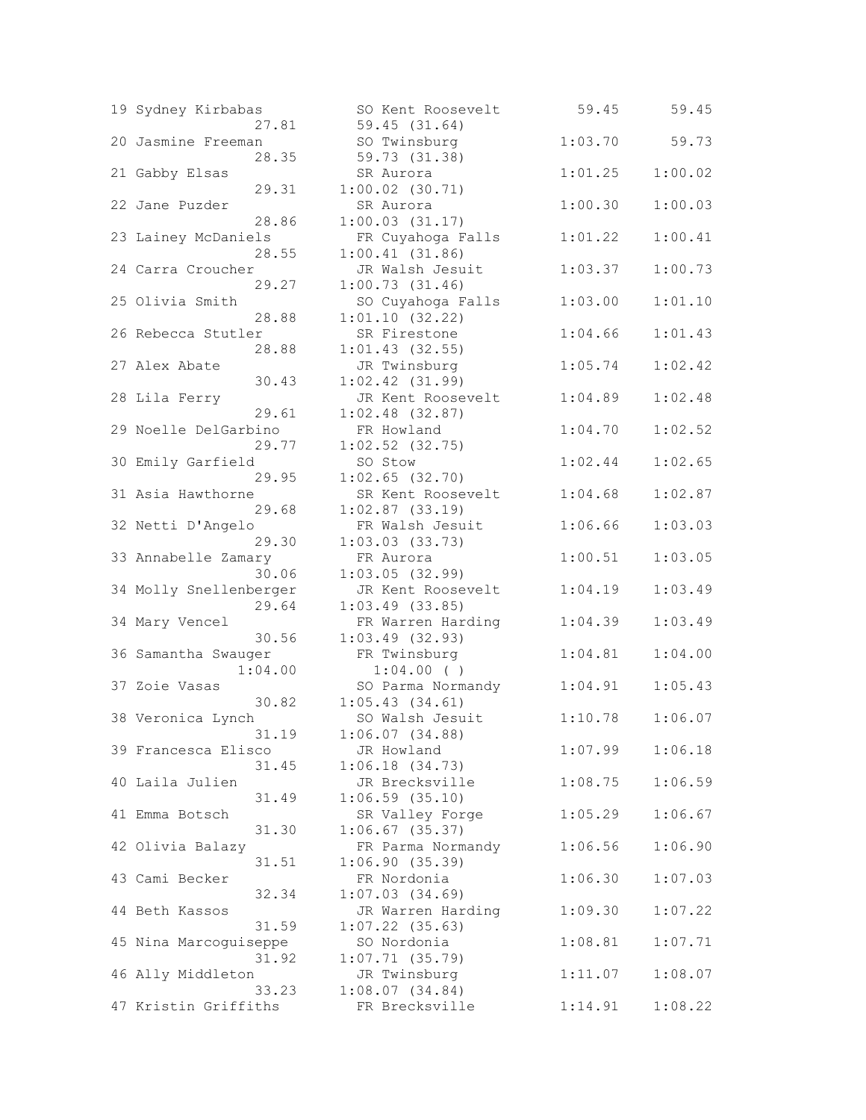| 19 Sydney Kirbabas         | SO Kent Roosevelt                      | 59.45   | 59.45   |
|----------------------------|----------------------------------------|---------|---------|
| 27.81                      | 59.45 (31.64)                          |         |         |
| 20 Jasmine Freeman         | SO Twinsburg<br>59.73 (31.38)          | 1:03.70 | 59.73   |
| 28.35<br>21 Gabby Elsas    | SR Aurora                              | 1:01.25 | 1:00.02 |
| 29.31                      | $1:00.02$ $(30.71)$                    |         |         |
| 22 Jane Puzder             | SR Aurora                              | 1:00.30 | 1:00.03 |
| 28.86                      | 1:00.03(31.17)                         |         |         |
| 23 Lainey McDaniels        | FR Cuyahoga Falls                      | 1:01.22 | 1:00.41 |
| 28.55                      | 1:00.41(31.86)                         |         |         |
| 24 Carra Croucher          | JR Walsh Jesuit                        | 1:03.37 | 1:00.73 |
| 29.27                      | 1:00.73(31.46)                         |         |         |
| 25 Olivia Smith            | SO Cuyahoga Falls                      | 1:03.00 | 1:01.10 |
| 28.88                      | 1:01.10(32.22)                         |         |         |
| 26 Rebecca Stutler         | SR Firestone                           | 1:04.66 | 1:01.43 |
| 28.88                      | $1:01.43$ (32.55)                      |         |         |
| 27 Alex Abate              | JR Twinsburg                           | 1:05.74 | 1:02.42 |
| 30.43                      | $1:02.42$ $(31.99)$                    |         |         |
| 28 Lila Ferry              | JR Kent Roosevelt                      | 1:04.89 | 1:02.48 |
| 29.61                      | $1:02.48$ (32.87)                      |         |         |
| 29 Noelle DelGarbino       | FR Howland                             | 1:04.70 | 1:02.52 |
| 29.77                      | $1:02.52$ (32.75)                      |         |         |
| 30 Emily Garfield          | SO Stow                                | 1:02.44 | 1:02.65 |
| 29.95<br>31 Asia Hawthorne | $1:02.65$ (32.70)                      |         |         |
| 29.68                      | SR Kent Roosevelt<br>$1:02.87$ (33.19) | 1:04.68 | 1:02.87 |
| 32 Netti D'Angelo          | FR Walsh Jesuit                        | 1:06.66 | 1:03.03 |
| 29.30                      | $1:03.03$ $(33.73)$                    |         |         |
| 33 Annabelle Zamary        | FR Aurora                              | 1:00.51 | 1:03.05 |
| 30.06                      | 1:03.05(32.99)                         |         |         |
| 34 Molly Snellenberger     | JR Kent Roosevelt                      | 1:04.19 | 1:03.49 |
| 29.64                      | $1:03.49$ (33.85)                      |         |         |
| 34 Mary Vencel             | FR Warren Harding                      | 1:04.39 | 1:03.49 |
| 30.56                      | $1:03.49$ (32.93)                      |         |         |
| 36 Samantha Swauger        | FR Twinsburg                           | 1:04.81 | 1:04.00 |
| 1:04.00                    | 1:04.00()                              |         |         |
| 37 Zoie Vasas              | SO Parma Normandy                      | 1:04.91 | 1:05.43 |
| 30.82                      | 1:05.43(34.61)                         |         |         |
| 38 Veronica Lynch          | SO Walsh Jesuit                        | 1:10.78 | 1:06.07 |
| 31.19                      | 1:06.07(34.88)                         |         |         |
| 39 Francesca Elisco        | JR Howland                             | 1:07.99 | 1:06.18 |
| 31.45<br>40 Laila Julien   | 1:06.18(34.73)<br>JR Brecksville       | 1:08.75 | 1:06.59 |
| 31.49                      | $1:06.59$ $(35.10)$                    |         |         |
| 41 Emma Botsch             | SR Valley Forge                        | 1:05.29 | 1:06.67 |
| 31.30                      | $1:06.67$ (35.37)                      |         |         |
| 42 Olivia Balazy           | FR Parma Normandy                      | 1:06.56 | 1:06.90 |
| 31.51                      | 1:06.90(35.39)                         |         |         |
| 43 Cami Becker             | FR Nordonia                            | 1:06.30 | 1:07.03 |
| 32.34                      | 1:07.03(34.69)                         |         |         |
| 44 Beth Kassos             | JR Warren Harding                      | 1:09.30 | 1:07.22 |
| 31.59                      | $1:07.22$ (35.63)                      |         |         |
| 45 Nina Marcoguiseppe      | SO Nordonia                            | 1:08.81 | 1:07.71 |
| 31.92                      | $1:07.71$ (35.79)                      |         |         |
| 46 Ally Middleton          | JR Twinsburg                           | 1:11.07 | 1:08.07 |
| 33.23                      | 1:08.07(34.84)                         |         |         |
| 47 Kristin Griffiths       | FR Brecksville                         | 1:14.91 | 1:08.22 |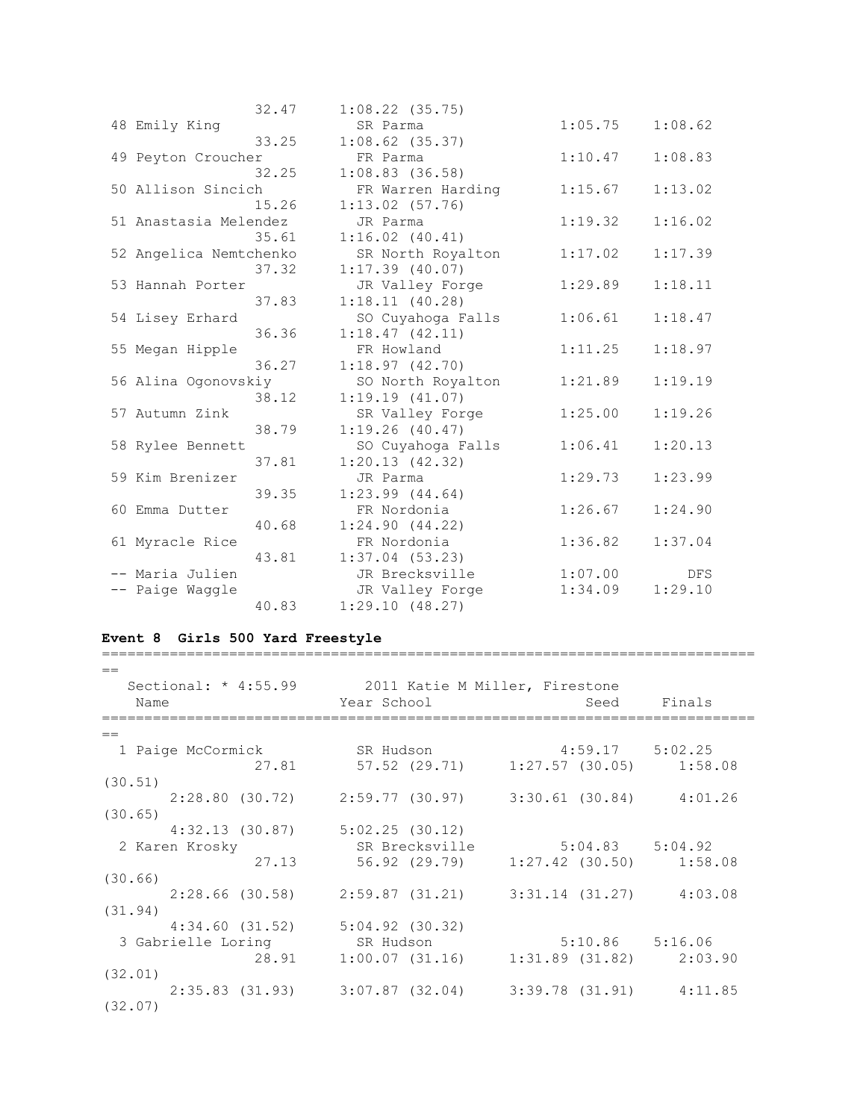|                        | 32.47 | $1:08.22$ (35.75)   |         |         |
|------------------------|-------|---------------------|---------|---------|
| 48 Emily King          |       | SR Parma            | 1:05.75 | 1:08.62 |
|                        | 33.25 | $1:08.62$ (35.37)   |         |         |
| 49 Peyton Croucher     |       | FR Parma            | 1:10.47 | 1:08.83 |
|                        | 32.25 | $1:08.83$ $(36.58)$ |         |         |
| 50 Allison Sincich     |       | FR Warren Harding   | 1:15.67 | 1:13.02 |
|                        | 15.26 | $1:13.02$ (57.76)   |         |         |
| 51 Anastasia Melendez  |       | JR Parma            | 1:19.32 | 1:16.02 |
|                        | 35.61 | $1:16.02$ $(40.41)$ |         |         |
| 52 Angelica Nemtchenko |       | SR North Royalton   | 1:17.02 | 1:17.39 |
|                        | 37.32 | $1:17.39$ (40.07)   |         |         |
| 53 Hannah Porter       |       | JR Valley Forge     | 1:29.89 | 1:18.11 |
|                        | 37.83 | 1:18.11(40.28)      |         |         |
| 54 Lisey Erhard        |       | SO Cuyahoga Falls   | 1:06.61 | 1:18.47 |
|                        | 36.36 | 1:18.47(42.11)      |         |         |
| 55 Megan Hipple        |       | FR Howland          | 1:11.25 | 1:18.97 |
|                        | 36.27 | 1:18.97(42.70)      |         |         |
| 56 Alina Ogonovskiy    |       | SO North Royalton   | 1:21.89 | 1:19.19 |
|                        | 38.12 | 1:19.19(41.07)      |         |         |
| 57 Autumn Zink         |       | SR Valley Forge     | 1:25.00 | 1:19.26 |
|                        | 38.79 | 1:19.26(40.47)      |         |         |
| 58 Rylee Bennett       |       | SO Cuyahoga Falls   | 1:06.41 | 1:20.13 |
|                        | 37.81 | 1:20.13(42.32)      |         |         |
| 59 Kim Brenizer        |       | JR Parma            | 1:29.73 | 1:23.99 |
|                        | 39.35 | $1:23.99$ $(44.64)$ |         |         |
| 60 Emma Dutter         |       | FR Nordonia         | 1:26.67 | 1:24.90 |
|                        | 40.68 | 1:24.90(44.22)      |         |         |
| 61 Myracle Rice        |       | FR Nordonia         | 1:36.82 | 1:37.04 |
|                        | 43.81 | $1:37.04$ (53.23)   |         |         |
| -- Maria Julien        |       | JR Brecksville      | 1:07.00 | DFS     |
| -- Paige Waggle        |       | JR Valley Forge     | 1:34.09 | 1:29.10 |
|                        | 40.83 | 1:29.10(48.27)      |         |         |

## **Event 8 Girls 500 Yard Freestyle**

=============================================================================

| Sectional: * 4:55.99 2011 Katie M Miller, Firestone |                                                                 |                                       |        |
|-----------------------------------------------------|-----------------------------------------------------------------|---------------------------------------|--------|
| Name                                                | Year School Near                                                | Seed                                  | Finals |
|                                                     |                                                                 |                                       |        |
| $==$                                                |                                                                 |                                       |        |
| 1 Paige McCormick SR Hudson 4:59.17 5:02.25         |                                                                 |                                       |        |
| 27.81                                               |                                                                 | 57.52 (29.71) 1:27.57 (30.05) 1:58.08 |        |
| (30.51)                                             |                                                                 |                                       |        |
|                                                     | $2:28.80$ (30.72) $2:59.77$ (30.97) $3:30.61$ (30.84) $4:01.26$ |                                       |        |
| (30.65)                                             |                                                                 |                                       |        |
| 4:32.13 (30.87)                                     | 5:02.25(30.12)                                                  |                                       |        |
| 2 Karen Krosky                                      | SR Brecksville                                                  | $5:04.83$ $5:04.92$                   |        |
| 27.13                                               |                                                                 | 56.92 (29.79) 1:27.42 (30.50) 1:58.08 |        |
| (30.66)                                             |                                                                 |                                       |        |
|                                                     |                                                                 |                                       |        |
|                                                     | $2:28.66$ (30.58) $2:59.87$ (31.21) $3:31.14$ (31.27) $4:03.08$ |                                       |        |
| (31.94)                                             |                                                                 |                                       |        |
| 4:34.60 (31.52)                                     | $5:04.92$ (30.32)                                               |                                       |        |
| 3 Gabrielle Loring                                  | SR Hudson                                                       | $5:10.86$ $5:16.06$                   |        |
| 28.91                                               | $1:00.07$ (31.16) $1:31.89$ (31.82) $2:03.90$                   |                                       |        |
| (32.01)                                             |                                                                 |                                       |        |
|                                                     | $2:35.83$ (31.93) $3:07.87$ (32.04) $3:39.78$ (31.91) $4:11.85$ |                                       |        |
| (32.07)                                             |                                                                 |                                       |        |
|                                                     |                                                                 |                                       |        |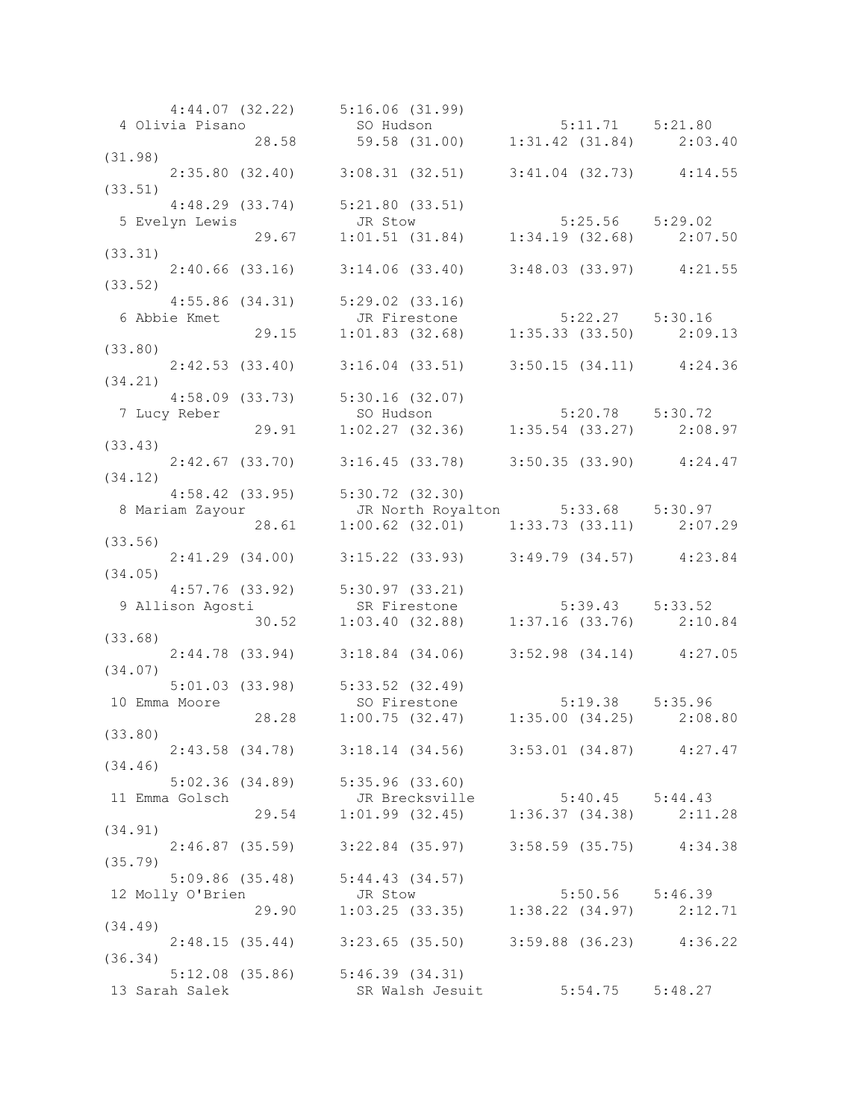|         |                  | 4:44.07 (32.22) 5:16.06 (31.99)                                                                                                       |                                 |  |
|---------|------------------|---------------------------------------------------------------------------------------------------------------------------------------|---------------------------------|--|
|         |                  | 4 Olivia Pisano 3.53 (31.00) 5:11.71 5:21.80<br>28.58 59.58 (31.00) 1:31.42 (31.84) 2:03.40                                           |                                 |  |
|         |                  |                                                                                                                                       |                                 |  |
| (31.98) |                  |                                                                                                                                       |                                 |  |
|         |                  | $2:35.80$ (32.40) 3:08.31 (32.51) 3:41.04 (32.73) 4:14.55                                                                             |                                 |  |
| (33.51) |                  |                                                                                                                                       |                                 |  |
|         |                  | 4:48.29 (33.74) 5:21.80 (33.51)<br>5 Evelyn Lewis JR Stow 5:25.56 5:29.02<br>29.67 1:01.51 (31.84) 1:34.19 (32.68) 2:07.50<br>(33.31) |                                 |  |
|         |                  |                                                                                                                                       |                                 |  |
|         |                  |                                                                                                                                       |                                 |  |
| (33.31) |                  |                                                                                                                                       |                                 |  |
|         |                  | 2:40.66 (33.16) 3:14.06 (33.40) 3:48.03 (33.97) 4:21.55                                                                               |                                 |  |
| (33.52) |                  |                                                                                                                                       |                                 |  |
|         |                  | $4:55.86$ (34.31) $5:29.02$ (33.16)                                                                                                   |                                 |  |
|         | 6 Abbie Kmet     |                                                                                                                                       |                                 |  |
|         |                  | 86 (34.31) 5:29.02 (33.16)<br>tt JR Firestone 5:22.27 5:30.16<br>29.15 1:01.83 (32.68) 1:35.33 (33.50) 2:09.13                        |                                 |  |
| (33.80) |                  |                                                                                                                                       |                                 |  |
|         |                  |                                                                                                                                       |                                 |  |
|         |                  | $2:42.53$ (33.40) 3:16.04 (33.51) 3:50.15 (34.11) 4:24.36                                                                             |                                 |  |
| (34.21) |                  |                                                                                                                                       |                                 |  |
|         |                  |                                                                                                                                       |                                 |  |
|         | 7 Lucy Reber     |                                                                                                                                       |                                 |  |
|         |                  |                                                                                                                                       |                                 |  |
| (33.43) |                  |                                                                                                                                       |                                 |  |
|         |                  | 2:42.67 (33.70) 3:16.45 (33.78) 3:50.35 (33.90) 4:24.47                                                                               |                                 |  |
| (34.12) |                  |                                                                                                                                       |                                 |  |
|         |                  | $4:58.42$ (33.95) $5:30.72$ (32.30)                                                                                                   |                                 |  |
|         |                  | 8 Mariam Zayour JR North Royalton 5:33.68 5:30.97<br>28.61 1:00.62 (32.01) 1:33.73 (33.11) 2:07.29<br>33.56)                          |                                 |  |
|         |                  | $1:00.62$ (32.01) $1:33.73$ (33.11) $2:07.29$                                                                                         |                                 |  |
| (33.56) |                  |                                                                                                                                       |                                 |  |
|         |                  | $2:41.29$ (34.00) $3:15.22$ (33.93) $3:49.79$ (34.57) $4:23.84$                                                                       |                                 |  |
| (34.05) |                  |                                                                                                                                       |                                 |  |
|         |                  | 4:57.76 (33.92) 5:30.97 (33.21)<br>9 Allison Agosti SR Firestone 5:39.43 5:33.52<br>30.52 1:03.40 (32.88) 1:37.16 (33.76) 2:10.84     |                                 |  |
|         |                  |                                                                                                                                       |                                 |  |
|         |                  |                                                                                                                                       |                                 |  |
| (33.68) |                  |                                                                                                                                       |                                 |  |
|         |                  | 2:44.78 (33.94) 3:18.84 (34.06) 3:52.98 (34.14) 4:27.05                                                                               |                                 |  |
| (34.07) |                  |                                                                                                                                       |                                 |  |
|         |                  |                                                                                                                                       |                                 |  |
|         | 10 Emma Moore    |                                                                                                                                       |                                 |  |
|         |                  | 5:01.03 (33.98) 5:33.52 (32.49)<br>80 Firestone 5:19.38 5:35.96<br>28.28 1:00.75 (32.47) 1:35.00 (34.25) 2:08.80                      |                                 |  |
|         | (33.80)          |                                                                                                                                       |                                 |  |
|         |                  | 2:43.58 (34.78) 3:18.14 (34.56) 3:53.01 (34.87) 4:27.47                                                                               |                                 |  |
| (34.46) |                  |                                                                                                                                       |                                 |  |
|         |                  | $5:02.36$ (34.89) $5:35.96$ (33.60)                                                                                                   |                                 |  |
|         | 11 Emma Golsch   |                                                                                                                                       |                                 |  |
|         |                  | JR Brecksville 5:40.45 5:44.43<br>29.54 1:01.99 (32.45) 1:36.37 (34.38) 2:11.28                                                       |                                 |  |
| (34.91) |                  |                                                                                                                                       |                                 |  |
|         |                  | 2:46.87 (35.59) 3:22.84 (35.97) 3:58.59 (35.75) 4:34.38                                                                               |                                 |  |
|         |                  |                                                                                                                                       |                                 |  |
| (35.79) |                  |                                                                                                                                       |                                 |  |
|         |                  | 5:09.86 (35.48) 5:44.43 (34.57)                                                                                                       |                                 |  |
|         | 12 Molly O'Brien | JR Stow 5:50.56 5:46.39<br>29.90 1:03.25 (33.35) 1:38.22 (34.97) 2:12.71                                                              |                                 |  |
|         |                  |                                                                                                                                       |                                 |  |
| (34.49) |                  |                                                                                                                                       |                                 |  |
|         |                  | 2:48.15 (35.44) 3:23.65 (35.50) 3:59.88 (36.23) 4:36.22                                                                               |                                 |  |
| (36.34) |                  |                                                                                                                                       |                                 |  |
|         |                  | $5:12.08$ (35.86) $5:46.39$ (34.31)                                                                                                   |                                 |  |
|         | 13 Sarah Salek   |                                                                                                                                       | SR Walsh Jesuit 5:54.75 5:48.27 |  |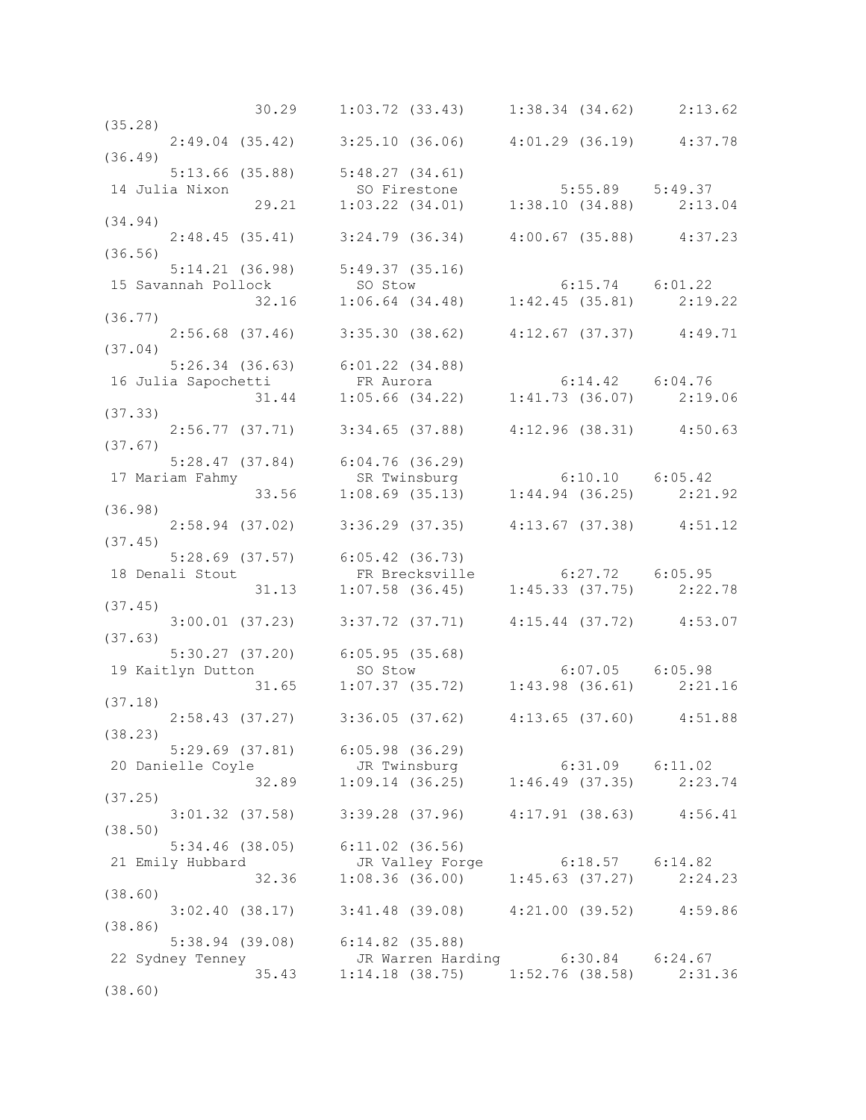|                                                                                                                                                                        | $30.29$ $1:03.72$ $(33.43)$ $1:38.34$ $(34.62)$ $2:13.62$                                                             |  |
|------------------------------------------------------------------------------------------------------------------------------------------------------------------------|-----------------------------------------------------------------------------------------------------------------------|--|
| (35.28)                                                                                                                                                                |                                                                                                                       |  |
|                                                                                                                                                                        | 2:49.04 (35.42) 3:25.10 (36.06) 4:01.29 (36.19) 4:37.78                                                               |  |
| (36.49)                                                                                                                                                                |                                                                                                                       |  |
| $5:13.66$ (35.88) $5:48.27$ (34.61)<br>5:13.66 (35.88) 5:48.27 (34.61)<br>14 Julia Nixon 50 Firestone 5:55.89 5:49.37<br>29.21 1:03.22 (34.01) 1:38.10 (34.88) 2:13.04 |                                                                                                                       |  |
|                                                                                                                                                                        |                                                                                                                       |  |
|                                                                                                                                                                        |                                                                                                                       |  |
| (34.94)                                                                                                                                                                |                                                                                                                       |  |
| $2:48.45$ (35.41) $3:24.79$ (36.34) $4:00.67$ (35.88) $4:37.23$                                                                                                        |                                                                                                                       |  |
| (36.56)<br>$5:14.21$ (36.98) $5:49.37$ (35.16)                                                                                                                         |                                                                                                                       |  |
|                                                                                                                                                                        |                                                                                                                       |  |
| 5:14.21 (36.98) 5:49.37 (35.16)<br>15 Savannah Pollock 50 Stow 6:15.74 6:01.22<br>32.16 1:06.64 (34.48) 1:42.45 (35.81) 2:19.22                                        |                                                                                                                       |  |
| (36.77)                                                                                                                                                                |                                                                                                                       |  |
|                                                                                                                                                                        | 2:56.68 (37.46) 3:35.30 (38.62) 4:12.67 (37.37) 4:49.71                                                               |  |
| (37.04)                                                                                                                                                                |                                                                                                                       |  |
|                                                                                                                                                                        |                                                                                                                       |  |
|                                                                                                                                                                        |                                                                                                                       |  |
|                                                                                                                                                                        |                                                                                                                       |  |
| 5:26.34 (36.63) 6:01.22 (34.88)<br>16 Julia Sapochetti FR Aurora 6:14.42 6:04.76<br>31.44 1:05.66 (34.22) 1:41.73 (36.07) 2:19.06<br>(37.33)<br>(37.33)                |                                                                                                                       |  |
|                                                                                                                                                                        | 2:56.77 (37.71) 3:34.65 (37.88) 4:12.96 (38.31) 4:50.63                                                               |  |
| (37.67)                                                                                                                                                                |                                                                                                                       |  |
|                                                                                                                                                                        |                                                                                                                       |  |
|                                                                                                                                                                        |                                                                                                                       |  |
| 5:28.47 (37.84) 6:04.76 (36.29)<br>17 Mariam Fahmy SR Twinsburg 6:10.10 6:05.42<br>33.56 1:08.69 (35.13) 1:44.94 (36.25) 2:21.92                                       |                                                                                                                       |  |
| (36.98)                                                                                                                                                                |                                                                                                                       |  |
| 2:58.94 (37.02) 3:36.29 (37.35) 4:13.67 (37.38) 4:51.12                                                                                                                |                                                                                                                       |  |
| (37.45)                                                                                                                                                                |                                                                                                                       |  |
| 5:28.69 (37.57) 6:05.42 (36.73)                                                                                                                                        | 8.69 (37.57) 6:05.42 (36.73)<br>Stout FR Brecksville 6:27.72 6:05.95<br>31.13 1:07.58 (36.45) 1:45.33 (37.75) 2:22.78 |  |
| 18 Denali Stout                                                                                                                                                        |                                                                                                                       |  |
|                                                                                                                                                                        |                                                                                                                       |  |
| (37.45)                                                                                                                                                                |                                                                                                                       |  |
|                                                                                                                                                                        | 3:00.01 (37.23) 3:37.72 (37.71) 4:15.44 (37.72) 4:53.07                                                               |  |
|                                                                                                                                                                        |                                                                                                                       |  |
|                                                                                                                                                                        |                                                                                                                       |  |
|                                                                                                                                                                        |                                                                                                                       |  |
| 5:30.27 (37.20) 6:05.95 (35.68)<br>19 Kaitlyn Dutton so Stow 6:07.05 6:05.98<br>(37.18) 31.65 1:07.37 (35.72) 1:43.98 (36.61) 2:21.16                                  |                                                                                                                       |  |
|                                                                                                                                                                        | 2:58.43 (37.27) 3:36.05 (37.62) 4:13.65 (37.60) 4:51.88                                                               |  |
| (38.23)                                                                                                                                                                |                                                                                                                       |  |
| $5:29.69$ $(37.81)$ $6:05.98$ $(36.29)$                                                                                                                                |                                                                                                                       |  |
|                                                                                                                                                                        |                                                                                                                       |  |
| 20 Danielle Coyle<br>32.89 1:09.14 (36.25) 1:46.49 (37.35) 2:23.74                                                                                                     |                                                                                                                       |  |
| (37.25)                                                                                                                                                                |                                                                                                                       |  |
|                                                                                                                                                                        | $3:01.32$ (37.58) $3:39.28$ (37.96) $4:17.91$ (38.63) $4:56.41$                                                       |  |
| (38.50)                                                                                                                                                                |                                                                                                                       |  |
| $5:34.46$ (38.05) $6:11.02$ (36.56)                                                                                                                                    |                                                                                                                       |  |
| 21 Emily Hubbard                                                                                                                                                       | JR Valley Forge 6:18.57 6:14.82<br>1:08.36 (36.00) 1:45.63 (37.27) 2:24.23                                            |  |
| 32.36                                                                                                                                                                  |                                                                                                                       |  |
| (38.60)                                                                                                                                                                |                                                                                                                       |  |
|                                                                                                                                                                        | $3:02.40$ (38.17) $3:41.48$ (39.08) $4:21.00$ (39.52) $4:59.86$                                                       |  |
| (38.86)                                                                                                                                                                |                                                                                                                       |  |
| 5:38.94 (39.08) 6:14.82 (35.88)                                                                                                                                        |                                                                                                                       |  |
| 22 Sydney Tenney                                                                                                                                                       | JR Warren Harding    6:30.84    6:24.67                                                                               |  |
|                                                                                                                                                                        | 35.43   1:14.18   (38.75)   1:52.76   (38.58)   2:31.36                                                               |  |
| (38.60)                                                                                                                                                                |                                                                                                                       |  |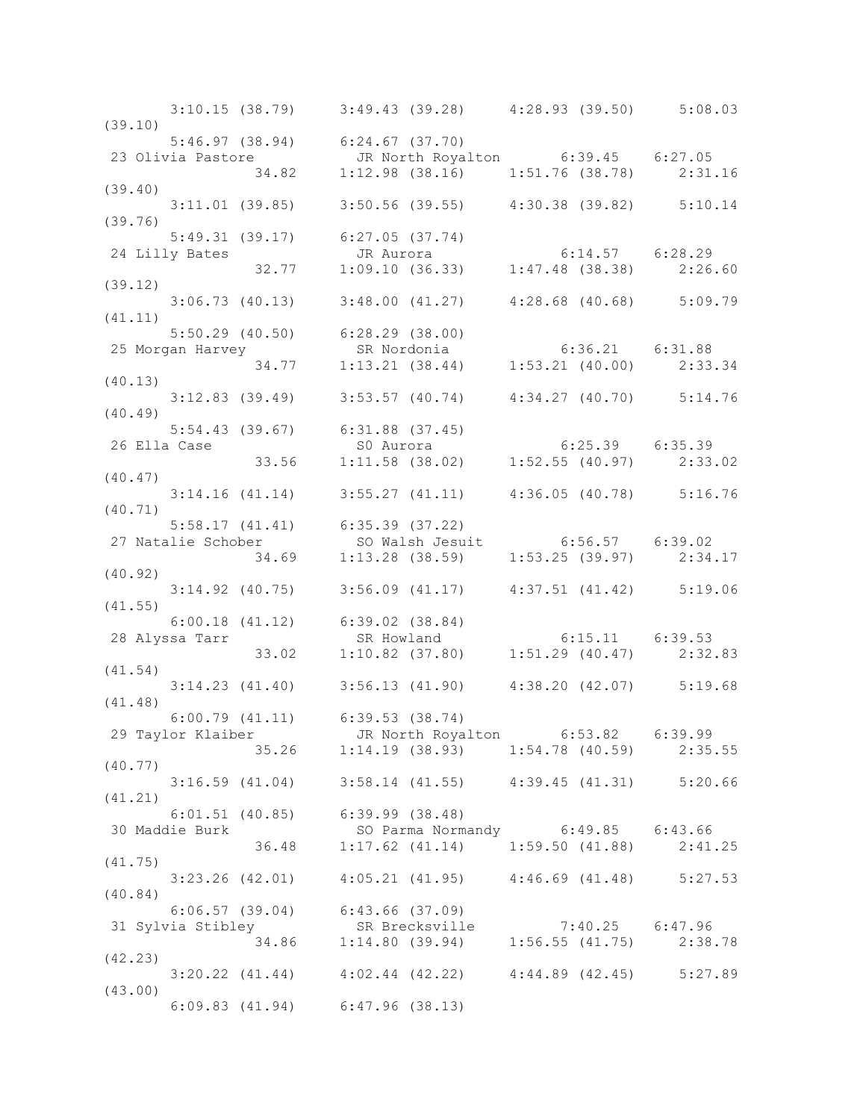3:10.15 (38.79) 3:49.43 (39.28) 4:28.93 (39.50) 5:08.03 (39.10) 5:46.97 (38.94) 6:24.67 (37.70) 23 Olivia Pastore JR North Royalton 6:39.45 6:27.05 34.82 1:12.98 (38.16) 1:51.76 (38.78) 2:31.16 (39.40) 3:11.01 (39.85) 3:50.56 (39.55) 4:30.38 (39.82) 5:10.14 (39.76) 5:49.31 (39.17) 6:27.05 (37.74) 24 Lilly Bates JR Aurora 6:14.57 6:28.29 32.77 1:09.10 (36.33) 1:47.48 (38.38) 2:26.60 (39.12) 3:06.73 (40.13) 3:48.00 (41.27) 4:28.68 (40.68) 5:09.79 (41.11) 5:50.29 (40.50) 6:28.29 (38.00) 25 Morgan Harvey SR Nordonia 6:36.21 6:31.88 34.77 1:13.21 (38.44) 1:53.21 (40.00) 2:33.34 (40.13) 3:12.83 (39.49) 3:53.57 (40.74) 4:34.27 (40.70) 5:14.76 (40.49) 5:54.43 (39.67) 6:31.88 (37.45) 26 Ella Case S0 Aurora 6:25.39 6:35.39<br>33.56 1:11.58 (38.02) 1:52.55 (40.97) 2:33. 33.56 1:11.58 (38.02) 1:52.55 (40.97) 2:33.02 (40.47) 3:14.16 (41.14) 3:55.27 (41.11) 4:36.05 (40.78) 5:16.76 (40.71) 5:58.17 (41.41) 6:35.39 (37.22) 27 Natalie Schober SO Walsh Jesuit 6:56.57 6:39.02 34.69 1:13.28 (38.59) 1:53.25 (39.97) 2:34.17 (40.92) 3:14.92 (40.75) 3:56.09 (41.17) 4:37.51 (41.42) 5:19.06 (41.55) 6:00.18 (41.12) 6:39.02 (38.84) 28 Alyssa Tarr SR Howland 6:15.11 6:39.53 33.02 1:10.82 (37.80) 1:51.29 (40.47) 2:32.83 (41.54) 3:14.23 (41.40) 3:56.13 (41.90) 4:38.20 (42.07) 5:19.68 (41.48) 6:00.79 (41.11) 6:39.53 (38.74) 29 Taylor Klaiber JR North Royalton 6:53.82 6:39.99 35.26 1:14.19 (38.93) 1:54.78 (40.59) 2:35.55 (40.77) 3:16.59 (41.04) 3:58.14 (41.55) 4:39.45 (41.31) 5:20.66 (41.21) 6:01.51 (40.85) 6:39.99 (38.48) 30 Parma Normandy 6:49.85 6:43.66 36.48 1:17.62 (41.14) 1:59.50 (41.88) 2:41.25 (41.75) 3:23.26 (42.01) 4:05.21 (41.95) 4:46.69 (41.48) 5:27.53 (40.84) 6:06.57 (39.04) 6:43.66 (37.09) 31 Sylvia Stibley SR Brecksville 7:40.25 6:47.96 34.86 1:14.80 (39.94) 1:56.55 (41.75) 2:38.78 (42.23) 3:20.22 (41.44) 4:02.44 (42.22) 4:44.89 (42.45) 5:27.89 (43.00) 6:09.83 (41.94) 6:47.96 (38.13)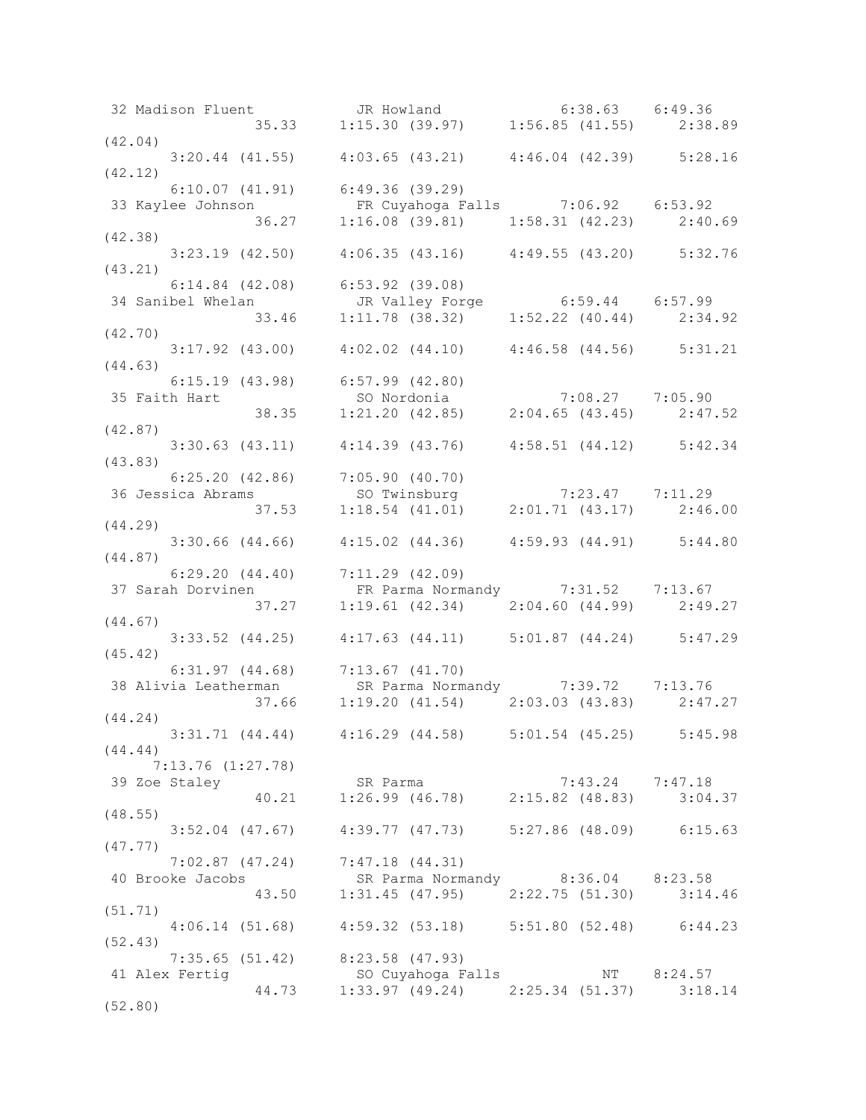32 Madison Fluent JR Howland 6:38.63 6:49.36 35.33 1:15.30 (39.97) 1:56.85 (41.55) 2:38.89 (42.04) 3:20.44 (41.55) 4:03.65 (43.21) 4:46.04 (42.39) 5:28.16 (42.12) 6:10.07 (41.91) 6:49.36 (39.29)<br>lee Johnson FR Cuyahoga Falls 7:06.92 6:53.92 33 Kaylee Johnson FR Cuyahoga Falls 7:06.92 6:53.92 36.27 1:16.08 (39.81) 1:58.31 (42.23) 2:40.69 (42.38) 3:23.19 (42.50) 4:06.35 (43.16) 4:49.55 (43.20) 5:32.76 (43.21) 6:14.84 (42.08) 6:53.92 (39.08) 34 Sanibel Whelan JR Valley Forge 6:59.44 6:57.99 33.46 1:11.78 (38.32) 1:52.22 (40.44) 2:34.92 (42.70) 3:17.92 (43.00) 4:02.02 (44.10) 4:46.58 (44.56) 5:31.21 (44.63) 6:15.19 (43.98) 6:57.99 (42.80) 35 Faith Hart SO Nordonia 7:08.27 7:05.90 38.35 1:21.20 (42.85) 2:04.65 (43.45) 2:47.52 (42.87) 3:30.63 (43.11) 4:14.39 (43.76) 4:58.51 (44.12) 5:42.34 (43.83) 6:25.20 (42.86) 7:05.90 (40.70) 36 Jessica Abrams SO Twinsburg 7:23.47 7:11.29 37.53 1:18.54 (41.01) 2:01.71 (43.17) 2:46.00 (44.29) 3:30.66 (44.66) 4:15.02 (44.36) 4:59.93 (44.91) 5:44.80 (44.87)  $6:29.20$   $(44.40)$   $7:11.29$   $(42.09)$ 37 Sarah Dorvinen FR Parma Normandy 7:31.52 7:13.67 37.27 1:19.61 (42.34) 2:04.60 (44.99) 2:49.27 (44.67) 3:33.52 (44.25) 4:17.63 (44.11) 5:01.87 (44.24) 5:47.29 (45.42) 6:31.97 (44.68) 7:13.67 (41.70) 38 Alivia Leatherman SR Parma Normandy 7:39.72 7:13.76 37.66 1:19.20 (41.54) 2:03.03 (43.83) 2:47.27 (44.24) 3:31.71 (44.44) 4:16.29 (44.58) 5:01.54 (45.25) 5:45.98 (44.44) 7:13.76 (1:27.78) 39 Zoe Staley SR Parma 7:43.24 7:47.18 40.21 1:26.99 (46.78) 2:15.82 (48.83) 3:04.37 (48.55) 3:52.04 (47.67) 4:39.77 (47.73) 5:27.86 (48.09) 6:15.63 (47.77) 7:02.87 (47.24) 7:47.18 (44.31) 40 Brooke Jacobs SR Parma Normandy 8:36.04 8:23.58 43.50 1:31.45 (47.95) 2:22.75 (51.30) 3:14.46 (51.71) 4:06.14 (51.68) 4:59.32 (53.18) 5:51.80 (52.48) 6:44.23 (52.43) 7:35.65 (51.42) 8:23.58 (47.93) 41 Alex Fertig SO Cuyahoga Falls NT 8:24.57 44.73 1:33.97 (49.24) 2:25.34 (51.37) 3:18.14 (52.80)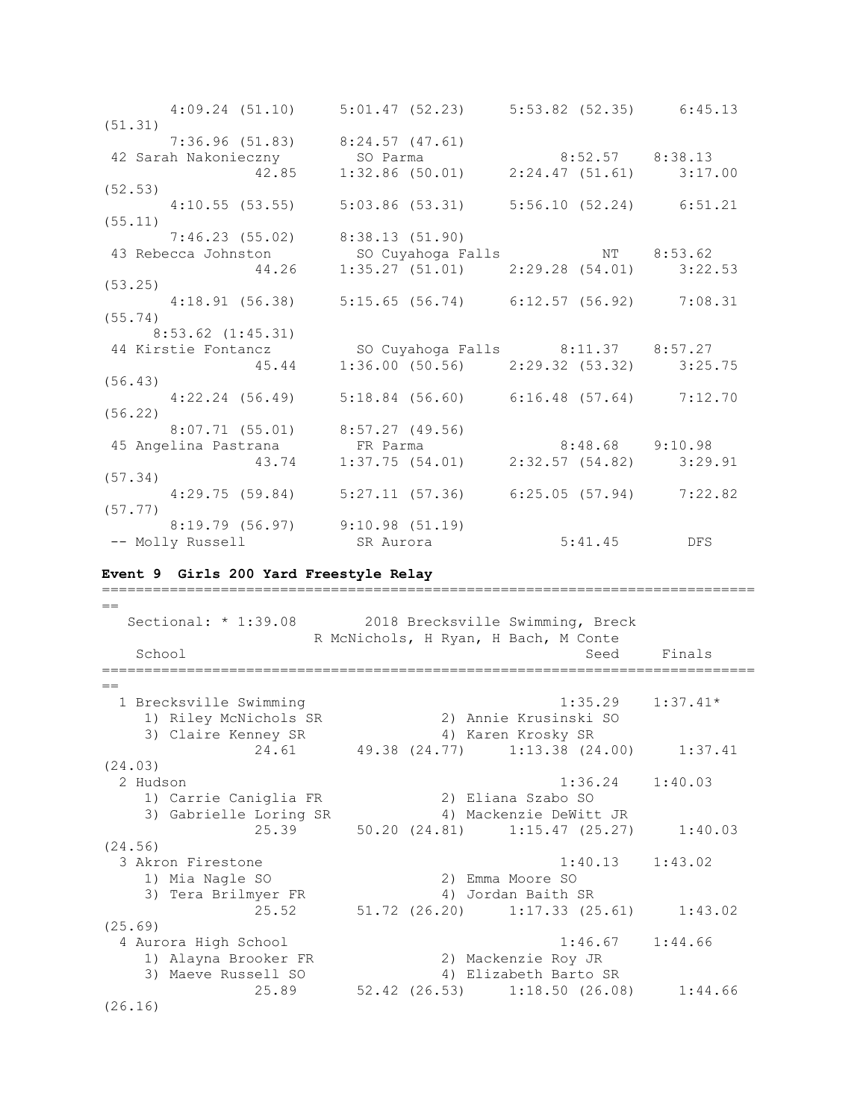| $4:09.24$ (51.10) $5:01.47$ (52.23) $5:53.82$ (52.35) $6:45.13$                                                                                                |  |  |
|----------------------------------------------------------------------------------------------------------------------------------------------------------------|--|--|
| (51.31)                                                                                                                                                        |  |  |
| $7:36.96$ (51.83) $8:24.57$ (47.61)                                                                                                                            |  |  |
| 42 Sarah Nakonieczny So Parma 8:52.57 8:38.13<br>42.85 1:32.86 (50.01) 2:24.47 (51.61) 3:17.00                                                                 |  |  |
|                                                                                                                                                                |  |  |
| (52.53)                                                                                                                                                        |  |  |
| 4:10.55 (53.55) 5:03.86 (53.31) 5:56.10 (52.24) 6:51.21                                                                                                        |  |  |
| (55.11)                                                                                                                                                        |  |  |
| $7:46.23$ (55.02) 8:38.13 (51.90)                                                                                                                              |  |  |
| 43 Rebecca Johnston 50 Cuyahoga Falls 1:35.62<br>44.26 1:35.27 (51.01) 2:29.28 (54.01) 3:22.53                                                                 |  |  |
|                                                                                                                                                                |  |  |
| (53.25)                                                                                                                                                        |  |  |
| 4:18.91 (56.38) 5:15.65 (56.74) 6:12.57 (56.92) 7:08.31                                                                                                        |  |  |
| (55.74)                                                                                                                                                        |  |  |
| $8:53.62$ $(1:45.31)$                                                                                                                                          |  |  |
| 44 Kirstie Fontancz 50 Cuyahoga Falls 8:11.37 8:57.27<br>45.44 1:36.00 (50.56) 2:29.32 (53.32) 3:25.75                                                         |  |  |
|                                                                                                                                                                |  |  |
| (56.43)                                                                                                                                                        |  |  |
| $4:22.24$ (56.49) 5:18.84 (56.60) 6:16.48 (57.64) 7:12.70                                                                                                      |  |  |
| (56.22)                                                                                                                                                        |  |  |
| 8:07.71 (55.01) 8:57.27 (49.56)                                                                                                                                |  |  |
| 45 Angelina Pastrana $\begin{array}{cccc} \text{FR} & \text{Param} & 8:48.68 & 9:10.98 \\ 43.74 & 1:37.75 & (54.01) & 2:32.57 & (54.82) & 3:29.91 \end{array}$ |  |  |
|                                                                                                                                                                |  |  |
| (57.34)                                                                                                                                                        |  |  |
| $4:29.75$ (59.84) $5:27.11$ (57.36) $6:25.05$ (57.94) $7:22.82$                                                                                                |  |  |
| (57.77)                                                                                                                                                        |  |  |
| 8:19.79 (56.97) 9:10.98 (51.19)                                                                                                                                |  |  |
| -- Molly Russell SR Aurora 5:41.45 DFS                                                                                                                         |  |  |

### **Event 9 Girls 200 Yard Freestyle Relay**

=============================================================================  $=$ Sectional: \* 1:39.08 2018 Brecksville Swimming, Breck R McNichols, H Ryan, H Bach, M Conte School School Seed Finals =============================================================================  $=$  1 Brecksville Swimming 1:35.29 1:37.41\* 1) Riley McNichols SR 2) Annie Krusinski SO 3) Claire Kenney SR 4) Karen Krosky SR 24.61 49.38 (24.77) 1:13.38 (24.00) 1:37.41 (24.03) 2 Hudson 1:36.24 1:40.03 1) Carrie Caniglia FR 2) Eliana Szabo SO 3) Gabrielle Loring SR 4) Mackenzie DeWitt JR 25.39 50.20 (24.81) 1:15.47 (25.27) 1:40.03 (24.56) 3 Akron Firestone 1:40.13 1:43.02 1) Mia Nagle SO 2) Emma Moore SO 3) Tera Brilmyer FR 4) Jordan Baith SR 25.52 51.72 (26.20) 1:17.33 (25.61) 1:43.02 (25.69) 4 Aurora High School 1:46.67 1:44.66 1) Alayna Brooker FR 2) Mackenzie Roy JR 3) Maeve Russell SO 4) Elizabeth Barto SR 25.89 52.42 (26.53) 1:18.50 (26.08) 1:44.66 (26.16)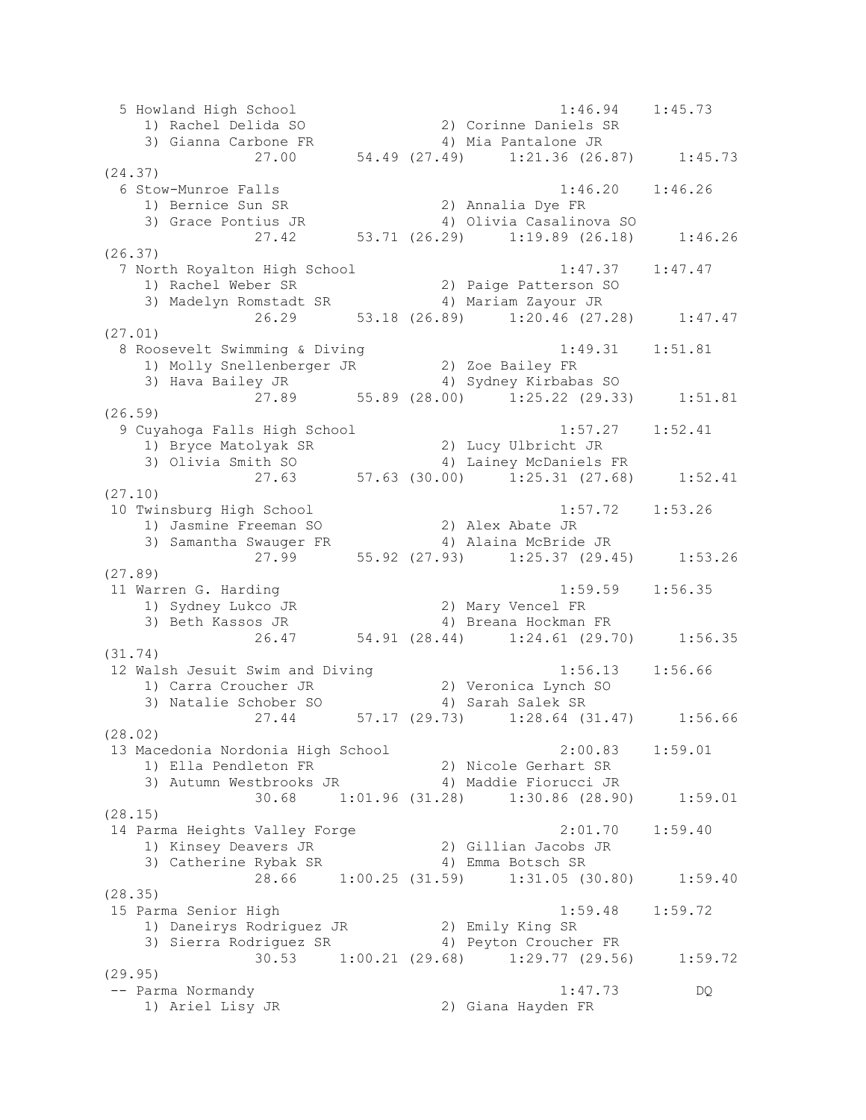5 Howland High School 1:46.94 1:45.73 1) Rachel Delida SO 2) Corinne Daniels SR 3) Gianna Carbone FR 4) Mia Pantalone JR 27.00 54.49 (27.49) 1:21.36 (26.87) 1:45.73 (24.37) 6 Stow-Munroe Falls 1:46.20 1:46.26 1) Bernice Sun SR 2) Annalia Dye FR 3) Grace Pontius JR 4) Olivia Casalinova SO 27.42 53.71 (26.29) 1:19.89 (26.18) 1:46.26 (26.37) 7 North Royalton High School 1:47.37 1:47.47 1) Rachel Weber SR 2) Paige Patterson SO 3) Madelyn Romstadt SR 4) Mariam Zayour JR 26.29 53.18 (26.89) 1:20.46 (27.28) 1:47.47 (27.01) 8 Roosevelt Swimming & Diving 1:49.31 1:51.81 1) Molly Snellenberger JR 2) Zoe Bailey FR 3) Hava Bailey JR 4) Sydney Kirbabas SO 3) Hava Bailey JR (28.00) 4) Sydney Kirbabas SO<br>27.89 (28.00) 1:25.22 (29.33) 1:51.81 (26.59) 9 Cuyahoga Falls High School 1:57.27 1:52.41 1) Bryce Matolyak SR 2) Lucy Ulbricht JR 3) Olivia Smith SO 4) Lainey McDaniels FR 27.63 57.63 (30.00) 1:25.31 (27.68) 1:52.41 (27.10) 10 Twinsburg High School 1:57.72 1:53.26 1) Jasmine Freeman SO 2) Alex Abate JR 3) Samantha Swauger FR 4) Alaina McBride JR 27.99 55.92 (27.93) 1:25.37 (29.45) 1:53.26 (27.89) 11 Warren G. Harding 1:59.59 1:56.35 1) Sydney Lukco JR 2) Mary Vencel FR 3) Beth Kassos JR 4) Breana Hockman FR 26.47 54.91 (28.44) 1:24.61 (29.70) 1:56.35 (31.74) 12 Walsh Jesuit Swim and Diving 1:56.13 1:56.66 1) Carra Croucher JR 2) Veronica Lynch SO 3) Natalie Schober SO 4) Sarah Salek SR 27.44 57.17 (29.73) 1:28.64 (31.47) 1:56.66 (28.02) 13 Macedonia Nordonia High School 2:00.83 1:59.01 1) Ella Pendleton FR 2) Nicole Gerhart SR 3) Autumn Westbrooks JR 4) Maddie Fiorucci JR 30.68 1:01.96 (31.28) 1:30.86 (28.90) 1:59.01 (28.15) 14 Parma Heights Valley Forge 2:01.70 1:59.40 1) Kinsey Deavers JR 2) Gillian Jacobs JR 3) Catherine Rybak SR 4) Emma Botsch SR 28.66 1:00.25 (31.59) 1:31.05 (30.80) 1:59.40 (28.35) 15 Parma Senior High 1:59.48 1:59.72 1) Daneirys Rodriguez JR 2) Emily King SR 3) Sierra Rodriguez SR 4) Peyton Croucher FR 30.53 1:00.21 (29.68) 1:29.77 (29.56) 1:59.72 (29.95) -- Parma Normandy 1:47.73 DQ 1) Ariel Lisy JR 2) Giana Hayden FR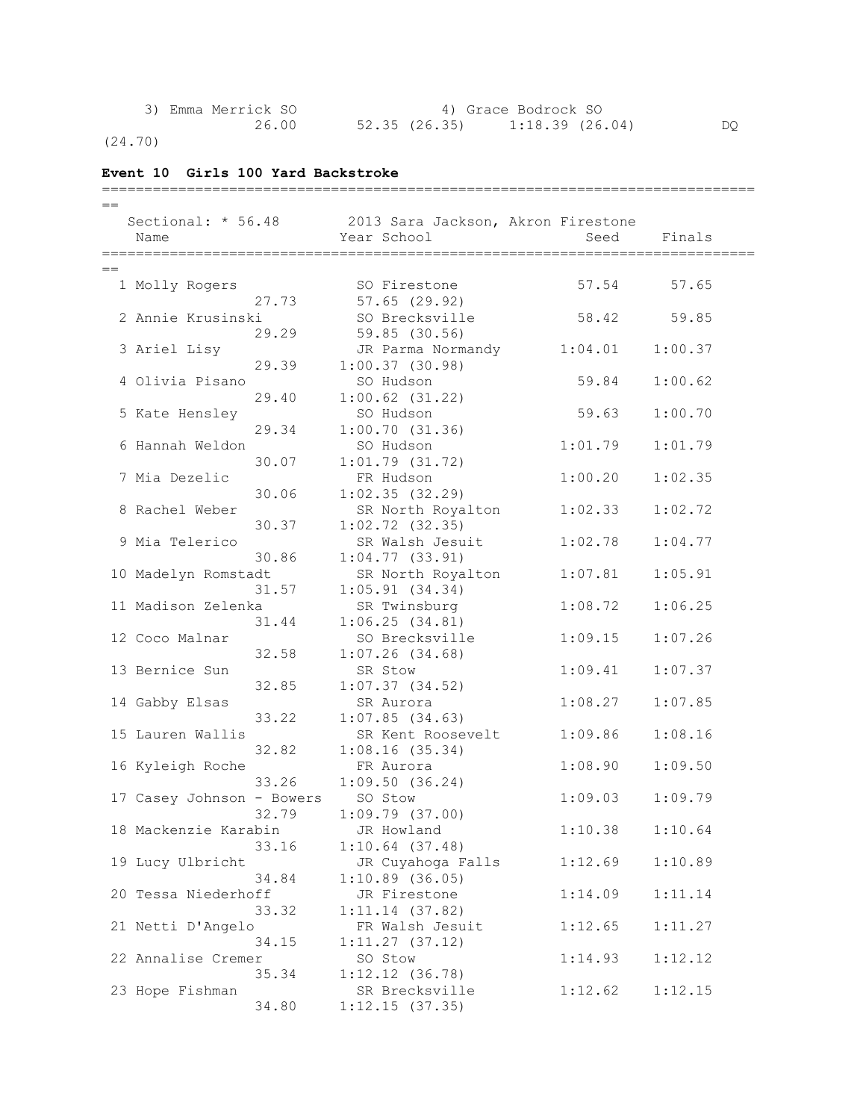| 3) Emma Merrick SO | 4) Grace Bodrock SO                |    |  |
|--------------------|------------------------------------|----|--|
| 26.00              | 52.35 (26.35)<br>$1:18.39$ (26.04) | DO |  |

=============================================================================

(24.70)

## **Event 10 Girls 100 Yard Backstroke**

| $==$                      |                                    |         |         |
|---------------------------|------------------------------------|---------|---------|
| Sectional: * 56.48        | 2013 Sara Jackson, Akron Firestone |         |         |
| Name                      | Year School                        | Seed    | Finals  |
|                           |                                    |         |         |
| $==$                      |                                    |         |         |
| 1 Molly Rogers            | SO Firestone                       | 57.54   | 57.65   |
|                           | $57.65$ $(29.92)$                  |         |         |
| 27.73                     |                                    |         |         |
| 2 Annie Krusinski         | SO Brecksville                     | 58.42   | 59.85   |
| 29.29                     | 59.85 (30.56)                      |         |         |
| 3 Ariel Lisy              | JR Parma Normandy                  | 1:04.01 | 1:00.37 |
| 29.39                     | 1:00.37(30.98)                     |         |         |
| 4 Olivia Pisano           | SO Hudson                          | 59.84   | 1:00.62 |
| 29.40                     | $1:00.62$ $(31.22)$                |         |         |
| 5 Kate Hensley            | SO Hudson                          | 59.63   | 1:00.70 |
| 29.34                     | 1:00.70(31.36)                     |         |         |
| 6 Hannah Weldon           | SO Hudson                          | 1:01.79 | 1:01.79 |
| 30.07                     | $1:01.79$ $(31.72)$                |         |         |
| 7 Mia Dezelic             | FR Hudson                          | 1:00.20 | 1:02.35 |
|                           |                                    |         |         |
| 30.06                     | 1:02.35(32.29)                     |         |         |
| 8 Rachel Weber            | SR North Royalton                  | 1:02.33 | 1:02.72 |
| 30.37                     | $1:02.72$ (32.35)                  |         |         |
| 9 Mia Telerico            | SR Walsh Jesuit                    | 1:02.78 | 1:04.77 |
| 30.86                     | 1:04.77(33.91)                     |         |         |
| 10 Madelyn Romstadt       | SR North Royalton                  | 1:07.81 | 1:05.91 |
| 31.57                     | 1:05.91(34.34)                     |         |         |
| 11 Madison Zelenka        | SR Twinsburg                       | 1:08.72 | 1:06.25 |
| 31.44                     | 1:06.25(34.81)                     |         |         |
| 12 Coco Malnar            | SO Brecksville                     | 1:09.15 | 1:07.26 |
| 32.58                     | $1:07.26$ (34.68)                  |         |         |
| 13 Bernice Sun            | SR Stow                            |         |         |
|                           |                                    | 1:09.41 | 1:07.37 |
| 32.85                     | 1:07.37(34.52)                     |         |         |
| 14 Gabby Elsas            | SR Aurora                          | 1:08.27 | 1:07.85 |
| 33.22                     | $1:07.85$ (34.63)                  |         |         |
| 15 Lauren Wallis          | SR Kent Roosevelt                  | 1:09.86 | 1:08.16 |
| 32.82                     | 1:08.16(35.34)                     |         |         |
| 16 Kyleigh Roche          | FR Aurora                          | 1:08.90 | 1:09.50 |
| 33.26                     | 1:09.50(36.24)                     |         |         |
| 17 Casey Johnson - Bowers | SO Stow                            | 1:09.03 | 1:09.79 |
| 32.79                     | 1:09.79(37.00)                     |         |         |
| 18 Mackenzie Karabin      | JR Howland                         | 1:10.38 | 1:10.64 |
| 33.16                     | $1:10.64$ (37.48)                  |         |         |
| 19 Lucy Ulbricht          |                                    | 1:12.69 | 1:10.89 |
|                           | JR Cuyahoga Falls                  |         |         |
| 34.84                     | 1:10.89(36.05)                     |         |         |
| 20 Tessa Niederhoff       | JR Firestone                       | 1:14.09 | 1:11.14 |
| 33.32                     | $1:11.14$ (37.82)                  |         |         |
| 21 Netti D'Angelo         | FR Walsh Jesuit                    | 1:12.65 | 1:11.27 |
| 34.15                     | 1:11.27(37.12)                     |         |         |
| 22 Annalise Cremer        | SO Stow                            | 1:14.93 | 1:12.12 |
| 35.34                     | $1:12.12$ $(36.78)$                |         |         |
| 23 Hope Fishman           | SR Brecksville                     | 1:12.62 | 1:12.15 |
| 34.80                     | 1:12.15(37.35)                     |         |         |
|                           |                                    |         |         |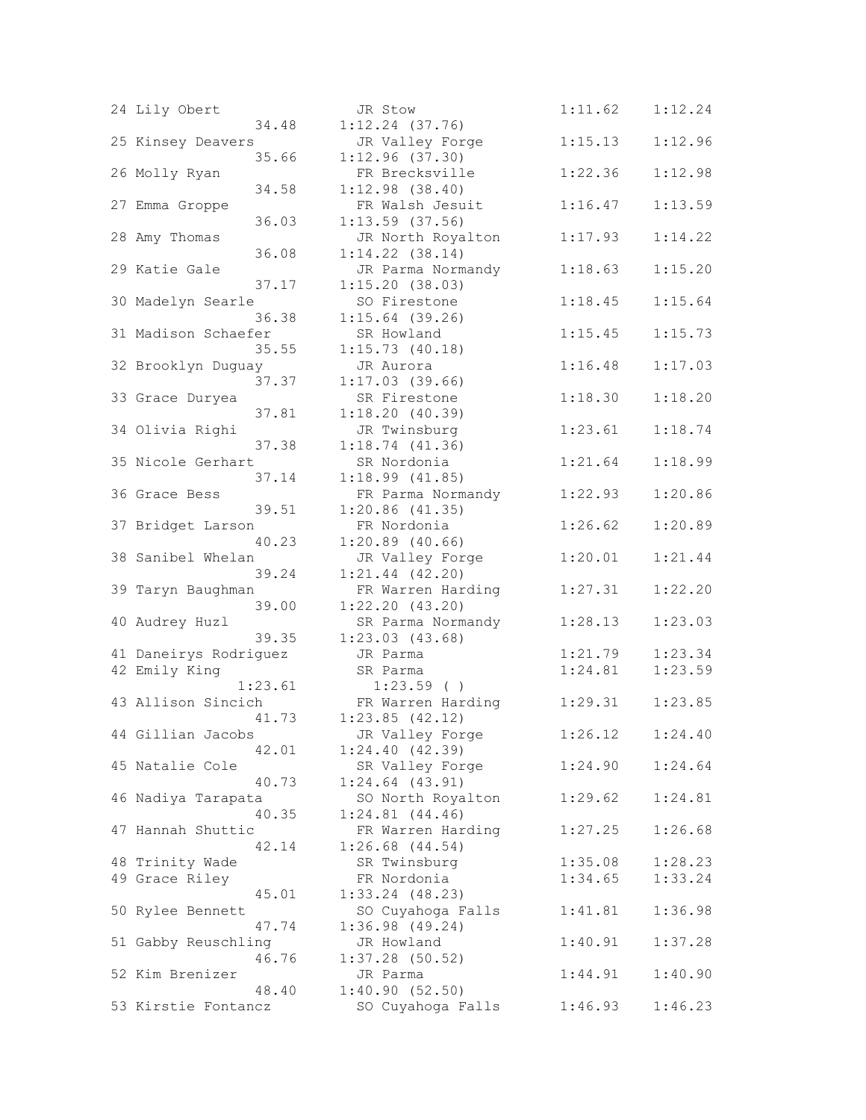| 24 Lily Obert         |         | JR Stow                    | 1:11.62 | 1:12.24 |
|-----------------------|---------|----------------------------|---------|---------|
|                       | 34.48   | $1:12.24$ (37.76)          |         |         |
| 25 Kinsey Deavers     |         | JR Valley Forge            | 1:15.13 | 1:12.96 |
|                       | 35.66   | 1:12.96(37.30)             |         |         |
| 26 Molly Ryan         |         | FR Brecksville             | 1:22.36 | 1:12.98 |
|                       | 34.58   | $1:12.98$ (38.40)          |         |         |
| 27 Emma Groppe        |         | FR Walsh Jesuit            | 1:16.47 | 1:13.59 |
|                       | 36.03   | $1:13.59$ (37.56)          |         |         |
| 28 Amy Thomas         |         | JR North Royalton          | 1:17.93 | 1:14.22 |
|                       | 36.08   | $1:14.22$ (38.14)          |         |         |
| 29 Katie Gale         |         | JR Parma Normandy          | 1:18.63 | 1:15.20 |
|                       | 37.17   | 1:15.20(38.03)             |         |         |
| 30 Madelyn Searle     |         | SO Firestone               | 1:18.45 | 1:15.64 |
|                       | 36.38   | $1:15.64$ (39.26)          |         |         |
| 31 Madison Schaefer   |         | SR Howland                 | 1:15.45 | 1:15.73 |
|                       | 35.55   | 1:15.73(40.18)             |         |         |
| 32 Brooklyn Duguay    |         | JR Aurora                  | 1:16.48 | 1:17.03 |
|                       | 37.37   | 1:17.03(39.66)             |         |         |
| 33 Grace Duryea       |         | SR Firestone               | 1:18.30 | 1:18.20 |
|                       | 37.81   | 1:18.20(40.39)             |         |         |
| 34 Olivia Righi       |         | JR Twinsburg               | 1:23.61 | 1:18.74 |
|                       | 37.38   | 1:18.74(41.36)             |         |         |
| 35 Nicole Gerhart     |         | SR Nordonia                | 1:21.64 | 1:18.99 |
|                       | 37.14   | 1:18.99(41.85)             |         |         |
| 36 Grace Bess         |         | FR Parma Normandy          | 1:22.93 | 1:20.86 |
|                       | 39.51   | $1:20.86$ $(41.35)$        |         |         |
| 37 Bridget Larson     |         | FR Nordonia                | 1:26.62 | 1:20.89 |
|                       | 40.23   | $1:20.89$ (40.66)          |         |         |
| 38 Sanibel Whelan     |         | JR Valley Forge            | 1:20.01 | 1:21.44 |
|                       | 39.24   | $1:21.44$ $(42.20)$        |         |         |
| 39 Taryn Baughman     |         | FR Warren Harding          | 1:27.31 | 1:22.20 |
|                       | 39.00   | 1:22.20(43.20)             |         |         |
| 40 Audrey Huzl        |         | SR Parma Normandy          | 1:28.13 | 1:23.03 |
|                       | 39.35   | 1:23.03(43.68)             |         |         |
| 41 Daneirys Rodriguez |         | JR Parma                   | 1:21.79 | 1:23.34 |
| 42 Emily King         |         | SR Parma                   | 1:24.81 | 1:23.59 |
|                       | 1:23.61 | $1:23.59$ ()               |         |         |
| 43 Allison Sincich    |         | FR Warren Harding          | 1:29.31 | 1:23.85 |
|                       | 41.73   | $1:23.85$ $(42.12)$        |         |         |
| 44 Gillian Jacobs     |         | JR Valley Forge            | 1:26.12 | 1:24.40 |
|                       | 42.01   | 1:24.40(42.39)             |         |         |
| 45 Natalie Cole       |         | SR Valley Forge            | 1:24.90 | 1:24.64 |
|                       | 40.73   | $1:24.64$ $(43.91)$        |         |         |
| 46 Nadiya Tarapata    |         | SO North Royalton          | 1:29.62 | 1:24.81 |
|                       | 40.35   | $1:24.81$ $(44.46)$        |         |         |
| 47 Hannah Shuttic     |         | FR Warren Harding          | 1:27.25 | 1:26.68 |
|                       | 42.14   | $1:26.68$ $(44.54)$        |         |         |
| 48 Trinity Wade       |         | SR Twinsburg               | 1:35.08 | 1:28.23 |
| 49 Grace Riley        |         | FR Nordonia                | 1:34.65 | 1:33.24 |
|                       | 45.01   | $1:33.24$ $(48.23)$        |         |         |
| 50 Rylee Bennett      |         | SO Cuyahoga Falls          | 1:41.81 | 1:36.98 |
|                       | 47.74   | $1:36.98$ (49.24)          |         |         |
| 51 Gabby Reuschling   |         | JR Howland                 | 1:40.91 | 1:37.28 |
|                       | 46.76   | $1:37.28$ (50.52)          |         |         |
| 52 Kim Brenizer       | 48.40   | JR Parma<br>1:40.90(52.50) | 1:44.91 | 1:40.90 |
| 53 Kirstie Fontancz   |         | SO Cuyahoga Falls          | 1:46.93 | 1:46.23 |
|                       |         |                            |         |         |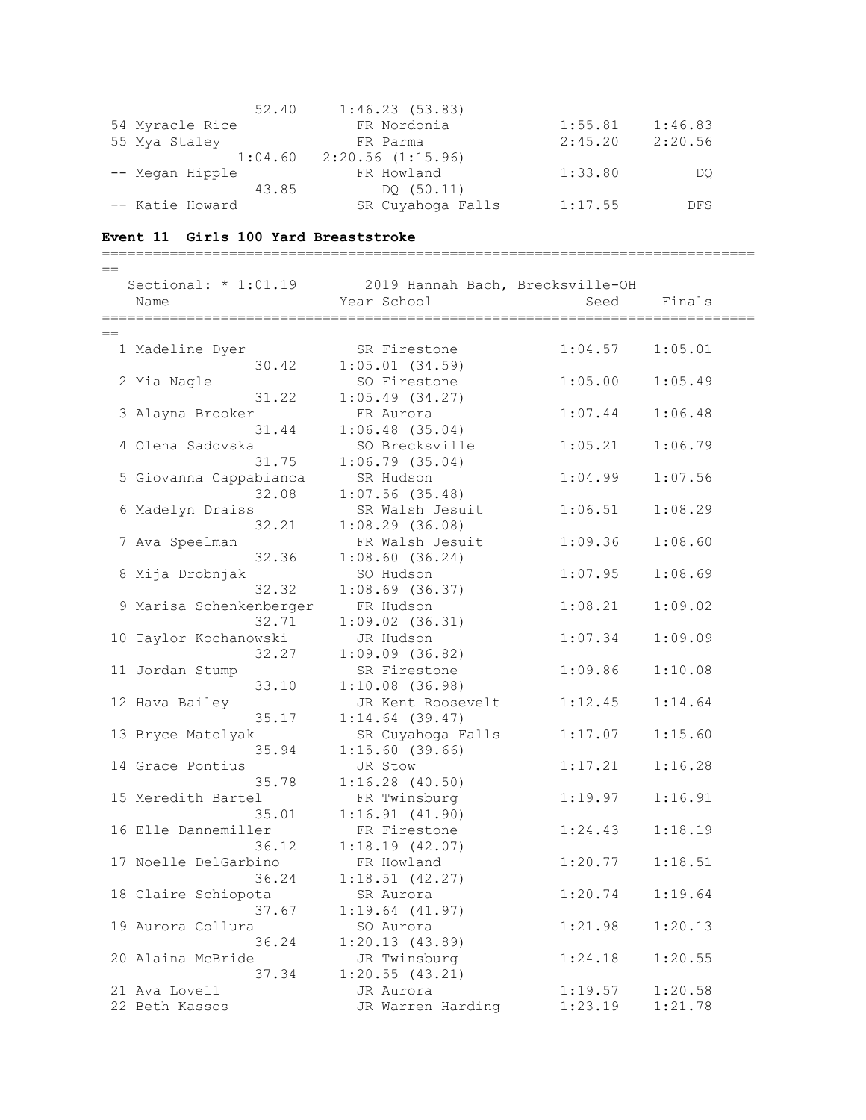| 52.40           | 1:46.23(53.83)        |         |            |
|-----------------|-----------------------|---------|------------|
| 54 Myracle Rice | FR Nordonia           | 1:55.81 | 1:46.83    |
| 55 Mya Staley   | FR Parma              | 2:45.20 | 2:20.56    |
| 1:04.60         | $2:20.56$ $(1:15.96)$ |         |            |
| -- Megan Hipple | FR Howland            | 1:33.80 | DO         |
| 43.85           | DO (50.11)            |         |            |
| -- Katie Howard | SR Cuyahoga Falls     | 1:17.55 | <b>DFS</b> |

## **Event 11 Girls 100 Yard Breaststroke**

|     |                         |       | ==================================== |         |         |
|-----|-------------------------|-------|--------------------------------------|---------|---------|
| $=$ |                         |       |                                      |         |         |
|     | Sectional: $* 1:01.19$  |       | 2019 Hannah Bach, Brecksville-OH     |         |         |
|     | Name                    |       | Year School                          | Seed    | Finals  |
|     |                         |       |                                      |         |         |
| $=$ |                         |       |                                      |         |         |
|     | 1 Madeline Dyer         |       | SR Firestone                         | 1:04.57 | 1:05.01 |
|     |                         | 30.42 | $1:05.01$ $(34.59)$                  |         |         |
|     | 2 Mia Nagle             |       | SO Firestone                         | 1:05.00 | 1:05.49 |
|     |                         | 31.22 | $1:05.49$ (34.27)                    |         |         |
|     | 3 Alayna Brooker        |       | FR Aurora                            | 1:07.44 | 1:06.48 |
|     |                         | 31.44 | $1:06.48$ (35.04)                    |         |         |
|     | 4 Olena Sadovska        |       | SO Brecksville                       | 1:05.21 | 1:06.79 |
|     |                         | 31.75 | $1:06.79$ (35.04)                    |         |         |
|     | 5 Giovanna Cappabianca  |       | SR Hudson                            | 1:04.99 | 1:07.56 |
|     |                         | 32.08 | $1:07.56$ (35.48)                    |         |         |
|     | 6 Madelyn Draiss        |       | SR Walsh Jesuit                      | 1:06.51 | 1:08.29 |
|     |                         | 32.21 | $1:08.29$ (36.08)                    |         |         |
|     | 7 Ava Speelman          |       | FR Walsh Jesuit                      | 1:09.36 | 1:08.60 |
|     |                         | 32.36 | 1:08.60(36.24)                       |         |         |
|     | 8 Mija Drobnjak         |       | SO Hudson                            | 1:07.95 | 1:08.69 |
|     |                         | 32.32 | $1:08.69$ (36.37)                    |         |         |
|     | 9 Marisa Schenkenberger |       | FR Hudson                            | 1:08.21 | 1:09.02 |
|     |                         | 32.71 | $1:09.02$ $(36.31)$                  |         |         |
|     | 10 Taylor Kochanowski   |       | JR Hudson                            | 1:07.34 | 1:09.09 |
|     |                         | 32.27 | $1:09.09$ (36.82)                    |         |         |
|     | 11 Jordan Stump         |       | SR Firestone                         | 1:09.86 | 1:10.08 |
|     |                         | 33.10 | $1:10.08$ (36.98)                    |         |         |
|     | 12 Hava Bailey          |       | JR Kent Roosevelt                    | 1:12.45 | 1:14.64 |
|     |                         | 35.17 | $1:14.64$ (39.47)                    |         |         |
|     | 13 Bryce Matolyak       |       | SR Cuyahoga Falls                    | 1:17.07 | 1:15.60 |
|     |                         | 35.94 | 1:15.60(39.66)                       |         |         |
|     | 14 Grace Pontius        |       | JR Stow                              | 1:17.21 | 1:16.28 |
|     |                         | 35.78 | $1:16.28$ (40.50)                    |         |         |
|     | 15 Meredith Bartel      |       | FR Twinsburg                         | 1:19.97 | 1:16.91 |
|     |                         | 35.01 | 1:16.91(41.90)                       |         |         |
|     | 16 Elle Dannemiller     |       | FR Firestone                         | 1:24.43 | 1:18.19 |
|     |                         | 36.12 | 1:18.19(42.07)                       |         |         |
|     | 17 Noelle DelGarbino    |       | FR Howland                           | 1:20.77 | 1:18.51 |
|     |                         | 36.24 | 1:18.51(42.27)                       |         |         |
|     | 18 Claire Schiopota     |       | SR Aurora                            | 1:20.74 | 1:19.64 |
|     |                         | 37.67 | 1:19.64(41.97)                       |         |         |
|     | 19 Aurora Collura       |       | SO Aurora                            | 1:21.98 | 1:20.13 |
|     |                         | 36.24 | 1:20.13(43.89)                       |         |         |
|     | 20 Alaina McBride       |       | JR Twinsburg                         | 1:24.18 | 1:20.55 |
|     |                         | 37.34 | 1:20.55(43.21)                       |         |         |
|     | 21 Ava Lovell           |       | JR Aurora                            | 1:19.57 | 1:20.58 |
|     | 22 Beth Kassos          |       | JR Warren Harding                    | 1:23.19 | 1:21.78 |
|     |                         |       |                                      |         |         |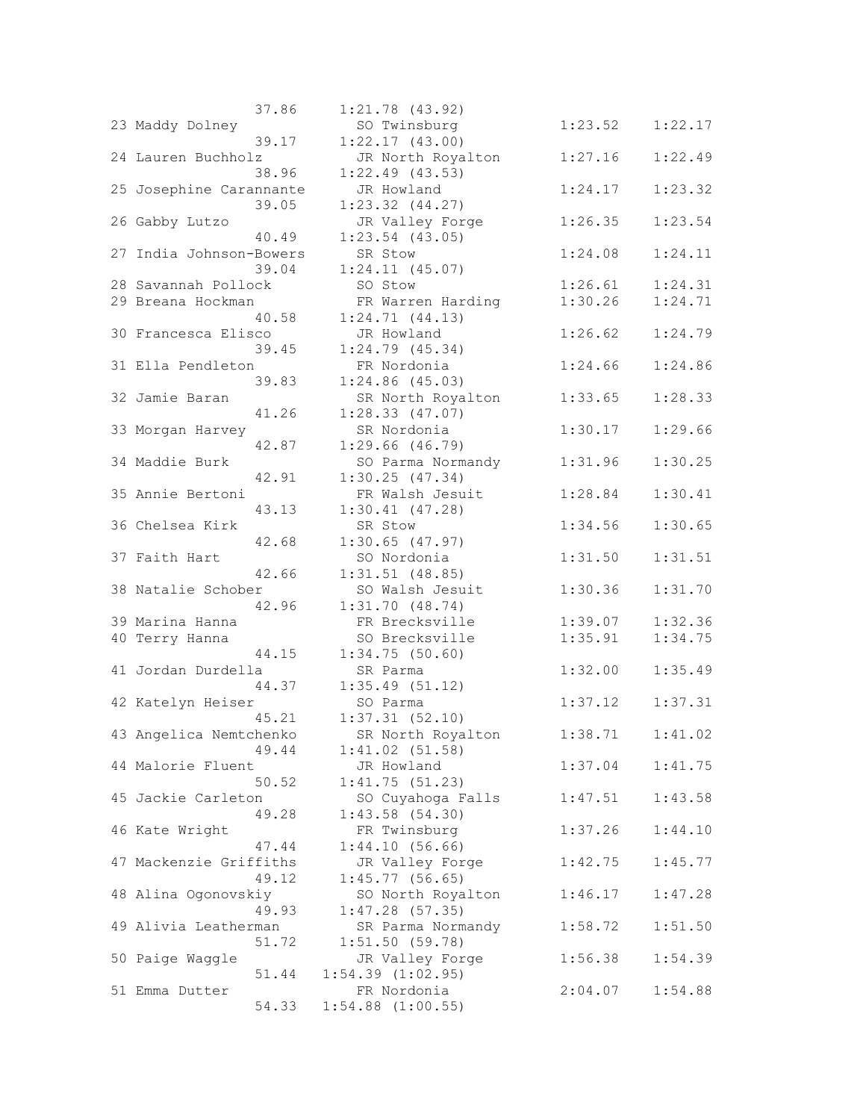|                         | 37.86 | $1:21.78$ $(43.92)$                   |
|-------------------------|-------|---------------------------------------|
| 23 Maddy Dolney         | 39.17 | SO Twinsburg<br>1:22.17(43.00)        |
| 24 Lauren Buchholz      |       | JR North Royal                        |
|                         | 38.96 | $1:22.49$ (43.53)                     |
| 25 Josephine Carannante | 39.05 | JR Howland<br>$1:23.32$ $(44.27)$     |
| 26 Gabby Lutzo          |       | JR Valley Forg                        |
|                         | 40.49 | $1:23.54$ (43.05)                     |
| 27 India Johnson-Bowers |       | SR Stow                               |
| 28 Savannah Pollock     | 39.04 | 1:24.11(45.07)<br>SO Stow             |
| 29 Breana Hockman       |       | FR Warren Hard                        |
|                         | 40.58 | 1:24.71(44.13)                        |
| 30 Francesca Elisco     | 39.45 | JR Howland<br>1:24.79(45.34)          |
| 31 Ella Pendleton       |       | FR Nordonia                           |
|                         | 39.83 | 1:24.86(45.03)                        |
| 32 Jamie Baran          |       | SR North Royal                        |
| 33 Morgan Harvey        | 41.26 | 1:28.33(47.07)<br>SR Nordonia         |
|                         | 42.87 | 1:29.66(46.79)                        |
| 34 Maddie Burk          |       | SO Parma Norma                        |
|                         | 42.91 | 1:30.25(47.34)                        |
| 35 Annie Bertoni        | 43.13 | FR Walsh Jesui<br>$1:30.41$ $(47.28)$ |
| 36 Chelsea Kirk         |       | SR Stow                               |
|                         | 42.68 | 1:30.65(47.97)                        |
| 37 Faith Hart           |       | SO Nordonia                           |
| 38 Natalie Schober      | 42.66 | 1:31.51(48.85)<br>SO Walsh Jesui      |
|                         | 42.96 | 1:31.70(48.74)                        |
| 39 Marina Hanna         |       | FR Brecksville                        |
| 40 Terry Hanna          | 44.15 | SO Brecksville<br>1:34.75(50.60)      |
| 41 Jordan Durdella      |       | SR Parma                              |
|                         | 44.37 | 1:35.49(51.12)                        |
| 42 Katelyn Heiser       |       | SO Parma                              |
| 43 Angelica Nemtchenko  | 45.21 | $1:37.31$ $(52.10)$<br>SR North Royal |
|                         | 49.44 | 1:41.02(51.58)                        |
| 44 Malorie Fluent       |       | JR Howland                            |
|                         | 50.52 | 1:41.75(51.23)                        |
| 45 Jackie Carleton      | 49.28 | SO Cuyahoga Fa<br>1:43.58(54.30)      |
| 46 Kate Wright          |       | FR Twinsburg                          |
|                         | 47.44 | 1:44.10(56.66)                        |
| 47 Mackenzie Griffiths  | 49.12 | JR Valley Forg<br>1:45.77(56.65)      |
| 48 Alina Ogonovskiy     |       | SO North Royal                        |
|                         | 49.93 | $1:47.28$ (57.35)                     |
| 49 Alivia Leatherman    |       | SR Parma Norma                        |
| 50 Paige Waggle         | 51.72 | 1:51.50(59.78)<br>JR Valley Forg      |
|                         | 51.44 | $1:54.39$ $(1:02.95)$                 |
| 51 Emma Dutter          |       | FR Nordonia                           |
|                         | 54.33 | $1:54.88$ $(1:00.55)$                 |

|                                          | 31.00 | 1:41,70 (43,94 <i>)</i>                |         |         |
|------------------------------------------|-------|----------------------------------------|---------|---------|
| 23 Maddy Dolney                          | 39.17 | SO Twinsburg<br>1:22.17(43.00)         | 1:23.52 | 1:22.17 |
| 24 Lauren Buchholz                       | 38.96 | JR North Royalton<br>$1:22.49$ (43.53) | 1:27.16 | 1:22.49 |
| 25 Josephine Carannante                  |       | JR Howland                             | 1:24.17 | 1:23.32 |
| 26 Gabby Lutzo                           | 39.05 | $1:23.32$ $(44.27)$<br>JR Valley Forge | 1:26.35 | 1:23.54 |
| 27 India Johnson-Bowers                  | 40.49 | $1:23.54$ $(43.05)$<br>SR Stow         | 1:24.08 | 1:24.11 |
|                                          | 39.04 | $1:24.11$ $(45.07)$                    | 1:26.61 | 1:24.31 |
| 28 Savannah Pollock<br>29 Breana Hockman |       | SO Stow<br>FR Warren Harding           | 1:30.26 | 1:24.71 |
|                                          | 40.58 | 1:24.71(44.13)                         |         |         |
| 30 Francesca Elisco                      |       | JR Howland                             | 1:26.62 | 1:24.79 |
|                                          | 39.45 | 1:24.79(45.34)                         |         |         |
| 31 Ella Pendleton                        |       | FR Nordonia                            | 1:24.66 | 1:24.86 |
|                                          | 39.83 | $1:24.86$ (45.03)                      |         |         |
| 32 Jamie Baran                           |       | SR North Royalton                      | 1:33.65 | 1:28.33 |
|                                          | 41.26 | 1:28.33(47.07)                         |         |         |
| 33 Morgan Harvey                         |       | SR Nordonia                            | 1:30.17 | 1:29.66 |
|                                          | 42.87 | 1:29.66(46.79)                         |         |         |
| 34 Maddie Burk                           |       | SO Parma Normandy                      | 1:31.96 | 1:30.25 |
|                                          | 42.91 | 1:30.25(47.34)                         |         |         |
| 35 Annie Bertoni                         |       | FR Walsh Jesuit                        | 1:28.84 | 1:30.41 |
|                                          | 43.13 | $1:30.41$ $(47.28)$                    |         |         |
| 36 Chelsea Kirk                          |       | SR Stow                                | 1:34.56 | 1:30.65 |
|                                          | 42.68 | 1:30.65(47.97)                         |         |         |
| 37 Faith Hart                            |       | SO Nordonia                            | 1:31.50 | 1:31.51 |
|                                          | 42.66 | 1:31.51(48.85)                         |         |         |
| 38 Natalie Schober                       |       | SO Walsh Jesuit                        | 1:30.36 | 1:31.70 |
|                                          | 42.96 | 1:31.70(48.74)                         |         |         |
| 39 Marina Hanna                          |       | FR Brecksville                         | 1:39.07 | 1:32.36 |
| 40 Terry Hanna                           |       | SO Brecksville                         | 1:35.91 | 1:34.75 |
|                                          | 44.15 | 1:34.75(50.60)                         |         |         |
| 41 Jordan Durdella                       |       | SR Parma                               | 1:32.00 | 1:35.49 |
|                                          | 44.37 | 1:35.49(51.12)                         |         |         |
| 42 Katelyn Heiser                        |       | SO Parma                               | 1:37.12 | 1:37.31 |
|                                          | 45.21 | 1:37.31(52.10)                         |         |         |
| 43 Angelica Nemtchenko                   |       | SR North Royalton                      | 1:38.71 | 1:41.02 |
|                                          | 49.44 | $1:41.02$ (51.58)                      |         |         |
| 44 Malorie Fluent                        |       | JR Howland                             | 1:37.04 | 1:41.75 |
|                                          | 50.52 | 1:41.75(51.23)                         |         |         |
| 45 Jackie Carleton                       |       | SO Cuyahoga Falls                      | 1:47.51 | 1:43.58 |
|                                          | 49.28 | 1:43.58(54.30)                         |         |         |
| 46 Kate Wright                           |       | FR Twinsburg                           | 1:37.26 | 1:44.10 |
|                                          | 47.44 | 1:44.10(56.66)                         |         |         |
| 47 Mackenzie Griffiths                   |       | JR Valley Forge                        | 1:42.75 | 1:45.77 |
|                                          | 49.12 | 1:45.77(56.65)                         |         |         |
| 48 Alina Ogonovskiy                      |       | SO North Royalton                      | 1:46.17 | 1:47.28 |
|                                          | 49.93 | $1:47.28$ (57.35)                      |         |         |
| 49 Alivia Leatherman                     |       | SR Parma Normandy                      | 1:58.72 | 1:51.50 |
|                                          | 51.72 | 1:51.50(59.78)                         |         |         |
| 50 Paige Waggle                          |       | JR Valley Forge                        | 1:56.38 | 1:54.39 |
|                                          | 51.44 | $1:54.39$ $(1:02.95)$                  |         |         |
| 51 Emma Dutter                           |       | FR Nordonia                            | 2:04.07 | 1:54.88 |
|                                          | 54.33 | $1:54.88$ $(1:00.55)$                  |         |         |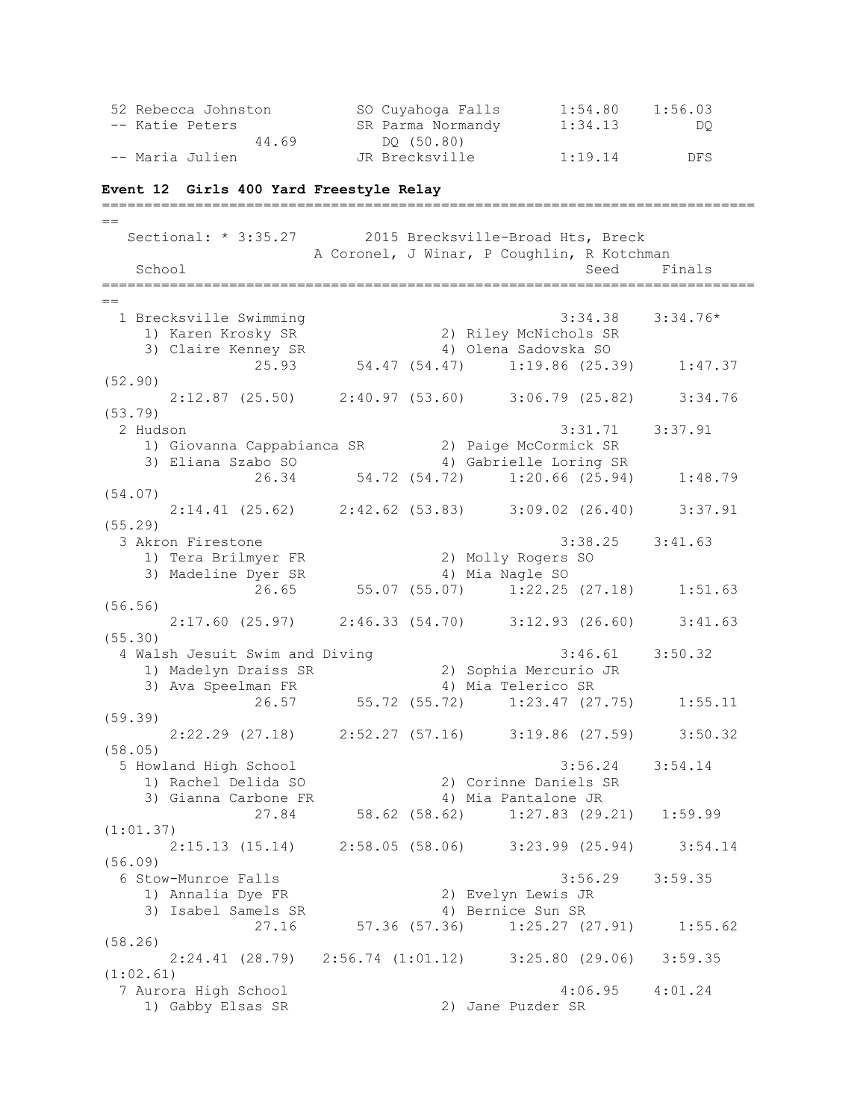| 52 Rebecca Johnston | SO Cuyahoga Falls | 1:54.80 | 1:56.03 |
|---------------------|-------------------|---------|---------|
| -- Katie Peters     | SR Parma Normandy | 1:34.13 | DO.     |
| 44.69               | DO (50.80)        |         |         |
| -- Maria Julien     | JR Brecksville    | 1:19.14 | DFS     |

#### **Event 12 Girls 400 Yard Freestyle Relay**

=============================================================================  $=$ Sectional: \* 3:35.27 2015 Brecksville-Broad Hts, Breck A Coronel, J Winar, P Coughlin, R Kotchman School Seed Finals =============================================================================  $=$  1 Brecksville Swimming 3:34.38 3:34.76\* 1) Karen Krosky SR 2) Riley McNichols SR 3) Claire Kenney SR 4) Olena Sadovska SO 25.93 54.47 (54.47) 1:19.86 (25.39) 1:47.37 (52.90) 2:12.87 (25.50) 2:40.97 (53.60) 3:06.79 (25.82) 3:34.76 (53.79) 2 Hudson 3:31.71 3:37.91 1) Giovanna Cappabianca SR 2) Paige McCormick SR 3) Eliana Szabo SO 4) Gabrielle Loring SR 26.34 54.72 (54.72) 1:20.66 (25.94) 1:48.79 (54.07) 2:14.41 (25.62) 2:42.62 (53.83) 3:09.02 (26.40) 3:37.91 (55.29) 3 Akron Firestone 3:38.25 3:41.63 1) Tera Brilmyer FR 2) Molly Rogers SO 3) Madeline Dyer SR 4) Mia Nagle SO 26.65 55.07 (55.07) 1:22.25 (27.18) 1:51.63 (56.56) 2:17.60 (25.97) 2:46.33 (54.70) 3:12.93 (26.60) 3:41.63 (55.30) 4 Walsh Jesuit Swim and Diving 3:46.61 3:50.32<br>1) Madelyn Draiss SR 2) Sophia Mercurio JR<br>3) Ava Speelman FR 4) Mia Telerico SR 1) Madelyn Draiss SR<br>2) Southware ER 3) Ava Speelman FR 4) Mia Telerico SR 26.57 55.72 (55.72) 1:23.47 (27.75) 1:55.11 (59.39) 2:22.29 (27.18) 2:52.27 (57.16) 3:19.86 (27.59) 3:50.32 (58.05) 5 Howland High School 3:56.24 3:54.14 1) Rachel Delida SO 2) Corinne Daniels SR 3) Gianna Carbone FR 4) Mia Pantalone JR 27.84 58.62 (58.62) 1:27.83 (29.21) 1:59.99 (1:01.37) 2:15.13 (15.14) 2:58.05 (58.06) 3:23.99 (25.94) 3:54.14 (56.09) 6 Stow-Munroe Falls 3:56.29 3:59.35 1) Annalia Dye FR 2) Evelyn Lewis JR 3) Isabel Samels SR 4) Bernice Sun SR 27.16 57.36 (57.36) 1:25.27 (27.91) 1:55.62 (58.26) 2:24.41 (28.79) 2:56.74 (1:01.12) 3:25.80 (29.06) 3:59.35 (1:02.61) 7 Aurora High School 4:06.95 4:01.24 1) Gabby Elsas SR 2) Jane Puzder SR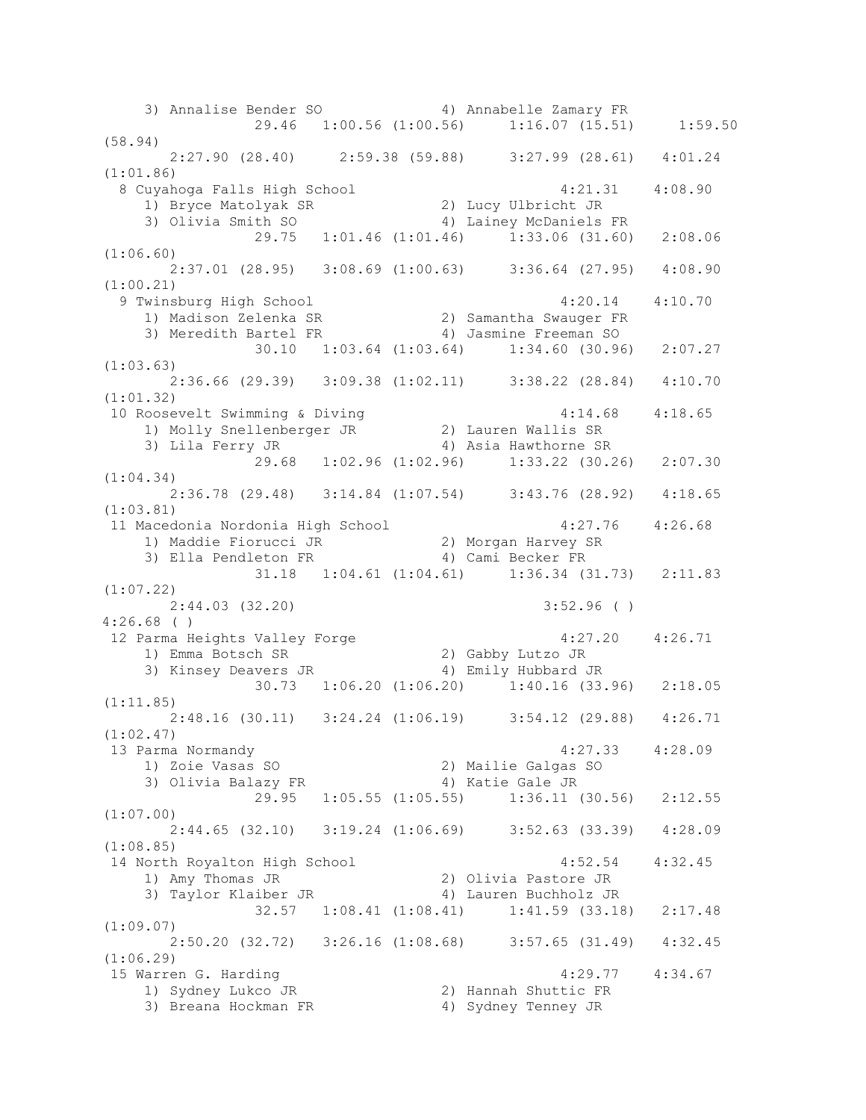3) Annalise Bender SO 4) Annabelle Zamary FR 29.46 1:00.56 (1:00.56) 1:16.07 (15.51) 1:59.50 (58.94)  $2:27.90$  (28.40)  $2:59.38$  (59.88)  $3:27.99$  (28.61)  $4:01.24$ (1:01.86) 8 Cuyahoga Falls High School 4:21.31 4:08.90 1) Bryce Matolyak SR 2) Lucy Ulbricht JR 3) Olivia Smith SO 4) Lainey McDaniels FR 29.75 1:01.46 (1:01.46) 1:33.06 (31.60) 2:08.06 (1:06.60) 2:37.01 (28.95) 3:08.69 (1:00.63) 3:36.64 (27.95) 4:08.90 (1:00.21) 9 Twinsburg High School 4:20.14 4:10.70 1) Madison Zelenka SR 2) Samantha Swauger FR 3) Meredith Bartel FR 4) Jasmine Freeman SO 30.10 1:03.64 (1:03.64) 1:34.60 (30.96) 2:07.27 (1:03.63) 2:36.66 (29.39) 3:09.38 (1:02.11) 3:38.22 (28.84) 4:10.70 (1:01.32) 10 Roosevelt Swimming & Diving 4:14.68 4:18.65 1) Molly Snellenberger JR 2) Lauren Wallis SR 3) Lila Ferry JR 4) Asia Hawthorne SR 29.68 1:02.96 (1:02.96) 1:33.22 (30.26) 2:07.30 (1:04.34) 2:36.78 (29.48) 3:14.84 (1:07.54) 3:43.76 (28.92) 4:18.65 (1:03.81) 11 Macedonia Nordonia High School 4:27.76 4:26.68 1) Maddie Fiorucci JR 2) Morgan Harvey SR 3) Ella Pendleton FR 4) Cami Becker FR 31.18 1:04.61 (1:04.61) 1:36.34 (31.73) 2:11.83 (1:07.22) 2:44.03 (32.20) 3:52.96 ( ) 4:26.68 ( ) 12 Parma Heights Valley Forge 1997 120 4:27.20 4:26.71 1) Emma Botsch SR 2) Gabby Lutzo JR 3) Kinsey Deavers JR 4) Emily Hubbard JR  $30.73$  1:06.20  $(1:06.20)$  1:40.16  $(33.96)$  2:18.05 (1:11.85) 2:48.16 (30.11) 3:24.24 (1:06.19) 3:54.12 (29.88) 4:26.71 (1:02.47) 13 Parma Normandy 4:27.33 4:28.09 1) Zoie Vasas SO 2) Mailie Galgas SO 3) Olivia Balazy FR 4) Katie Gale JR 29.95 1:05.55 (1:05.55) 1:36.11 (30.56) 2:12.55 (1:07.00) 2:44.65 (32.10) 3:19.24 (1:06.69) 3:52.63 (33.39) 4:28.09 (1:08.85) 14 North Royalton High School 4:52.54 4:32.45 1) Amy Thomas JR 2) Olivia Pastore JR 3) Taylor Klaiber JR 4) Lauren Buchholz JR 32.57 1:08.41 (1:08.41) 1:41.59 (33.18) 2:17.48 (1:09.07) 2:50.20 (32.72) 3:26.16 (1:08.68) 3:57.65 (31.49) 4:32.45 (1:06.29) 15 Warren G. Harding 4:29.77 4:34.67 1) Sydney Lukco JR 2) Hannah Shuttic FR 3) Breana Hockman FR 4) Sydney Tenney JR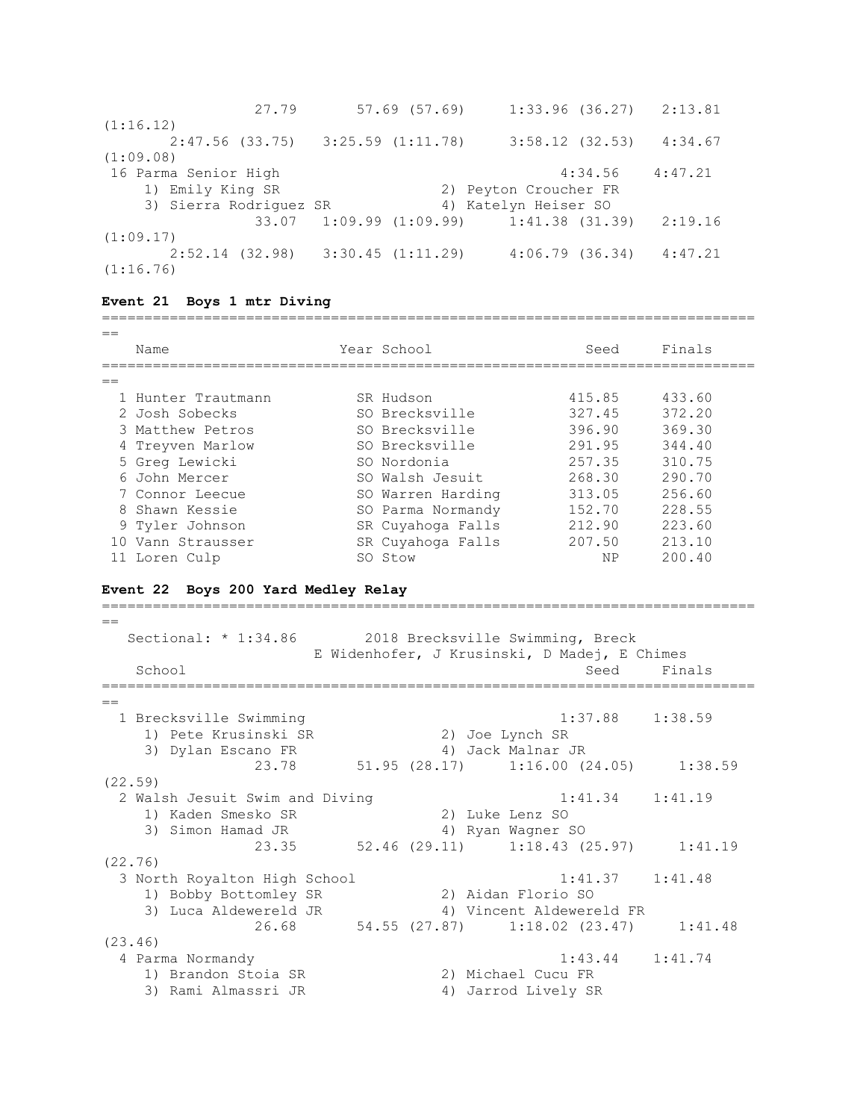| 27.79                  | 57.69 (57.69)         | $1:33.96$ (36.27)                         |         | 2:13.81 |
|------------------------|-----------------------|-------------------------------------------|---------|---------|
| (1:16.12)              |                       |                                           |         |         |
| 2:47.56 (33.75)        | $3:25.59$ $(1:11.78)$ | $3:58.12$ (32.53)                         |         | 4:34.67 |
| (1:09.08)              |                       |                                           |         |         |
| 16 Parma Senior High   |                       |                                           | 4:34.56 | 4:47.21 |
| 1) Emily King SR       |                       | 2) Peyton Croucher FR                     |         |         |
| 3) Sierra Rodriguez SR |                       | 4) Katelyn Heiser SO                      |         |         |
|                        |                       | $33.07$ 1:09.99 (1:09.99) 1:41.38 (31.39) |         | 2:19.16 |
| (1:09.17)              |                       |                                           |         |         |
| 2:52.14 (32.98)        | 3:30.45(1:11.29)      | $4:06.79$ $(36.34)$                       |         | 4:47.21 |
| (1:16.76)              |                       |                                           |         |         |

### **Event 21 Boys 1 mtr Diving**

## =============================================================================  $=$ Name Year School Seed Finals ============================================================================= == 1 Hunter Trautmann SR Hudson 1988 415.85 433.60 2 Josh Sobecks SO Brecksville 327.45 372.20 3 Matthew Petros SO Brecksville 396.90 369.30 4 Treyven Marlow SO Brecksville 291.95 344.40 5 Greg Lewicki SO Nordonia 257.35 310.75 6 John Mercer SO Walsh Jesuit 268.30 290.70 7 Connor Leecue SO Warren Harding 313.05 256.60 8 Shawn Kessie SO Parma Normandy 152.70 228.55 9 Tyler Johnson SR Cuyahoga Falls 212.90 223.60

10 Vann Strausser SR Cuyahoga Falls 207.50 213.10 11 Loren Culp SO Stow NP 200.40

=============================================================================

### **Event 22 Boys 200 Yard Medley Relay**

 $\overline{\phantom{0}}$  Sectional: \* 1:34.86 2018 Brecksville Swimming, Breck E Widenhofer, J Krusinski, D Madej, E Chimes School School Seed Finals ============================================================================= == 1 Brecksville Swimming 1:37.88 1:38.59 Brecksville Swimming<br>
1) Pete Krusinski SR 2) Joe Lynch SR<br>
2) Joe Lynch SR 3) Dylan Escano FR 4) Jack Malnar JR 23.78 51.95 (28.17) 1:16.00 (24.05) 1:38.59 (22.59) 2 Walsh Jesuit Swim and Diving 1:41.34 1:41.19 1) Kaden Smesko SR 2) Luke Lenz SO 3) Simon Hamad JR 4) Ryan Wagner SO 23.35 52.46 (29.11) 1:18.43 (25.97) 1:41.19 (22.76) 3 North Royalton High School 1:41.37 1:41.48 1) Bobby Bottomley SR 2) Aidan Florio SO 3) Luca Aldewereld JR 4) Vincent Aldewereld FR 1) BODDY DOCCOMES<br>3) Luca Aldewereld JR (27.87) 4) Vincent Aldewereld 1.<br>26.68 (27.87) 1:18.02 (23.47) 1:41.48 (23.46) 4 Parma Normandy 1:43.44 1:41.74 1) Brandon Stoia SR 2) Michael Cucu FR 3) Rami Almassri JR 4) Jarrod Lively SR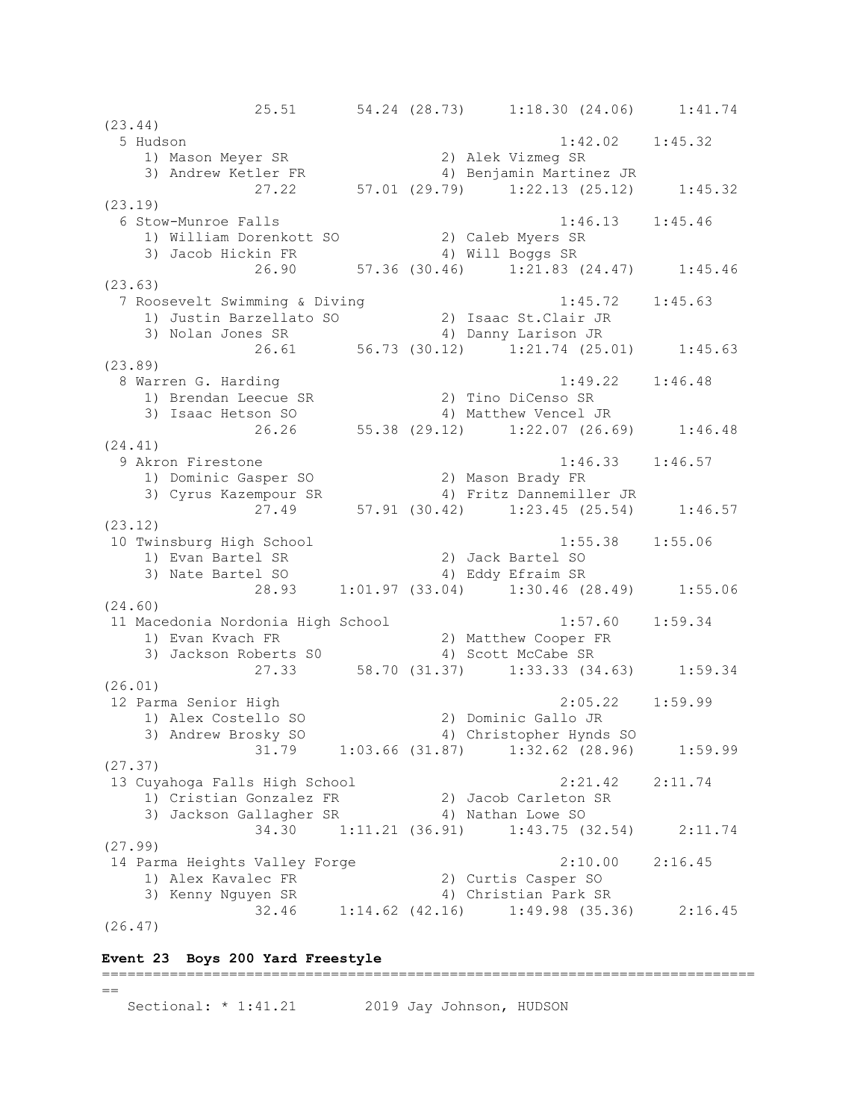25.51 54.24 (28.73) 1:18.30 (24.06) 1:41.74 (23.44) 5 Hudson 1:42.02 1:45.32 1) Mason Meyer SR 2) Alek Vizmeg SR 3) Andrew Ketler FR 4) Benjamin Martinez JR 27.22 57.01 (29.79) 1:22.13 (25.12) 1:45.32 (23.19) 6 Stow-Munroe Falls 1:46.13 1:45.46 1) William Dorenkott SO 2) Caleb Myers SR 3) Jacob Hickin FR 4) Will Boggs SR 26.90 57.36 (30.46) 1:21.83 (24.47) 1:45.46 (23.63) 7 Roosevelt Swimming & Diving 1:45.72 1:45.63 1) Justin Barzellato SO 2) Isaac St.Clair JR 3) Nolan Jones SR 4) Danny Larison JR 26.61 56.73 (30.12) 1:21.74 (25.01) 1:45.63 (23.89) 8 Warren G. Harding 1:49.22 1:46.48 1) Brendan Leecue SR 2) Tino DiCenso SR 3) Isaac Hetson SO 4) Matthew Vencel JR 26.26 55.38 (29.12) 1:22.07 (26.69) 1:46.48 (24.41) 9 Akron Firestone 1:46.33 1:46.57 1) Dominic Gasper SO 2) Mason Brady FR 3) Cyrus Kazempour SR 4) Fritz Dannemiller JR 27.49 57.91 (30.42) 1:23.45 (25.54) 1:46.57 (23.12) 10 Twinsburg High School 1:55.38 1:55.06 1) Evan Bartel SR 2) Jack Bartel SO 3) Nate Bartel SO 4) Eddy Efraim SR 28.93 1:01.97 (33.04) 1:30.46 (28.49) 1:55.06 (24.60) 11 Macedonia Nordonia High School 1:57.60 1:59.34 1) Evan Kvach FR 2) Matthew Cooper FR 3) Jackson Roberts S0 (4) Scott McCabe SR 27.33 58.70 (31.37) 1:33.33 (34.63) 1:59.34 (26.01) 12 Parma Senior High 2:05.22 1:59.99 1) Alex Costello SO 2) Dominic Gallo JR 3) Andrew Brosky SO 4) Christopher Hynds SO 31.79 1:03.66 (31.87) 1:32.62 (28.96) 1:59.99 (27.37) 13 Cuyahoga Falls High School 2:21.42 2:11.74 1) Cristian Gonzalez FR 2) Jacob Carleton SR 3) Jackson Gallagher SR 4) Nathan Lowe SO 34.30 1:11.21 (36.91) 1:43.75 (32.54) 2:11.74 (27.99) 14 Parma Heights Valley Forge 2:10.00 2:16.45 1) Alex Kavalec FR 2) Curtis Casper SO 3) Kenny Nguyen SR 4) Christian Park SR 32.46 1:14.62 (42.16) 1:49.98 (35.36) 2:16.45 (26.47)

## **Event 23 Boys 200 Yard Freestyle**

```
=============================================================================
=Sectional: * 1:41.21 2019 Jay Johnson, HUDSON
```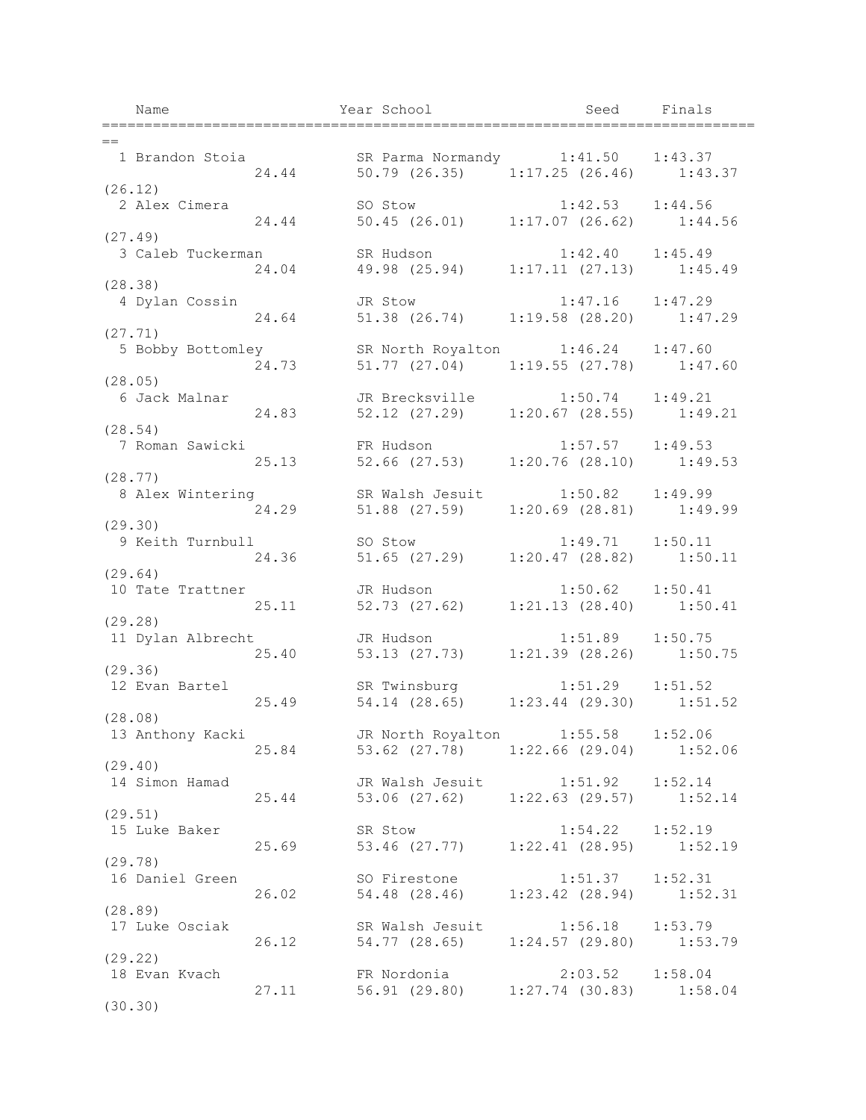Name Tear School Seed Finals ============================================================================= == 1 Brandon Stoia SR Parma Normandy 1:41.50 1:43.37 24.44 50.79 (26.35) 1:17.25 (26.46) 1:43.37 (26.12) 2 Alex Cimera SO Stow 1:42.53 1:44.56<br>24.44 50.45 (26.01) 1:17.07 (26.62) 1:44 24.44 50.45 (26.01) 1:17.07 (26.62) 1:44.56 (27.49) 3 Caleb Tuckerman SR Hudson 1:42.40 1:45.49<br>24.04 19.98 (25.94) 1:17.11 (27.13) 1:45. 21.12.11 (27.13)<br>49.98 (25.94) 1:17.11 (27.13) 1:45.49 (28.38) 4 Dylan Cossin JR Stow 1:47.16 1:47.29 24.64 51.38 (26.74) 1:19.58 (28.20) 1:47.29 (27.71) 5 Bobby Bottomley SR North Royalton 1:46.24 1:47.60 24.73 51.77 (27.04) 1:19.55 (27.78) 1:47.60 (28.05) 6 Jack Malnar JR Brecksville 1:50.74 1:49.21 24.83 52.12 (27.29) 1:20.67 (28.55) 1:49.21 (28.54) 7 Roman Sawicki FR Hudson 1:57.57 1:49.53  $52.66$  (27.53) 1:20.76 (28.10) 1:49.53 (28.77) 8 Alex Wintering SR Walsh Jesuit 1:50.82 1:49.99 24.29 51.88 (27.59) 1:20.69 (28.81) 1:49.99 (29.30) 9 Keith Turnbull SO Stow 1:49.71 1:50.11 24.36 51.65 (27.29) 1:20.47 (28.82) 1:50.11 (29.64) 10 Tate Trattner JR Hudson 1:50.62 1:50.41 25.11 52.73 (27.62) 1:21.13 (28.40) 1:50.41 (29.28) 11 Dylan Albrecht JR Hudson 1:51.89 1:50.75<br>25.40 53.13 (27.73) 1:21.39 (28.26) 1:50. 25.40 53.13 (27.73) 1:21.39 (28.26) 1:50.75 (29.36) 12 Evan Bartel SR Twinsburg 1:51.29 1:51.52 25.49 54.14 (28.65) 1:23.44 (29.30) 1:51.52 (28.08) 13 Anthony Kacki JR North Royalton 1:55.58 1:52.06 25.84 53.62 (27.78) 1:22.66 (29.04) 1:52.06 (29.40) 14 Simon Hamad JR Walsh Jesuit 1:51.92 1:52.14 25.44 53.06 (27.62) 1:22.63 (29.57) 1:52.14 (29.51) 15 Luke Baker SR Stow 1:54.22 1:52.19 25.69 53.46 (27.77) 1:22.41 (28.95) 1:52.19 (29.78) 16 Daniel Green SO Firestone 1:51.37 1:52.31<br>26.02 54.48 (28.46) 1:23.42 (28.94) 1:52. 26.02 54.48 (28.46) 1:23.42 (28.94) 1:52.31 (28.89) SR Walsh Jesuit 1:56.18 1:53.79<br>26.12 54.77 (28.65) 1:24.57 (29.80) 1:53. 26.12 54.77 (28.65) 1:24.57 (29.80) 1:53.79 (29.22) 18 Evan Kvach FR Nordonia 2:03.52 1:58.04 27.11 56.91 (29.80) 1:27.74 (30.83) 1:58.04 (30.30)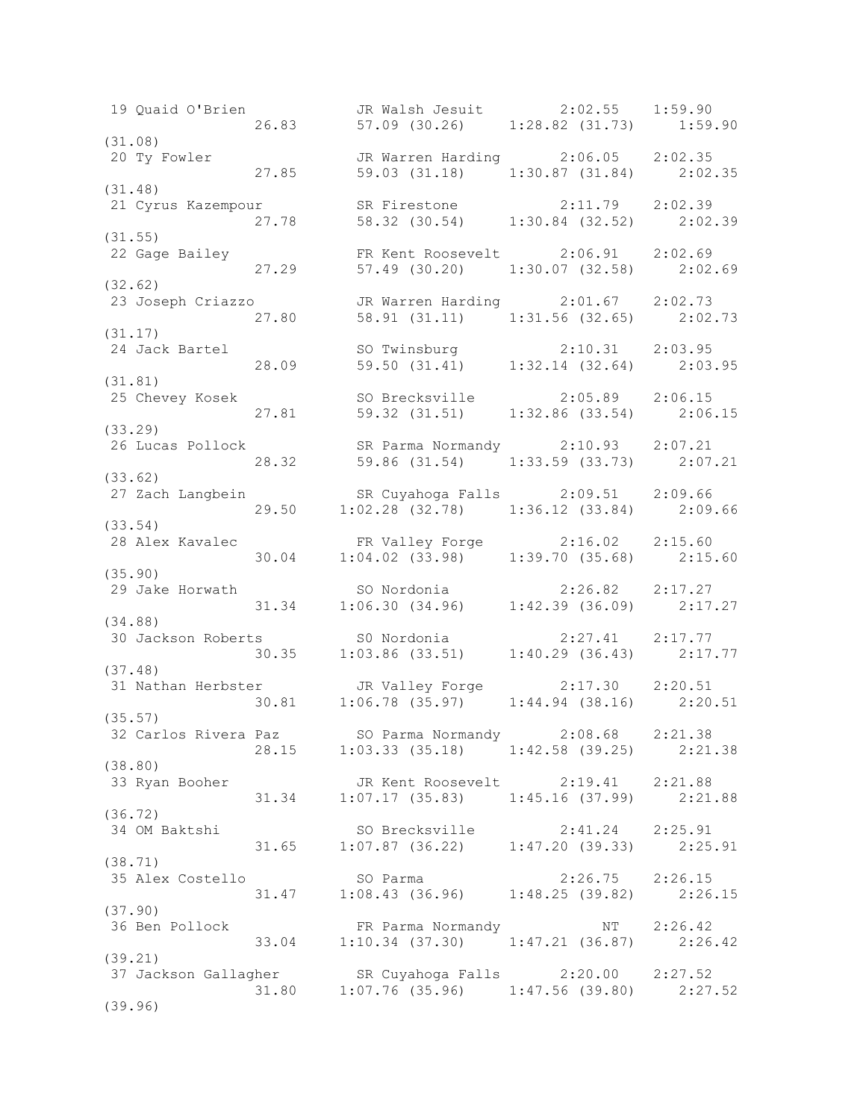19 Quaid O'Brien JR Walsh Jesuit 2:02.55 1:59.90 26.83 57.09 (30.26) 1:28.82 (31.73) 1:59.90 (31.08)<br>20 Ty Fowler 20 Ty Fowler JR Warren Harding 2:06.05 2:02.35 27.85 59.03 (31.18) 1:30.87 (31.84) 2:02.35 (31.48) 21 Cyrus Kazempour SR Firestone 2:11.79 2:02.39 27.78 58.32 (30.54) 1:30.84 (32.52) 2:02.39 (31.55) 22 Gage Bailey FR Kent Roosevelt 2:06.91 2:02.69 27.29 57.49 (30.20) 1:30.07 (32.58) 2:02.69 (32.62) 23 Joseph Criazzo JR Warren Harding 2:01.67 2:02.73 27.80 58.91 (31.11) 1:31.56 (32.65) 2:02.73 (31.17) 24 Jack Bartel SO Twinsburg 2:10.31 2:03.95 28.09 59.50 (31.41) 1:32.14 (32.64) 2:03.95 (31.81) 25 Chevey Kosek SO Brecksville 2:05.89 2:06.15 27.81 59.32 (31.51) 1:32.86 (33.54) 2:06.15 (33.29) 26 Lucas Pollock SR Parma Normandy 2:10.93 2:07.21 28.32 59.86 (31.54) 1:33.59 (33.73) 2:07.21 (33.62) 27 Zach Langbein SR Cuyahoga Falls 2:09.51 2:09.66 29.50 1:02.28 (32.78) 1:36.12 (33.84) 2:09.66 (33.54) 28 Alex Kavalec FR Valley Forge 2:16.02 2:15.60 30.04 1:04.02 (33.98) 1:39.70 (35.68) 2:15.60 (35.90) 29 Jake Horwath SO Nordonia 2:26.82 2:17.27 31.34 1:06.30 (34.96) 1:42.39 (36.09) 2:17.27 (34.88) 30 Jackson Roberts S0 Nordonia 2:27.41 2:17.77 30.35 1:03.86 (33.51) 1:40.29 (36.43) 2:17.77 (37.48) 31 Nathan Herbster JR Valley Forge 2:17.30 2:20.51 30.81 1:06.78 (35.97) 1:44.94 (38.16) 2:20.51 (35.57) 32 Carlos Rivera Paz SO Parma Normandy 2:08.68 2:21.38 28.15 1:03.33 (35.18) 1:42.58 (39.25) 2:21.38 (38.80) 33 Ryan Booher JR Kent Roosevelt 2:19.41 2:21.88 31.34 1:07.17 (35.83) 1:45.16 (37.99) 2:21.88 (36.72) 34 OM Baktshi SO Brecksville 2:41.24 2:25.91 31.65 1:07.87 (36.22) 1:47.20 (39.33) 2:25.91 (38.71) 35 Alex Costello SO Parma 2:26.75 2:26.15 31.47 1:08.43 (36.96) 1:48.25 (39.82) 2:26.15 (37.90)<br>36 Ben Pollock 36 Ben Pollock FR Parma Normandy NT 2:26.42 33.04 1:10.34 (37.30) 1:47.21 (36.87) 2:26.42 (39.21) 37 Jackson Gallagher SR Cuyahoga Falls 2:20.00 2:27.52 31.80 1:07.76 (35.96) 1:47.56 (39.80) 2:27.52 (39.96)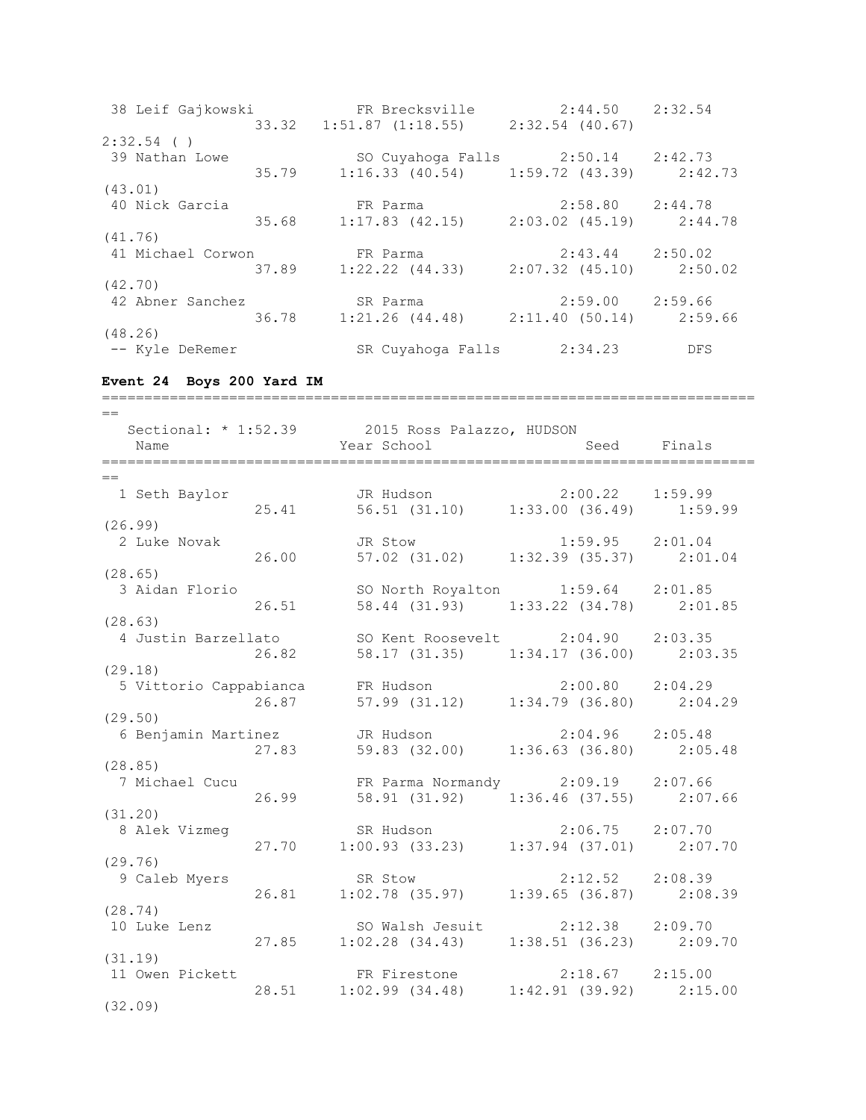38 Leif Gajkowski FR Brecksville 2:44.50 2:32.54 33.32 1:51.87 (1:18.55) 2:32.54 (40.67) 2:32.54 ( ) 39 Nathan Lowe SO Cuyahoga Falls 2:50.14 2:42.73 35.79 1:16.33 (40.54) 1:59.72 (43.39) 2:42.73 (43.01) 40 Nick Garcia FR Parma 2:58.80 2:44.78 35.68 1:17.83 (42.15) 2:03.02 (45.19) 2:44.78 (41.76) 41 Michael Corwon FR Parma 2:43.44 2:50.02 37.89 1:22.22 (44.33) 2:07.32 (45.10) 2:50.02 (42.70) 42 Abner Sanchez SR Parma 2:59.00 2:59.66 36.78 1:21.26 (44.48) 2:11.40 (50.14) 2:59.66 (48.26) -- Kyle DeRemer SR Cuyahoga Falls 2:34.23 DFS **Event 24 Boys 200 Yard IM** =============================================================================  $=$ Sectional: \* 1:52.39 2015 Ross Palazzo, HUDSON Name Seed Finals (Name Seed Finals ============================================================================= == 1 Seth Baylor JR Hudson 2:00.22 1:59.99 25.41 56.51 (31.10) 1:33.00 (36.49) 1:59.99 (26.99) 2 Luke Novak JR Stow 1:59.95 2:01.04 26.00 57.02 (31.02) 1:32.39 (35.37) 2:01.04 (28.65) 3 Aidan Florio SO North Royalton 1:59.64 2:01.85 26.51 58.44 (31.93) 1:33.22 (34.78) 2:01.85 (28.63) 4 Justin Barzellato SO Kent Roosevelt 2:04.90 2:03.35<br>26.82 58.17 (31.35) 1:34.17 (36.00) 2:03 26.82 58.17 (31.35) 1:34.17 (36.00) 2:03.35 (29.18) 5 Vittorio Cappabianca FR Hudson 2:00.80 2:04.29 26.87 57.99 (31.12) 1:34.79 (36.80) 2:04.29 (29.50) 6 Benjamin Martinez JR Hudson 2:04.96 2:05.48 27.83 59.83 (32.00) 1:36.63 (36.80) 2:05.48 (28.85) 7 Michael Cucu FR Parma Normandy 2:09.19 2:07.66 26.99 58.91 (31.92) 1:36.46 (37.55) 2:07.66 (31.20) 8 Alek Vizmeg SR Hudson 2:06.75 2:07.70 27.70 1:00.93 (33.23) 1:37.94 (37.01) 2:07.70 (29.76) 9 Caleb Myers SR Stow 2:12.52 2:08.39 26.81 1:02.78 (35.97) 1:39.65 (36.87) 2:08.39

(28.74) 10 SO Walsh Jesuit 2:12.38 2:09.70 27.85 1:02.28 (34.43) 1:38.51 (36.23) 2:09.70 (31.19) 11 Owen Pickett FR Firestone 2:18.67 2:15.00 28.51 1:02.99 (34.48) 1:42.91 (39.92) 2:15.00

(32.09)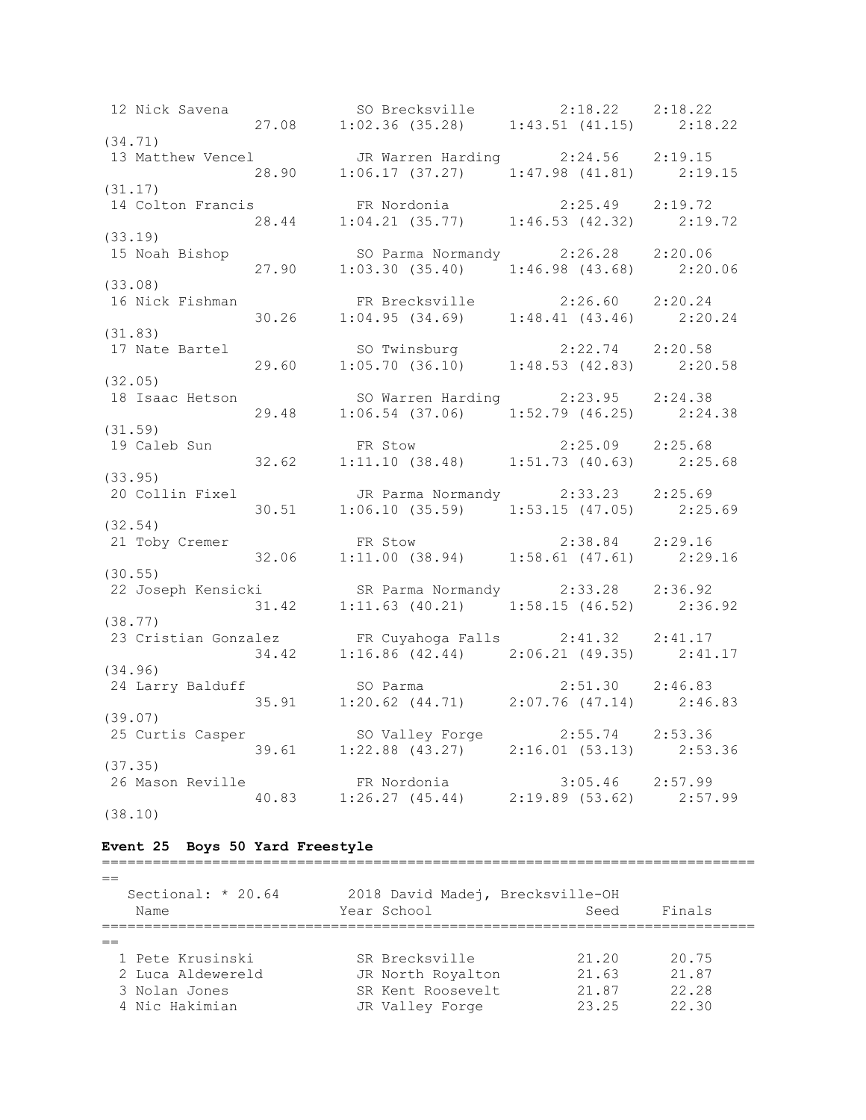12 Nick Savena SO Brecksville 2:18.22 2:18.22 27.08 1:02.36 (35.28) 1:43.51 (41.15) 2:18.22 (34.71) 13 Matthew Vencel JR Warren Harding 2:24.56 2:19.15 28.90 1:06.17 (37.27) 1:47.98 (41.81) 2:19.15 (31.17) 14 Colton Francis FR Nordonia 2:25.49 2:19.72 28.44 1:04.21 (35.77) 1:46.53 (42.32) 2:19.72 (33.19) 15 Noah Bishop SO Parma Normandy 2:26.28 2:20.06 27.90 1:03.30 (35.40) 1:46.98 (43.68) 2:20.06 (33.08) 16 Nick Fishman FR Brecksville 2:26.60 2:20.24 30.26 1:04.95 (34.69) 1:48.41 (43.46) 2:20.24 (31.83) 17 Nate Bartel SO Twinsburg 2:22.74 2:20.58 29.60 1:05.70 (36.10) 1:48.53 (42.83) 2:20.58 (32.05) 18 Isaac Hetson SO Warren Harding 2:23.95 2:24.38 29.48 1:06.54 (37.06) 1:52.79 (46.25) 2:24.38 (31.59) 19 Caleb Sun FR Stow 2:25.09 2:25.68 32.62 1:11.10 (38.48) 1:51.73 (40.63) 2:25.68 (33.95) 20 Collin Fixel JR Parma Normandy 2:33.23 2:25.69 30.51 1:06.10 (35.59) 1:53.15 (47.05) 2:25.69 (32.54) 21 Toby Cremer FR Stow 2:38.84 2:29.16 32.06 1:11.00 (38.94) 1:58.61 (47.61) 2:29.16 (30.55) 22 Joseph Kensicki SR Parma Normandy 2:33.28 2:36.92 31.42 1:11.63 (40.21) 1:58.15 (46.52) 2:36.92 (38.77) 23 Cristian Gonzalez FR Cuyahoga Falls 2:41.32 2:41.17 34.42 1:16.86 (42.44) 2:06.21 (49.35) 2:41.17 (34.96) 24 Larry Balduff SO Parma 2:51.30 2:46.83 35.91 1:20.62 (44.71) 2:07.76 (47.14) 2:46.83 (39.07) 25 Curtis Casper SO Valley Forge 2:55.74 2:53.36 39.61 1:22.88 (43.27) 2:16.01 (53.13) 2:53.36 (37.35)<br>26 Mason Reville 26 Mason Reville FR Nordonia 3:05.46 2:57.99 40.83 1:26.27 (45.44) 2:19.89 (53.62) 2:57.99 (38.10)

### **Event 25 Boys 50 Yard Freestyle**

============================================================================= == Sectional: \* 20.64 2018 David Madej, Brecksville-OH Name Seed Finals (Name Seed Finals =============================================================================  $=$  1 Pete Krusinski SR Brecksville 21.20 20.75 2 Luca Aldewereld JR North Royalton 21.63 21.87 3 Nolan Jones SR Kent Roosevelt 21.87 22.28 4 Nic Hakimian JR Valley Forge 23.25 22.30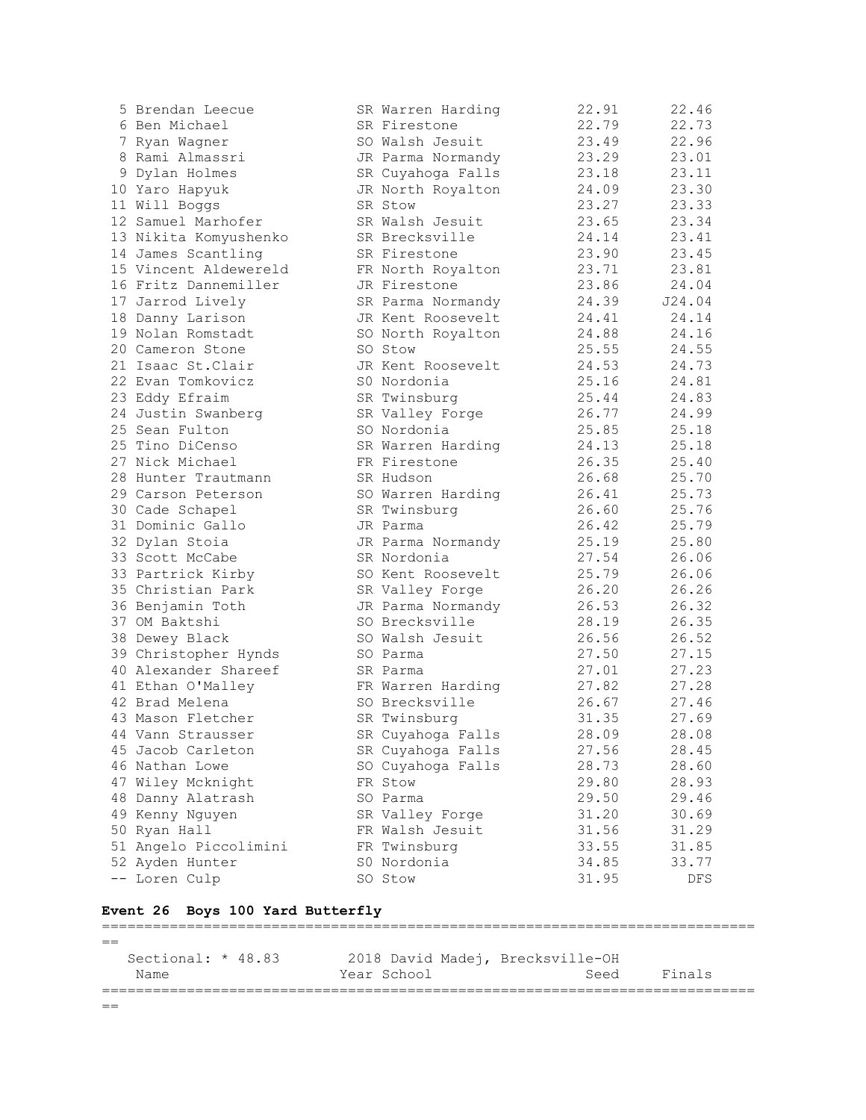| 5 Brendan Leecue      | SR Warren Harding | 22.91 | 22.46  |
|-----------------------|-------------------|-------|--------|
| 6 Ben Michael         | SR Firestone      | 22.79 | 22.73  |
| 7 Ryan Wagner         | SO Walsh Jesuit   | 23.49 | 22.96  |
| 8 Rami Almassri       | JR Parma Normandy | 23.29 | 23.01  |
| 9 Dylan Holmes        | SR Cuyahoga Falls | 23.18 | 23.11  |
| 10 Yaro Hapyuk        | JR North Royalton | 24.09 | 23.30  |
| 11 Will Boggs         | SR Stow           | 23.27 | 23.33  |
| 12 Samuel Marhofer    | SR Walsh Jesuit   | 23.65 | 23.34  |
| 13 Nikita Komyushenko | SR Brecksville    | 24.14 | 23.41  |
| 14 James Scantling    | SR Firestone      | 23.90 | 23.45  |
| 15 Vincent Aldewereld | FR North Royalton | 23.71 | 23.81  |
| 16 Fritz Dannemiller  | JR Firestone      | 23.86 | 24.04  |
| 17 Jarrod Lively      | SR Parma Normandy | 24.39 | J24.04 |
| 18 Danny Larison      | JR Kent Roosevelt | 24.41 | 24.14  |
| 19 Nolan Romstadt     | SO North Royalton | 24.88 | 24.16  |
| 20 Cameron Stone      | SO Stow           | 25.55 | 24.55  |
| 21 Isaac St. Clair    | JR Kent Roosevelt | 24.53 | 24.73  |
| 22 Evan Tomkovicz     | S0 Nordonia       | 25.16 | 24.81  |
| 23 Eddy Efraim        | SR Twinsburg      | 25.44 | 24.83  |
| 24 Justin Swanberg    | SR Valley Forge   | 26.77 | 24.99  |
| 25 Sean Fulton        | SO Nordonia       | 25.85 | 25.18  |
| 25 Tino DiCenso       | SR Warren Harding | 24.13 | 25.18  |
| 27 Nick Michael       | FR Firestone      | 26.35 | 25.40  |
| 28 Hunter Trautmann   | SR Hudson         | 26.68 | 25.70  |
| 29 Carson Peterson    | SO Warren Harding | 26.41 | 25.73  |
| 30 Cade Schapel       | SR Twinsburg      | 26.60 | 25.76  |
| 31 Dominic Gallo      | JR Parma          | 26.42 | 25.79  |
| 32 Dylan Stoia        | JR Parma Normandy | 25.19 | 25.80  |
| 33 Scott McCabe       | SR Nordonia       | 27.54 | 26.06  |
| 33 Partrick Kirby     | SO Kent Roosevelt | 25.79 | 26.06  |
| 35 Christian Park     | SR Valley Forge   | 26.20 | 26.26  |
| 36 Benjamin Toth      | JR Parma Normandy | 26.53 | 26.32  |
| 37 OM Baktshi         | SO Brecksville    | 28.19 | 26.35  |
| 38 Dewey Black        | SO Walsh Jesuit   | 26.56 | 26.52  |
| 39 Christopher Hynds  | SO Parma          | 27.50 | 27.15  |
| 40 Alexander Shareef  | SR Parma          | 27.01 | 27.23  |
| 41 Ethan O'Malley     | FR Warren Harding | 27.82 | 27.28  |
| 42 Brad Melena        | SO Brecksville    | 26.67 | 27.46  |
| 43 Mason Fletcher     | SR Twinsburg      | 31.35 | 27.69  |
| 44 Vann Strausser     | SR Cuyahoga Falls | 28.09 | 28.08  |
| 45 Jacob Carleton     | SR Cuyahoga Falls | 27.56 | 28.45  |
| 46 Nathan Lowe        | SO Cuyahoga Falls | 28.73 | 28.60  |
| 47 Wiley Mcknight     | FR Stow           | 29.80 | 28.93  |
| 48 Danny Alatrash     | SO Parma          | 29.50 | 29.46  |
| 49 Kenny Nguyen       | SR Valley Forge   | 31.20 | 30.69  |
| 50 Ryan Hall          | FR Walsh Jesuit   | 31.56 | 31.29  |
| 51 Angelo Piccolimini | FR Twinsburg      | 33.55 | 31.85  |
| 52 Ayden Hunter       | S0 Nordonia       | 34.85 | 33.77  |
| -- Loren Culp         | SO Stow           | 31.95 | DFS    |
|                       |                   |       |        |

## **Event 26 Boys 100 Yard Butterfly**

=============================================================================  $=$  Sectional: \* 48.83 2018 David Madej, Brecksville-OH Name Seed Finals (Name Seed Finals =============================================================================  $=$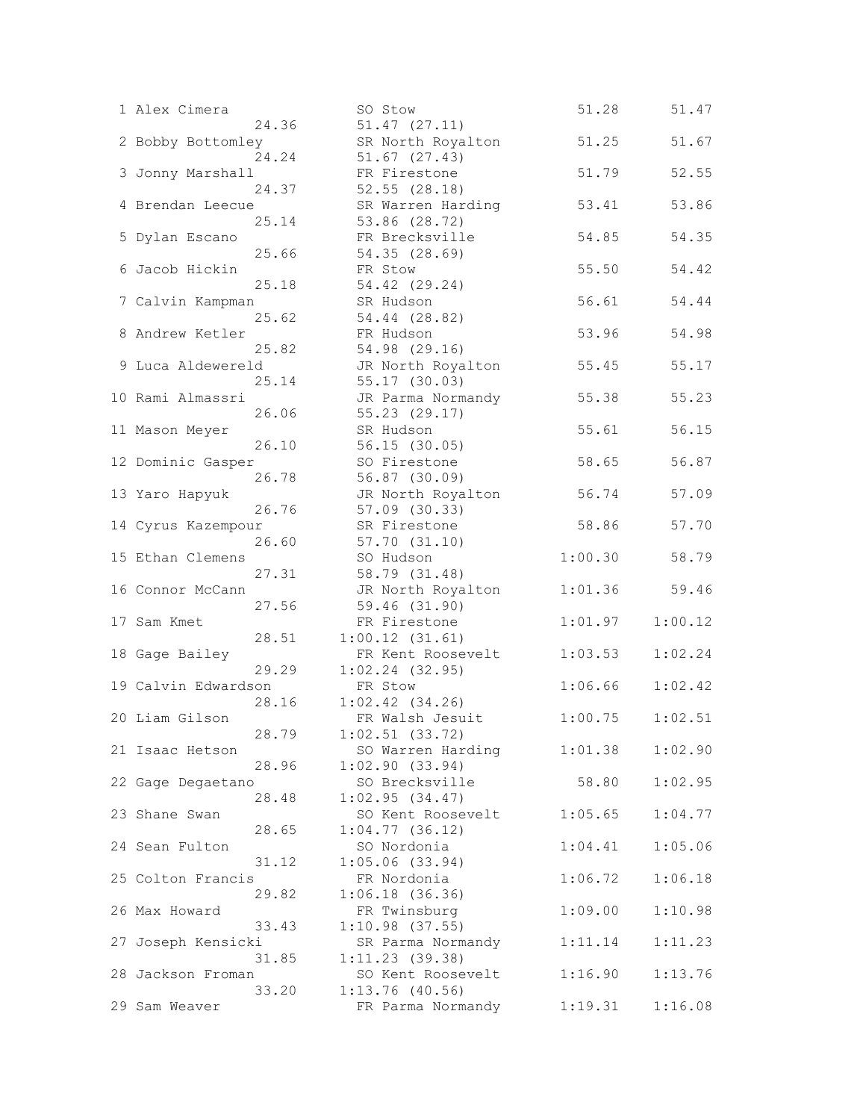| 1 Alex Cimera       |       | SO Stow             | 51.28   | 51.47   |
|---------------------|-------|---------------------|---------|---------|
|                     | 24.36 | $51.47$ $(27.11)$   |         |         |
| 2 Bobby Bottomley   |       | SR North Royalton   | 51.25   | 51.67   |
|                     | 24.24 | $51.67$ $(27.43)$   |         |         |
| 3 Jonny Marshall    |       | FR Firestone        | 51.79   | 52.55   |
|                     | 24.37 | 52.55(28.18)        |         |         |
| 4 Brendan Leecue    |       | SR Warren Harding   | 53.41   | 53.86   |
|                     | 25.14 | 53.86 (28.72)       |         |         |
|                     |       | FR Brecksville      |         |         |
| 5 Dylan Escano      |       |                     | 54.85   | 54.35   |
|                     | 25.66 | 54.35 (28.69)       |         |         |
| 6 Jacob Hickin      |       | FR Stow             | 55.50   | 54.42   |
|                     | 25.18 | 54.42 (29.24)       |         |         |
| 7 Calvin Kampman    |       | SR Hudson           | 56.61   | 54.44   |
|                     | 25.62 | 54.44 (28.82)       |         |         |
| 8 Andrew Ketler     |       | FR Hudson           | 53.96   | 54.98   |
|                     | 25.82 | 54.98 (29.16)       |         |         |
| 9 Luca Aldewereld   |       | JR North Royalton   | 55.45   | 55.17   |
|                     | 25.14 | 55.17 (30.03)       |         |         |
| 10 Rami Almassri    |       | JR Parma Normandy   | 55.38   | 55.23   |
|                     | 26.06 | 55.23 (29.17)       |         |         |
| 11 Mason Meyer      |       | SR Hudson           | 55.61   | 56.15   |
|                     | 26.10 | 56.15(30.05)        |         |         |
| 12 Dominic Gasper   |       | SO Firestone        | 58.65   | 56.87   |
|                     | 26.78 |                     |         |         |
|                     |       | 56.87 (30.09)       |         |         |
| 13 Yaro Hapyuk      |       | JR North Royalton   | 56.74   | 57.09   |
|                     | 26.76 | 57.09 (30.33)       |         |         |
| 14 Cyrus Kazempour  |       | SR Firestone        | 58.86   | 57.70   |
|                     | 26.60 | 57.70(31.10)        |         |         |
| 15 Ethan Clemens    |       | SO Hudson           | 1:00.30 | 58.79   |
|                     | 27.31 | 58.79 (31.48)       |         |         |
| 16 Connor McCann    |       | JR North Royalton   | 1:01.36 | 59.46   |
|                     | 27.56 | 59.46 (31.90)       |         |         |
| 17 Sam Kmet         |       | FR Firestone        | 1:01.97 | 1:00.12 |
|                     | 28.51 | 1:00.12(31.61)      |         |         |
| 18 Gage Bailey      |       | FR Kent Roosevelt   | 1:03.53 | 1:02.24 |
|                     | 29.29 | $1:02.24$ (32.95)   |         |         |
| 19 Calvin Edwardson |       | FR Stow             | 1:06.66 | 1:02.42 |
|                     | 28.16 | $1:02.42$ $(34.26)$ |         |         |
| 20 Liam Gilson      |       | FR Walsh Jesuit     |         | 1:02.51 |
|                     |       |                     | 1:00.75 |         |
|                     | 28.79 | $1:02.51$ (33.72)   |         |         |
| 21 Isaac Hetson     |       | SO Warren Harding   | 1:01.38 | 1:02.90 |
|                     | 28.96 | 1:02.90(33.94)      |         |         |
| 22 Gage Degaetano   |       | SO Brecksville      | 58.80   | 1:02.95 |
|                     | 28.48 | 1:02.95(34.47)      |         |         |
| 23 Shane Swan       |       | SO Kent Roosevelt   | 1:05.65 | 1:04.77 |
|                     | 28.65 | $1:04.77$ (36.12)   |         |         |
| 24 Sean Fulton      |       | SO Nordonia         | 1:04.41 | 1:05.06 |
|                     | 31.12 | $1:05.06$ (33.94)   |         |         |
| 25 Colton Francis   |       | FR Nordonia         | 1:06.72 | 1:06.18 |
|                     | 29.82 | 1:06.18(36.36)      |         |         |
| 26 Max Howard       |       | FR Twinsburg        | 1:09.00 | 1:10.98 |
|                     | 33.43 | $1:10.98$ (37.55)   |         |         |
| 27 Joseph Kensicki  |       | SR Parma Normandy   | 1:11.14 | 1:11.23 |
|                     | 31.85 | $1:11.23$ (39.38)   |         |         |
|                     |       |                     |         |         |
| 28 Jackson Froman   |       | SO Kent Roosevelt   | 1:16.90 | 1:13.76 |
|                     | 33.20 | $1:13.76$ (40.56)   |         |         |
| 29 Sam Weaver       |       | FR Parma Normandy   | 1:19.31 | 1:16.08 |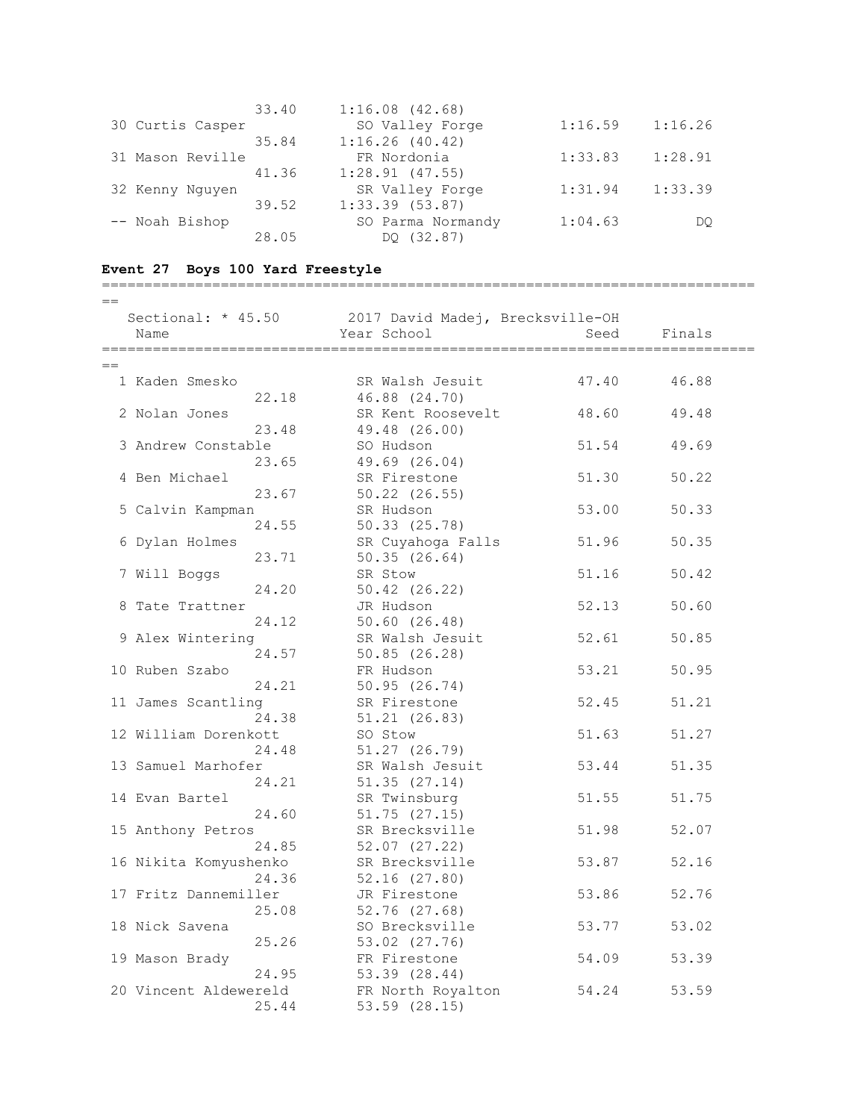|                  | 33.40 | $1:16.08$ $(42.68)$ |         |         |
|------------------|-------|---------------------|---------|---------|
| 30 Curtis Casper |       | SO Valley Forge     | 1:16.59 | 1:16.26 |
|                  | 35.84 | 1:16.26(40.42)      |         |         |
| 31 Mason Reville |       | FR Nordonia         | 1:33.83 | 1:28.91 |
|                  | 41.36 | $1:28.91$ (47.55)   |         |         |
| 32 Kenny Nguyen  |       | SR Valley Forge     | 1:31.94 | 1:33.39 |
|                  | 39.52 | $1:33.39$ $(53.87)$ |         |         |
| -- Noah Bishop   |       | SO Parma Normandy   | 1:04.63 | DO      |
|                  | 28.05 | DO (32.87)          |         |         |

# **Event 27 Boys 100 Yard Freestyle**

| $-$<br>$-$ |  |
|------------|--|

|     | Sectional: * 45.50<br>Name     | 2017 David Madej, Brecksville-OH<br>Year School | Seed  | Finals |
|-----|--------------------------------|-------------------------------------------------|-------|--------|
|     |                                | ===============                                 |       |        |
| $=$ |                                |                                                 |       |        |
|     | 1 Kaden Smesko                 | SR Walsh Jesuit                                 | 47.40 | 46.88  |
|     | 22.18                          | 46.88 (24.70)                                   |       |        |
|     | 2 Nolan Jones                  | SR Kent Roosevelt                               | 48.60 | 49.48  |
|     | 23.48                          | 49.48 (26.00)                                   |       |        |
|     | 3 Andrew Constable             | SO Hudson                                       | 51.54 | 49.69  |
|     | 23.65                          | 49.69 (26.04)                                   |       |        |
|     | 4 Ben Michael                  | SR Firestone                                    | 51.30 | 50.22  |
|     | 23.67                          | $50.22$ $(26.55)$                               |       |        |
|     | 5 Calvin Kampman               | SR Hudson                                       | 53.00 | 50.33  |
|     | 24.55                          | 50.33(25.78)                                    |       |        |
|     | 6 Dylan Holmes                 | SR Cuyahoga Falls                               | 51.96 | 50.35  |
|     | 23.71                          | 50.35(26.64)                                    |       |        |
|     | 7 Will Boggs                   | SR Stow                                         | 51.16 | 50.42  |
|     | 24.20                          | 50.42 (26.22)                                   |       |        |
|     | 8 Tate Trattner                | JR Hudson                                       | 52.13 | 50.60  |
|     | 24.12                          | 50.60(26.48)                                    |       |        |
|     | 9 Alex Wintering               | SR Walsh Jesuit                                 | 52.61 | 50.85  |
|     | 24.57                          | 50.85(26.28)                                    |       |        |
|     | 10 Ruben Szabo                 | FR Hudson                                       | 53.21 | 50.95  |
|     | 24.21                          | 50.95 (26.74)                                   |       |        |
|     | 11 James Scantling             | SR Firestone                                    | 52.45 | 51.21  |
|     | 24.38                          | 51.21(26.83)                                    |       |        |
|     | 12 William Dorenkott           | SO Stow                                         | 51.63 | 51.27  |
|     | 24.48                          | $51.27$ $(26.79)$                               |       |        |
|     | 13 Samuel Marhofer             | SR Walsh Jesuit                                 | 53.44 | 51.35  |
|     | 24.21                          | 51.35(27.14)                                    |       |        |
|     | 14 Evan Bartel                 | SR Twinsburg                                    | 51.55 | 51.75  |
|     | 24.60                          | $51.75$ $(27.15)$                               |       |        |
|     | 15 Anthony Petros              | SR Brecksville                                  | 51.98 | 52.07  |
|     | 24.85                          | 52.07 (27.22)                                   |       | 52.16  |
|     | 16 Nikita Komyushenko<br>24.36 | SR Brecksville                                  | 53.87 |        |
|     |                                | $52.16$ $(27.80)$                               |       |        |
|     | 17 Fritz Dannemiller           | JR Firestone                                    | 53.86 | 52.76  |
|     | 25.08                          | 52.76 (27.68)                                   |       |        |
|     | 18 Nick Savena                 | SO Brecksville                                  | 53.77 | 53.02  |
|     | 25.26                          | 53.02 (27.76)<br>FR Firestone                   | 54.09 | 53.39  |
|     | 19 Mason Brady<br>24.95        | 53.39 (28.44)                                   |       |        |
|     | 20 Vincent Aldewereld          | FR North Royalton                               |       | 53.59  |
|     | 25.44                          | 53.59 (28.15)                                   | 54.24 |        |
|     |                                |                                                 |       |        |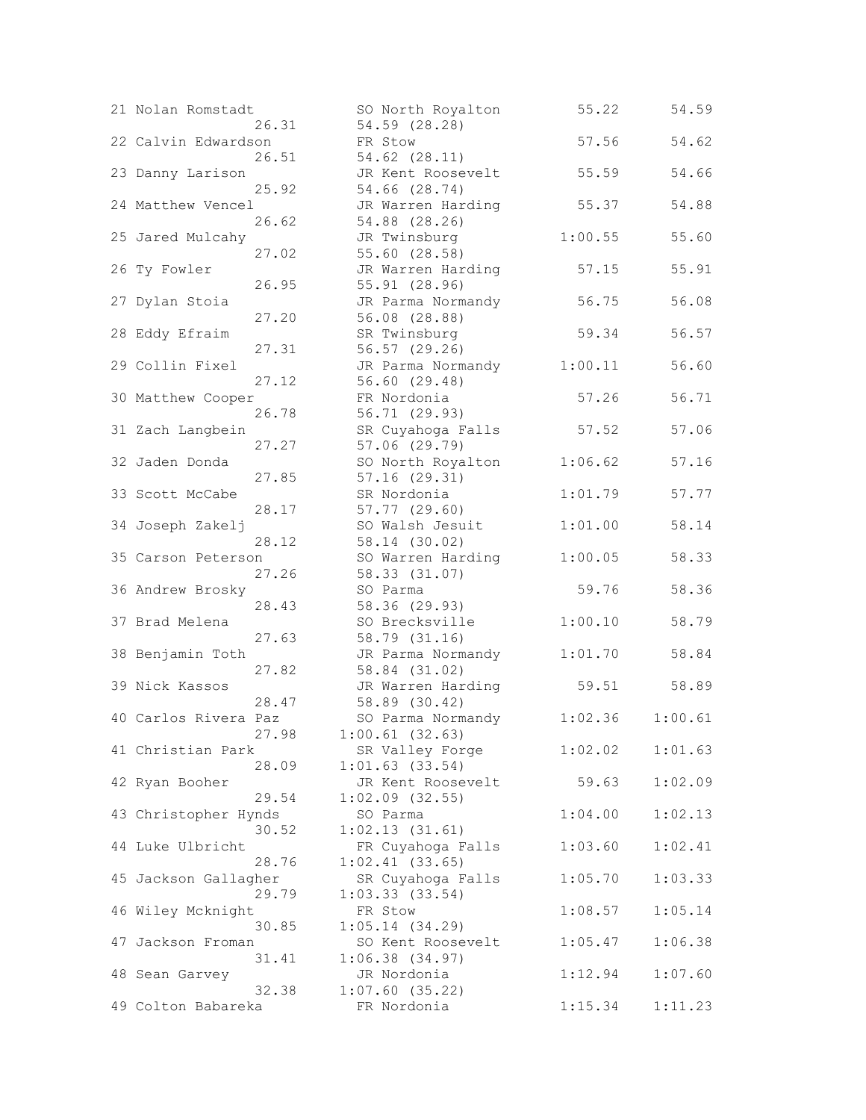| 21 Nolan Romstadt    |       | SO North Royalton   | 55.22   | 54.59   |
|----------------------|-------|---------------------|---------|---------|
|                      | 26.31 | 54.59 (28.28)       |         |         |
| 22 Calvin Edwardson  |       | FR Stow             | 57.56   | 54.62   |
|                      | 26.51 | 54.62 (28.11)       |         |         |
| 23 Danny Larison     |       | JR Kent Roosevelt   | 55.59   | 54.66   |
|                      | 25.92 | 54.66 (28.74)       |         |         |
| 24 Matthew Vencel    |       | JR Warren Harding   | 55.37   | 54.88   |
|                      | 26.62 | 54.88 (28.26)       |         |         |
| 25 Jared Mulcahy     |       | JR Twinsburg        | 1:00.55 | 55.60   |
|                      | 27.02 | 55.60 (28.58)       |         |         |
| 26 Ty Fowler         |       | JR Warren Harding   | 57.15   | 55.91   |
|                      | 26.95 | 55.91 (28.96)       |         |         |
| 27 Dylan Stoia       |       | JR Parma Normandy   | 56.75   | 56.08   |
|                      | 27.20 | 56.08 (28.88)       |         |         |
| 28 Eddy Efraim       |       | SR Twinsburg        | 59.34   | 56.57   |
|                      |       |                     |         |         |
|                      | 27.31 | 56.57 (29.26)       |         |         |
| 29 Collin Fixel      |       | JR Parma Normandy   | 1:00.11 | 56.60   |
|                      | 27.12 | 56.60 (29.48)       |         |         |
| 30 Matthew Cooper    |       | FR Nordonia         | 57.26   | 56.71   |
|                      | 26.78 | 56.71 (29.93)       |         |         |
| 31 Zach Langbein     |       | SR Cuyahoga Falls   | 57.52   | 57.06   |
|                      | 27.27 | 57.06 (29.79)       |         |         |
| 32 Jaden Donda       |       | SO North Royalton   | 1:06.62 | 57.16   |
|                      | 27.85 | 57.16 (29.31)       |         |         |
| 33 Scott McCabe      |       | SR Nordonia         | 1:01.79 | 57.77   |
|                      | 28.17 | 57.77 (29.60)       |         |         |
| 34 Joseph Zakelj     |       | SO Walsh Jesuit     | 1:01.00 | 58.14   |
|                      | 28.12 | 58.14 (30.02)       |         |         |
| 35 Carson Peterson   |       | SO Warren Harding   | 1:00.05 | 58.33   |
|                      | 27.26 | 58.33 (31.07)       |         |         |
| 36 Andrew Brosky     |       | SO Parma            | 59.76   | 58.36   |
|                      |       | 58.36 (29.93)       |         |         |
| 37 Brad Melena       | 28.43 |                     |         |         |
|                      |       | SO Brecksville      | 1:00.10 | 58.79   |
|                      | 27.63 | 58.79 (31.16)       |         |         |
| 38 Benjamin Toth     |       | JR Parma Normandy   | 1:01.70 | 58.84   |
|                      | 27.82 | 58.84 (31.02)       |         |         |
| 39 Nick Kassos       |       | JR Warren Harding   | 59.51   | 58.89   |
|                      | 28.47 | 58.89 (30.42)       |         |         |
| 40 Carlos Rivera Paz |       | SO Parma Normandy   | 1:02.36 | 1:00.61 |
|                      | 27.98 | $1:00.61$ (32.63)   |         |         |
| 41 Christian Park    |       | SR Valley Forge     | 1:02.02 | 1:01.63 |
|                      | 28.09 | $1:01.63$ (33.54)   |         |         |
| 42 Ryan Booher       |       | JR Kent Roosevelt   | 59.63   | 1:02.09 |
|                      | 29.54 | $1:02.09$ (32.55)   |         |         |
| 43 Christopher Hynds |       | SO Parma            | 1:04.00 | 1:02.13 |
|                      | 30.52 | 1:02.13(31.61)      |         |         |
| 44 Luke Ulbricht     |       | FR Cuyahoga Falls   | 1:03.60 | 1:02.41 |
|                      | 28.76 | $1:02.41$ (33.65)   |         |         |
| 45 Jackson Gallagher |       | SR Cuyahoga Falls   | 1:05.70 | 1:03.33 |
|                      | 29.79 | 1:03.33(33.54)      |         |         |
|                      |       |                     |         |         |
| 46 Wiley Mcknight    |       | FR Stow             | 1:08.57 | 1:05.14 |
|                      | 30.85 | 1:05.14(34.29)      |         |         |
| 47 Jackson Froman    |       | SO Kent Roosevelt   | 1:05.47 | 1:06.38 |
|                      | 31.41 | $1:06.38$ $(34.97)$ |         |         |
| 48 Sean Garvey       |       | JR Nordonia         | 1:12.94 | 1:07.60 |
|                      | 32.38 | $1:07.60$ (35.22)   |         |         |
| 49 Colton Babareka   |       | FR Nordonia         | 1:15.34 | 1:11.23 |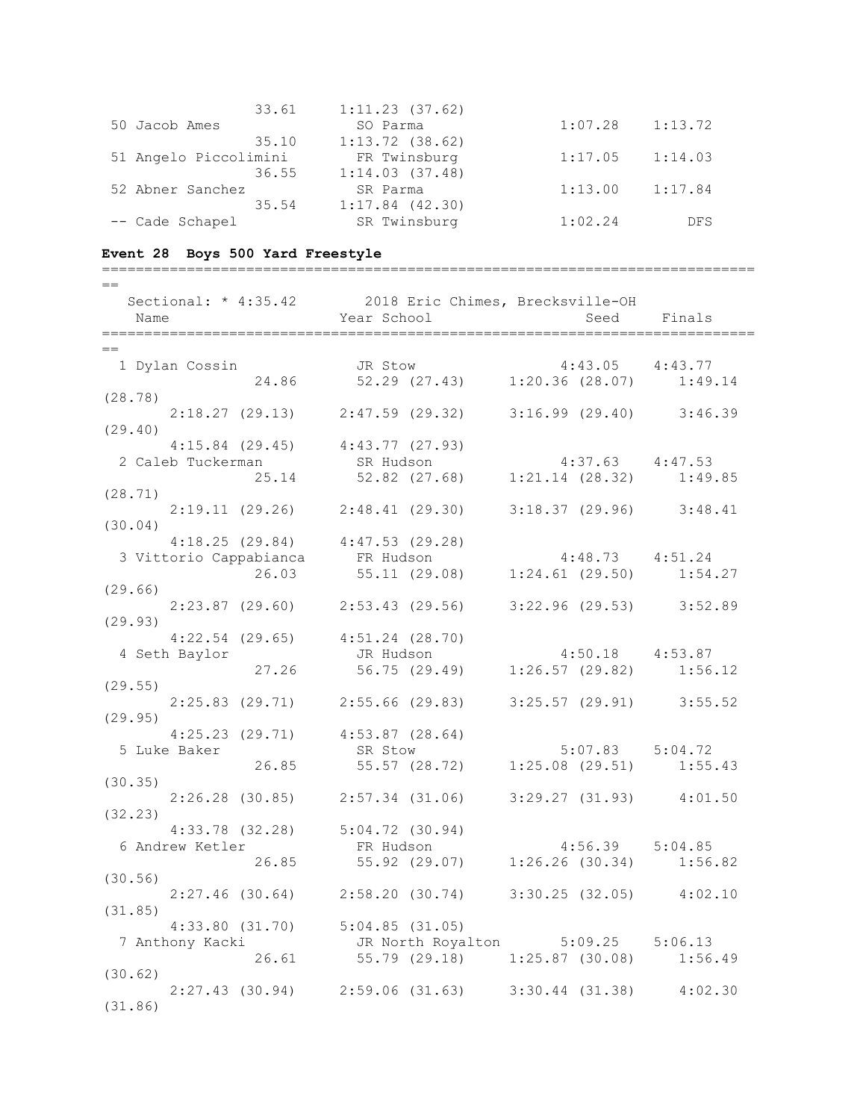|                       | 33.61 | 1:11.23(37.62)      |         |            |
|-----------------------|-------|---------------------|---------|------------|
| 50 Jacob Ames         |       | SO Parma            | 1:07.28 | 1:13.72    |
|                       | 35.10 | $1:13.72$ (38.62)   |         |            |
| 51 Angelo Piccolimini |       | FR Twinsburg        | 1:17.05 | 1:14.03    |
|                       | 36.55 | 1:14.03(37.48)      |         |            |
| 52 Abner Sanchez      |       | SR Parma            | 1:13.00 | 1:17.84    |
|                       | 35.54 | $1:17.84$ $(42.30)$ |         |            |
| -- Cade Schapel       |       | SR Twinsburg        | 1:02.24 | <b>DFS</b> |

# **Event 28 Boys 500 Yard Freestyle**

| $=$                                                                                        |                                                                                                                                                      |                     |             |
|--------------------------------------------------------------------------------------------|------------------------------------------------------------------------------------------------------------------------------------------------------|---------------------|-------------|
| Sectional: * 4:35.42 2018 Eric Chimes, Brecksville-OH                                      |                                                                                                                                                      |                     |             |
| Name                                                                                       | <b>Example 2</b> Year School                                                                                                                         |                     | Seed Finals |
|                                                                                            |                                                                                                                                                      |                     |             |
| $==$                                                                                       |                                                                                                                                                      |                     |             |
|                                                                                            |                                                                                                                                                      |                     |             |
|                                                                                            |                                                                                                                                                      |                     |             |
|                                                                                            |                                                                                                                                                      |                     |             |
| (28.78)                                                                                    |                                                                                                                                                      |                     |             |
|                                                                                            | $2:18.27$ (29.13) $2:47.59$ (29.32) $3:16.99$ (29.40) $3:46.39$                                                                                      |                     |             |
| (29.40)                                                                                    |                                                                                                                                                      |                     |             |
| $4:15.84$ (29.45) $4:43.77$ (27.93)                                                        |                                                                                                                                                      |                     |             |
| 2 Caleb Tuckerman SR Hudson 4:37.63 4:47.53<br>25.14 52.82 (27.68) 1:21.14 (28.32) 1:49.85 |                                                                                                                                                      |                     |             |
|                                                                                            |                                                                                                                                                      |                     |             |
| (28.71)                                                                                    |                                                                                                                                                      |                     |             |
|                                                                                            | $2:19.11$ (29.26) $2:48.41$ (29.30) $3:18.37$ (29.96) $3:48.41$                                                                                      |                     |             |
| (30.04)                                                                                    |                                                                                                                                                      |                     |             |
|                                                                                            |                                                                                                                                                      |                     |             |
|                                                                                            |                                                                                                                                                      |                     |             |
|                                                                                            |                                                                                                                                                      |                     |             |
| (29.66)                                                                                    |                                                                                                                                                      |                     |             |
|                                                                                            | $2:23.87$ (29.60) $2:53.43$ (29.56) $3:22.96$ (29.53) $3:52.89$                                                                                      |                     |             |
| (29.93)                                                                                    |                                                                                                                                                      |                     |             |
| $4:22.54$ (29.65) $4:51.24$ (28.70)                                                        |                                                                                                                                                      |                     |             |
| 4 Seth Baylor                                                                              | JR Hudson 4:50.18 4:53.87                                                                                                                            |                     |             |
|                                                                                            | 27.26 56.75 (29.49) 1:26.57 (29.82) 1:56.12                                                                                                          |                     |             |
| (29.55)                                                                                    |                                                                                                                                                      |                     |             |
|                                                                                            | 2:25.83 (29.71) 2:55.66 (29.83) 3:25.57 (29.91) 3:55.52                                                                                              |                     |             |
| (29.95)                                                                                    |                                                                                                                                                      |                     |             |
|                                                                                            |                                                                                                                                                      |                     |             |
| $4:25.23$ (29.71) $4:53.87$ (28.64)                                                        |                                                                                                                                                      |                     |             |
| 5 Luke Baker                                                                               | 26.85 SR Stow 5:07.83 5:04.72<br>26.85 55.57 (28.72) 1:25.08 (29.51) 1:55.43                                                                         | $5:07.83$ $5:04.72$ |             |
|                                                                                            |                                                                                                                                                      |                     |             |
| (30.35)                                                                                    |                                                                                                                                                      |                     |             |
|                                                                                            | $2:26.28$ (30.85) $2:57.34$ (31.06) $3:29.27$ (31.93) $4:01.50$                                                                                      |                     |             |
| (32.23)                                                                                    |                                                                                                                                                      |                     |             |
|                                                                                            |                                                                                                                                                      |                     |             |
| 6 Andrew Ketler                                                                            | 4:33.78 (32.28) 5:04.72 (30.94)<br>Fo Hudson 4:56.39 5:04.85<br>er<br>26.85 FR Hudson 4:56.39 5:04.85<br>26.85 55.92 (29.07) 1:26.26 (30.34) 1:56.82 |                     |             |
|                                                                                            |                                                                                                                                                      |                     |             |
| (30.56)                                                                                    |                                                                                                                                                      |                     |             |
|                                                                                            | $2:27.46$ (30.64) $2:58.20$ (30.74) $3:30.25$ (32.05) $4:02.10$                                                                                      |                     |             |
| (31.85)                                                                                    |                                                                                                                                                      |                     |             |
| $4:33.80$ $(31.70)$                                                                        | 5:04.85(31.05)                                                                                                                                       |                     |             |
| 7 Anthony Kacki                                                                            | JR North Royalton 5:09.25 5:06.13                                                                                                                    |                     |             |
| 26.61                                                                                      | 55.79(29.18)                                                                                                                                         | $1:25.87$ (30.08)   | 1:56.49     |
| (30.62)                                                                                    |                                                                                                                                                      |                     |             |
|                                                                                            | $2:27.43$ (30.94) $2:59.06$ (31.63) $3:30.44$ (31.38) $4:02.30$                                                                                      |                     |             |
| (31.86)                                                                                    |                                                                                                                                                      |                     |             |
|                                                                                            |                                                                                                                                                      |                     |             |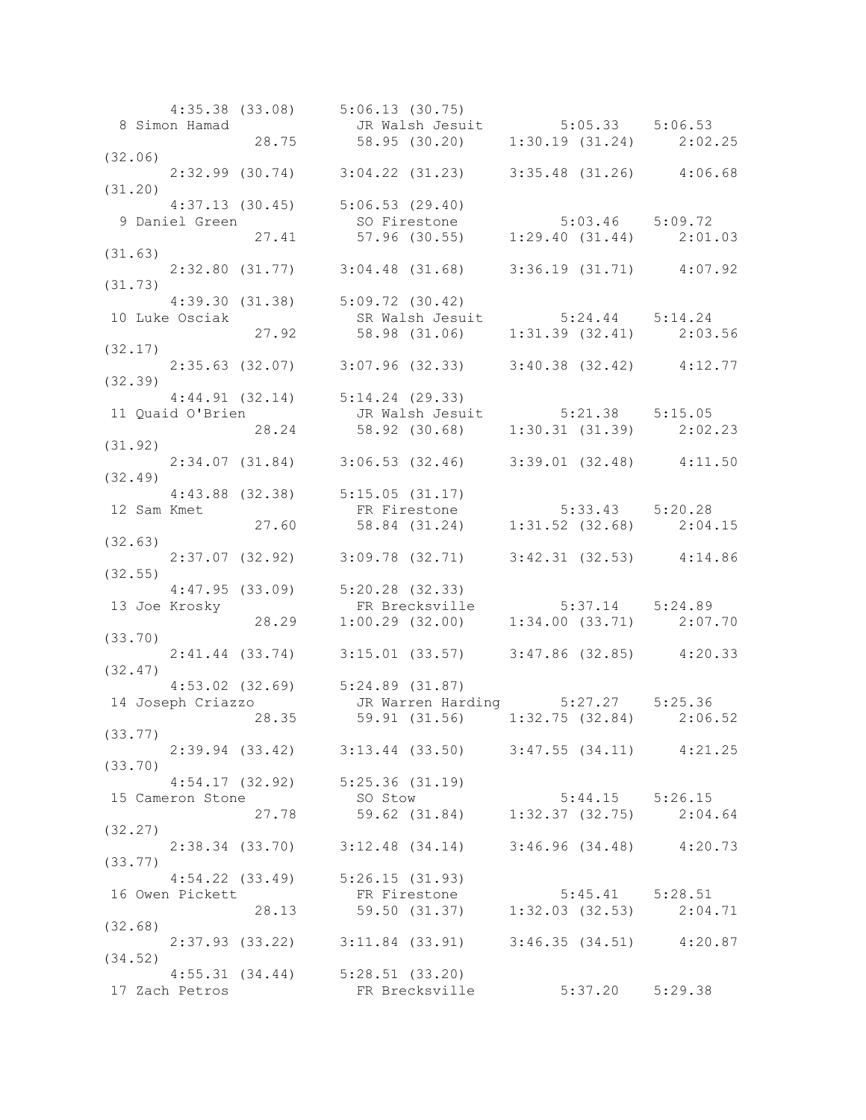|         |                | $4:35.38$ (33.08) $5:06.13$ (30.75)     |                                                                                                                                          |                     |  |
|---------|----------------|-----------------------------------------|------------------------------------------------------------------------------------------------------------------------------------------|---------------------|--|
|         |                |                                         | 8 Simon Hamad JR Walsh Jesuit 5:05.33 5:06.53<br>28.75 58.95 (30.20) 1:30.19 (31.24) 2:02.25                                             |                     |  |
|         |                |                                         |                                                                                                                                          |                     |  |
| (32.06) |                |                                         |                                                                                                                                          |                     |  |
|         |                |                                         | $2:32.99$ (30.74) $3:04.22$ (31.23) $3:35.48$ (31.26) $4:06.68$                                                                          |                     |  |
| (31.20) |                |                                         |                                                                                                                                          |                     |  |
|         |                | $4:37.13$ (30.45) $5:06.53$ (29.40)     |                                                                                                                                          |                     |  |
|         |                |                                         |                                                                                                                                          |                     |  |
|         |                |                                         | 4:37.13 (30.45) 5:06.53 (29.40)<br>9 Daniel Green so Firestone 5:03.46 5:09.72<br>27.41 57.96 (30.55) 1:29.40 (31.44) 2:01.03<br>(31.63) |                     |  |
|         |                |                                         |                                                                                                                                          |                     |  |
|         |                |                                         |                                                                                                                                          |                     |  |
|         |                |                                         | $2:32.80$ (31.77) $3:04.48$ (31.68) $3:36.19$ (31.71) $4:07.92$                                                                          |                     |  |
| (31.73) |                |                                         |                                                                                                                                          |                     |  |
|         |                | $4:39.30$ $(31.38)$ $5:09.72$ $(30.42)$ |                                                                                                                                          |                     |  |
|         | 10 Luke Osciak |                                         | SR Walsh Jesuit 5:24.44 5:14.24                                                                                                          |                     |  |
|         |                |                                         |                                                                                                                                          |                     |  |
|         |                |                                         | 27.92 58.98 (31.06) 1:31.39 (32.41) 2:03.56                                                                                              |                     |  |
| (32.17) |                |                                         |                                                                                                                                          |                     |  |
|         |                |                                         | 2:35.63 (32.07) 3:07.96 (32.33) 3:40.38 (32.42) 4:12.77                                                                                  |                     |  |
| (32.39) |                |                                         |                                                                                                                                          |                     |  |
|         |                | $4:44.91$ (32.14) $5:14.24$ (29.33)     |                                                                                                                                          |                     |  |
|         |                |                                         |                                                                                                                                          |                     |  |
|         |                |                                         | 11 Quaid O'Brien<br>28.24 58.92 (30.68) 1:30.31 (31.39) 2:02.23                                                                          |                     |  |
|         |                |                                         |                                                                                                                                          |                     |  |
| (31.92) |                |                                         |                                                                                                                                          |                     |  |
|         |                |                                         | $2:34.07$ (31.84) $3:06.53$ (32.46) $3:39.01$ (32.48) $4:11.50$                                                                          |                     |  |
| (32.49) |                |                                         |                                                                                                                                          |                     |  |
|         |                |                                         | 4:43.88 (32.38) 5:15.05 (31.17)<br>12 Sam Kmet FR Firestone 5:33.43 5:20.28<br>27.60 58.84 (31.24) 1:31.52 (32.68) 2:04.15               |                     |  |
|         | 12 Sam Kmet    |                                         |                                                                                                                                          |                     |  |
|         |                |                                         |                                                                                                                                          |                     |  |
| (32.63) |                |                                         |                                                                                                                                          |                     |  |
|         |                |                                         |                                                                                                                                          |                     |  |
|         |                |                                         | $2:37.07$ (32.92) $3:09.78$ (32.71) $3:42.31$ (32.53) $4:14.86$                                                                          |                     |  |
| (32.55) |                |                                         |                                                                                                                                          |                     |  |
|         |                |                                         |                                                                                                                                          |                     |  |
|         | 13 Joe Krosky  |                                         |                                                                                                                                          |                     |  |
|         |                |                                         |                                                                                                                                          |                     |  |
| (33.70) |                |                                         |                                                                                                                                          |                     |  |
|         |                |                                         | 2:41.44 (33.74) 3:15.01 (33.57) 3:47.86 (32.85) 4:20.33                                                                                  |                     |  |
|         |                |                                         |                                                                                                                                          |                     |  |
| (32.47) |                |                                         |                                                                                                                                          |                     |  |
|         |                |                                         | 4:53.02 (32.69) 5:24.89 (31.87)<br>14 Joseph Criazzo JR Warren Harding 5:27.27 5:25.36                                                   |                     |  |
|         |                |                                         |                                                                                                                                          |                     |  |
|         |                |                                         | $28.35$ $59.91$ (31.56) $1:32.75$ (32.84) $2:06.52$                                                                                      |                     |  |
|         | (33.77)        |                                         |                                                                                                                                          |                     |  |
|         |                |                                         | 2:39.94 (33.42) 3:13.44 (33.50) 3:47.55 (34.11) 4:21.25                                                                                  |                     |  |
| (33.70) |                |                                         |                                                                                                                                          |                     |  |
|         |                |                                         |                                                                                                                                          |                     |  |
|         |                | $4:54.17$ (32.92) $5:25.36$ (31.19)     |                                                                                                                                          |                     |  |
|         |                | 15 Cameron Stone                        |                                                                                                                                          |                     |  |
|         |                |                                         | SO Stow 5:44.15 5:26.15<br>27.78 59.62 (31.84) 1:32.37 (32.75) 2:04.64                                                                   |                     |  |
| (32.27) |                |                                         |                                                                                                                                          |                     |  |
|         |                |                                         | 2:38.34 (33.70) 3:12.48 (34.14) 3:46.96 (34.48) 4:20.73                                                                                  |                     |  |
| (33.77) |                |                                         |                                                                                                                                          |                     |  |
|         |                | $4:54.22$ (33.49) $5:26.15$ (31.93)     |                                                                                                                                          |                     |  |
|         |                |                                         |                                                                                                                                          |                     |  |
|         |                |                                         | 16 Owen Pickett<br>28.13 FR Firestone<br>28.13 59.50 (31.37) 1:32.03 (32.53) 2:04.71                                                     |                     |  |
|         |                |                                         |                                                                                                                                          |                     |  |
| (32.68) |                |                                         |                                                                                                                                          |                     |  |
|         |                |                                         | 2:37.93 (33.22) 3:11.84 (33.91) 3:46.35 (34.51) 4:20.87                                                                                  |                     |  |
| (34.52) |                |                                         |                                                                                                                                          |                     |  |
|         |                | $4:55.31$ $(34.44)$ $5:28.51$ $(33.20)$ |                                                                                                                                          |                     |  |
|         |                |                                         |                                                                                                                                          |                     |  |
|         | 17 Zach Petros |                                         | FR Brecksville                                                                                                                           | $5:37.20$ $5:29.38$ |  |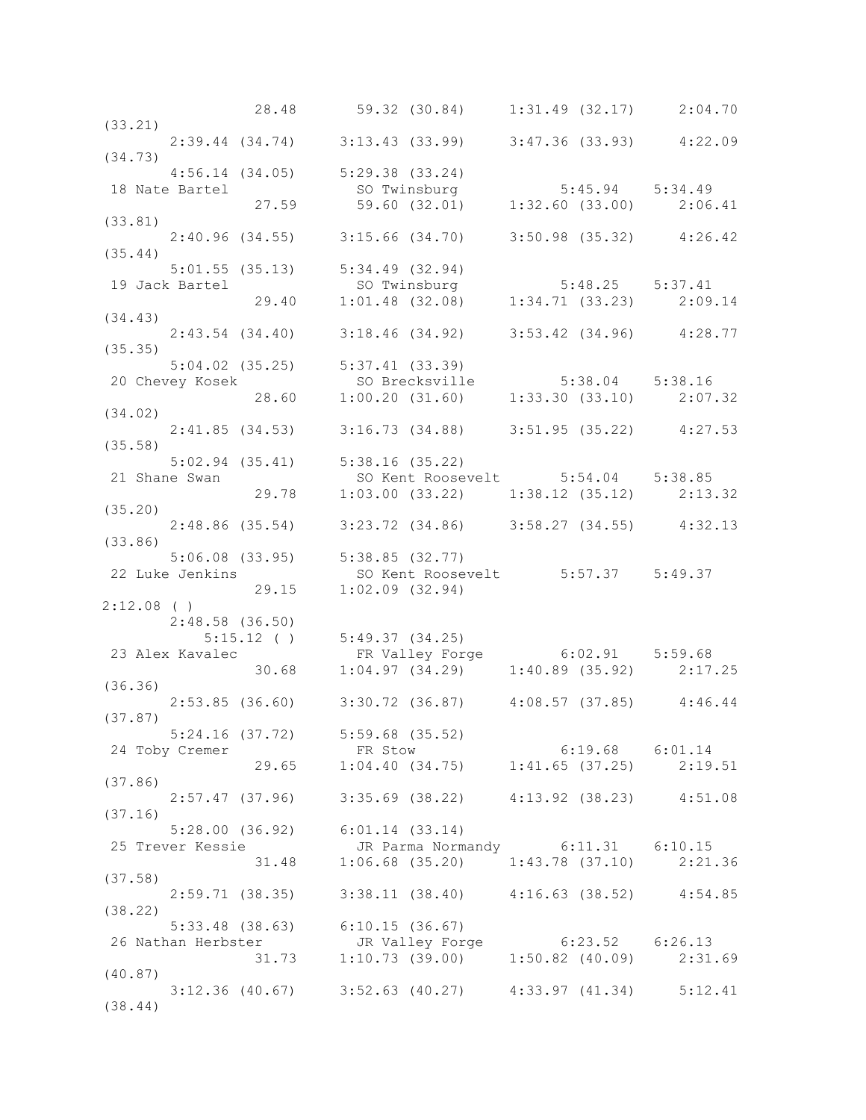|         |                |                                     |         |                                                                                                                                                      |  | 28.48 59.32 (30.84) 1:31.49 (32.17) 2:04.70                                                                            |
|---------|----------------|-------------------------------------|---------|------------------------------------------------------------------------------------------------------------------------------------------------------|--|------------------------------------------------------------------------------------------------------------------------|
| (33.21) |                |                                     |         |                                                                                                                                                      |  |                                                                                                                        |
|         |                |                                     |         |                                                                                                                                                      |  | $2:39.44$ (34.74) 3:13.43 (33.99) 3:47.36 (33.93) 4:22.09                                                              |
| (34.73) |                |                                     |         |                                                                                                                                                      |  |                                                                                                                        |
|         |                | $4:56.14$ (34.05) $5:29.38$ (33.24) |         |                                                                                                                                                      |  |                                                                                                                        |
|         |                |                                     |         | 18 Nate Bartel 57.59 59.60 (32.01) 5:32.60 (33.00) 5:34.49                                                                                           |  |                                                                                                                        |
|         |                |                                     |         |                                                                                                                                                      |  |                                                                                                                        |
| (33.81) |                |                                     |         |                                                                                                                                                      |  |                                                                                                                        |
|         |                |                                     |         |                                                                                                                                                      |  |                                                                                                                        |
|         |                |                                     |         | $2:40.96$ (34.55) $3:15.66$ (34.70) $3:50.98$ (35.32) $4:26.42$                                                                                      |  |                                                                                                                        |
| (35.44) |                |                                     |         |                                                                                                                                                      |  |                                                                                                                        |
|         |                | $5:01.55$ (35.13) $5:34.49$ (32.94) |         |                                                                                                                                                      |  |                                                                                                                        |
|         | 19 Jack Bartel |                                     |         | tel so Twinsburg 5:48.25 5:37.41<br>29.40 1:01.48 (32.08) 1:34.71 (33.23) 2:09.14                                                                    |  |                                                                                                                        |
|         |                |                                     |         |                                                                                                                                                      |  |                                                                                                                        |
| (34.43) |                |                                     |         |                                                                                                                                                      |  |                                                                                                                        |
|         |                |                                     |         |                                                                                                                                                      |  | $2:43.54$ (34.40) 3:18.46 (34.92) 3:53.42 (34.96) 4:28.77                                                              |
| (35.35) |                |                                     |         |                                                                                                                                                      |  |                                                                                                                        |
|         |                |                                     |         |                                                                                                                                                      |  |                                                                                                                        |
|         |                |                                     |         |                                                                                                                                                      |  |                                                                                                                        |
|         |                |                                     |         |                                                                                                                                                      |  | 5:04.02 (35.25) 5:37.41 (33.39)<br>20 Chevey Kosek 5:38.04 5:38.16<br>28.60 1:00.20 (31.60) 1:33.30 (33.10) 2:07.32    |
| (34.02) |                |                                     |         |                                                                                                                                                      |  |                                                                                                                        |
|         |                |                                     |         |                                                                                                                                                      |  |                                                                                                                        |
|         |                |                                     |         | 2:41.85 (34.53) 3:16.73 (34.88) 3:51.95 (35.22) 4:27.53                                                                                              |  |                                                                                                                        |
| (35.58) |                |                                     |         |                                                                                                                                                      |  |                                                                                                                        |
|         |                | $5:02.94$ (35.41) $5:38.16$ (35.22) |         |                                                                                                                                                      |  |                                                                                                                        |
|         |                |                                     |         | 21 Shane Swan 59.78 50 Kent Roosevelt 5:54.04 5:38.85<br>29.78 1:03.00 (33.22) 1:38.12 (35.12) 2:13.32                                               |  |                                                                                                                        |
|         |                |                                     |         |                                                                                                                                                      |  |                                                                                                                        |
| (35.20) |                |                                     |         |                                                                                                                                                      |  |                                                                                                                        |
|         |                |                                     |         | 2:48.86 (35.54) 3:23.72 (34.86) 3:58.27 (34.55) 4:32.13                                                                                              |  |                                                                                                                        |
| (33.86) |                |                                     |         |                                                                                                                                                      |  |                                                                                                                        |
|         |                |                                     |         |                                                                                                                                                      |  |                                                                                                                        |
|         |                |                                     |         |                                                                                                                                                      |  |                                                                                                                        |
|         |                |                                     |         | 5:06.08 (33.95) 5:38.85 (32.77)                                                                                                                      |  |                                                                                                                        |
|         |                |                                     |         |                                                                                                                                                      |  |                                                                                                                        |
|         |                |                                     |         | 22 Luke Jenkins<br>29.15 1:02.09 (32.94)<br>29.15 1:02.09 (32.94)                                                                                    |  |                                                                                                                        |
|         | $2:12.08$ ( )  |                                     |         |                                                                                                                                                      |  |                                                                                                                        |
|         |                | 2:48.58(36.50)                      |         |                                                                                                                                                      |  |                                                                                                                        |
|         |                |                                     |         |                                                                                                                                                      |  |                                                                                                                        |
|         |                | 23 Alex Kavalec                     |         |                                                                                                                                                      |  |                                                                                                                        |
|         |                |                                     |         |                                                                                                                                                      |  |                                                                                                                        |
| (36.36) |                |                                     |         |                                                                                                                                                      |  | 5:15.12 () 5:49.37 (34.25)<br>Kavalec FR Valley Forge 6:02.91 5:59.68<br>30.68 1:04.97 (34.29) 1:40.89 (35.92) 2:17.25 |
|         |                |                                     |         |                                                                                                                                                      |  |                                                                                                                        |
|         |                |                                     |         | 2:53.85 (36.60) 3:30.72 (36.87) 4:08.57 (37.85) 4:46.44                                                                                              |  |                                                                                                                        |
| (37.87) |                |                                     |         |                                                                                                                                                      |  |                                                                                                                        |
|         |                |                                     |         | 5:24.16 (37.72) 5:59.68 (35.52)                                                                                                                      |  |                                                                                                                        |
|         | 24 Toby Cremer |                                     | FR Stow |                                                                                                                                                      |  | 6:19.68 6:01.14                                                                                                        |
|         |                |                                     |         |                                                                                                                                                      |  | 29.65 1:04.40 (34.75) 1:41.65 (37.25) 2:19.51                                                                          |
| (37.86) |                |                                     |         |                                                                                                                                                      |  |                                                                                                                        |
|         |                |                                     |         | 2:57.47 (37.96) 3:35.69 (38.22) 4:13.92 (38.23) 4:51.08                                                                                              |  |                                                                                                                        |
| (37.16) |                |                                     |         |                                                                                                                                                      |  |                                                                                                                        |
|         |                | $5:28.00$ (36.92) $6:01.14$ (33.14) |         |                                                                                                                                                      |  |                                                                                                                        |
|         |                |                                     |         |                                                                                                                                                      |  |                                                                                                                        |
|         |                |                                     |         | 25 Trever Kessie JR Parma Normandy 6:11.31 6:10.15<br>31.48 1:06.68 (35.20) 1:43.78 (37.10) 2:21.36<br>$1:06.68$ (35.20) $1:43.78$ (37.10) $2:21.36$ |  |                                                                                                                        |
| (37.58) |                |                                     |         |                                                                                                                                                      |  |                                                                                                                        |
|         |                |                                     |         |                                                                                                                                                      |  |                                                                                                                        |
|         |                |                                     |         | 2:59.71 (38.35) 3:38.11 (38.40) 4:16.63 (38.52) 4:54.85                                                                                              |  |                                                                                                                        |
| (38.22) |                |                                     |         |                                                                                                                                                      |  |                                                                                                                        |
|         |                | $5:33.48$ (38.63) 6:10.15 (36.67)   |         |                                                                                                                                                      |  |                                                                                                                        |
|         |                |                                     |         |                                                                                                                                                      |  |                                                                                                                        |
|         |                |                                     |         | 26 Nathan Herbster JR Valley Forge 6:23.52 6:26.13<br>31.73 1:10.73 (39.00) 1:50.82 (40.09) 2:31.69                                                  |  |                                                                                                                        |
| (40.87) |                |                                     |         |                                                                                                                                                      |  |                                                                                                                        |
| (38.44) |                |                                     |         | 3:12.36 (40.67) 3:52.63 (40.27) 4:33.97 (41.34) 5:12.41                                                                                              |  |                                                                                                                        |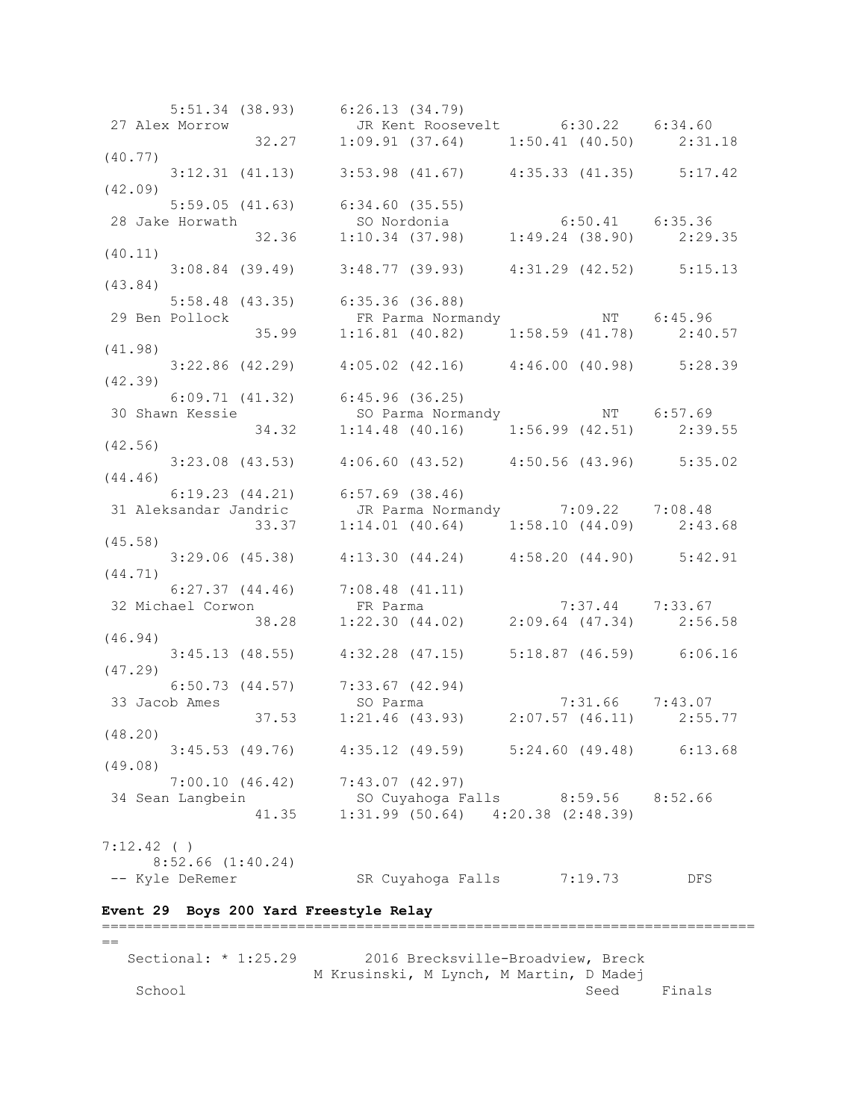5:51.34 (38.93) 6:26.13 (34.79) 27 Alex Morrow JR Kent Roosevelt 6:30.22 6:34.60 32.27 1:09.91 (37.64) 1:50.41 (40.50) 2:31.18 (40.77) 3:12.31 (41.13) 3:53.98 (41.67) 4:35.33 (41.35) 5:17.42 (42.09) 5:59.05 (41.63) 6:34.60 (35.55) 28 Jake Horwath SO Nordonia 6:50.41 6:35.36 32.36 1:10.34 (37.98) 1:49.24 (38.90) 2:29.35 (40.11) 3:08.84 (39.49) 3:48.77 (39.93) 4:31.29 (42.52) 5:15.13 (43.84) 5:58.48 (43.35) 6:35.36 (36.88) 29 Ben Pollock FR Parma Normandy NT 6:45.96 35.99 1:16.81 (40.82) 1:58.59 (41.78) 2:40.57 (41.98) 3:22.86 (42.29) 4:05.02 (42.16) 4:46.00 (40.98) 5:28.39 (42.39) 6:09.71 (41.32) 6:45.96 (36.25) 30 Shawn Kessie So Parma Normandy NT 6:57.69 34.32 1:14.48 (40.16) 1:56.99 (42.51) 2:39.55 (42.56) 3:23.08 (43.53) 4:06.60 (43.52) 4:50.56 (43.96) 5:35.02 (44.46) 6:19.23 (44.21) 6:57.69 (38.46) 31 Aleksandar Jandric JR Parma Normandy 7:09.22 7:08.48 33.37 1:14.01 (40.64) 1:58.10 (44.09) 2:43.68 (45.58) 3:29.06 (45.38) 4:13.30 (44.24) 4:58.20 (44.90) 5:42.91 (44.71) 6:27.37 (44.46) 7:08.48 (41.11) 32 Michael Corwon FR Parma 7:37.44 7:33.67 38.28 1:22.30 (44.02) 2:09.64 (47.34) 2:56.58 (46.94) 3:45.13 (48.55) 4:32.28 (47.15) 5:18.87 (46.59) 6:06.16 (47.29) 6:50.73 (44.57) 7:33.67 (42.94) 33 Jacob Ames SO Parma 7:31.66 7:43.07 37.53 1:21.46 (43.93) 2:07.57 (46.11) 2:55.77 (48.20) 3:45.53 (49.76) 4:35.12 (49.59) 5:24.60 (49.48) 6:13.68 (49.08) 7:00.10 (46.42) 7:43.07 (42.97)<br>n Langbein 30 Cuyahoga Falls 8:59.56 8:52.66 34 Sean Langbein SO Cuyahoga Falls 8:59.56 8:52.66 41.35 1:31.99 (50.64) 4:20.38 (2:48.39) 7:12.42 ( )  $8:52.66$  (1:40.24) -- Kyle DeRemer SR Cuyahoga Falls 7:19.73 DFS **Event 29 Boys 200 Yard Freestyle Relay** =============================================================================  $=$ Sectional: \* 1:25.29 2016 Brecksville-Broadview, Breck M Krusinski, M Lynch, M Martin, D Madej

School Seed Finals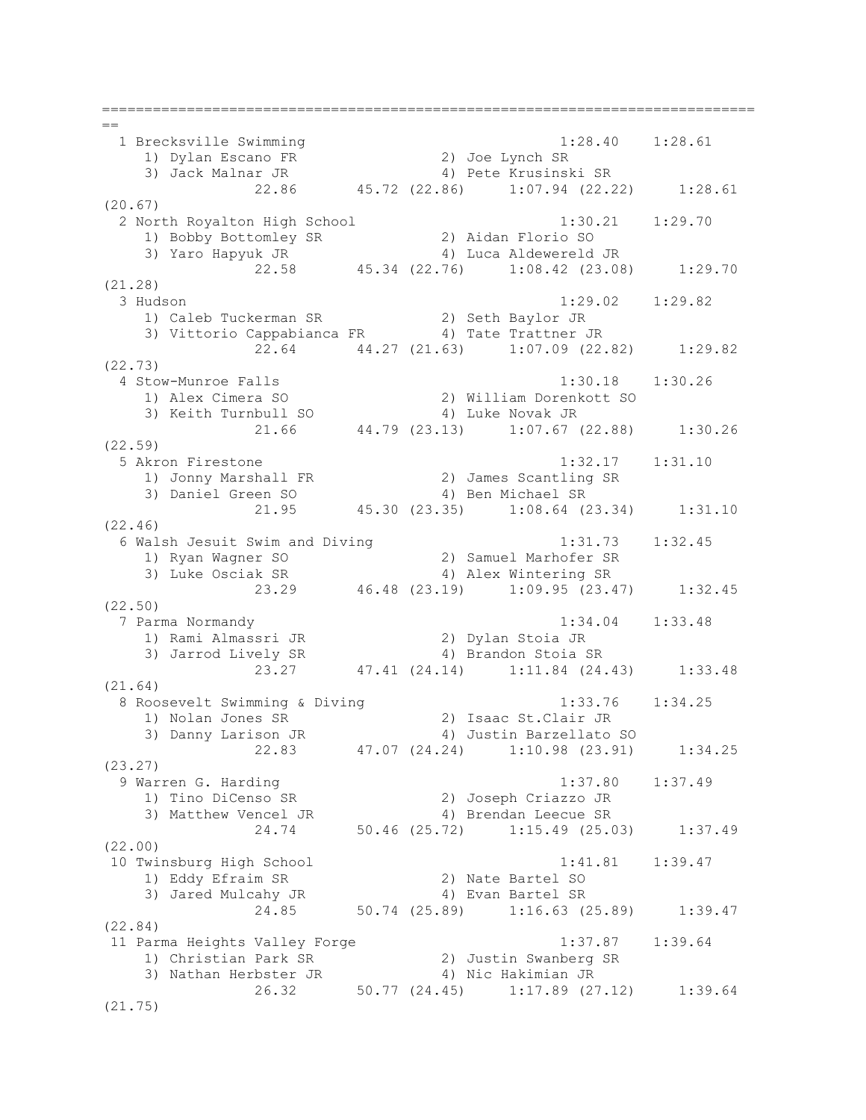=============================================================================  $=$  1 Brecksville Swimming 1:28.40 1:28.61 1) Dylan Escano FR 2) Joe Lynch SR 3) Jack Malnar JR 4) Pete Krusinski SR 22.86 45.72 (22.86) 1:07.94 (22.22) 1:28.61 (20.67) 2 North Royalton High School 1:30.21 1:29.70 1) Bobby Bottomley SR 2) Aidan Florio SO 3) Yaro Hapyuk JR 4) Luca Aldewereld JR 22.58 45.34 (22.76) 1:08.42 (23.08) 1:29.70 (21.28) 3 Hudson 1:29.02 1:29.82 1) Caleb Tuckerman SR 2) Seth Baylor JR 3) Vittorio Cappabianca FR 4) Tate Trattner JR 22.64 44.27 (21.63) 1:07.09 (22.82) 1:29.82 (22.73) 4 Stow-Munroe Falls 1:30.18 1:30.26 1) Alex Cimera SO 2) William Dorenkott SO 3) Keith Turnbull SO 4) Luke Novak JR 21.66 44.79 (23.13) 1:07.67 (22.88) 1:30.26 (22.59) 5 Akron Firestone 1:32.17 1:31.10 1) Jonny Marshall FR 2) James Scantling SR 3) Daniel Green SO 4) Ben Michael SR 21.95 45.30 (23.35) 1:08.64 (23.34) 1:31.10 (22.46) 6 Walsh Jesuit Swim and Diving 1:31.73 1:32.45 1) Ryan Wagner SO 2) Samuel Marhofer SR 3) Luke Osciak SR 4) Alex Wintering SR 23.29 46.48 (23.19) 1:09.95 (23.47) 1:32.45 (22.50) 7 Parma Normandy 1:34.04 1:33.48 1) Rami Almassri JR 2) Dylan Stoia JR 3) Jarrod Lively SR 4) Brandon Stoia SR 23.27 47.41 (24.14) 1:11.84 (24.43) 1:33.48 (21.64) 8 Roosevelt Swimming & Diving 1:33.76 1:34.25 1) Nolan Jones SR 2) Isaac St.Clair JR 3) Danny Larison JR 4) Justin Barzellato SO 22.83 47.07 (24.24) 1:10.98 (23.91) 1:34.25 (23.27) 9 Warren G. Harding 1:37.80 1:37.49 1) Tino DiCenso SR 2) Joseph Criazzo JR 3) Matthew Vencel JR 4) Brendan Leecue SR 24.74 50.46 (25.72) 1:15.49 (25.03) 1:37.49 (22.00) 10 Twinsburg High School 1:41.81 1:39.47 1) Eddy Efraim SR 2) Nate Bartel SO 3) Jared Mulcahy JR 4) Evan Bartel SR 24.85 50.74 (25.89) 1:16.63 (25.89) 1:39.47 (22.84) 11 Parma Heights Valley Forge 1:37.87 1:39.64 1) Christian Park SR 2) Justin Swanberg SR 3) Nathan Herbster JR 4) Nic Hakimian JR 26.32 50.77 (24.45) 1:17.89 (27.12) 1:39.64 (21.75)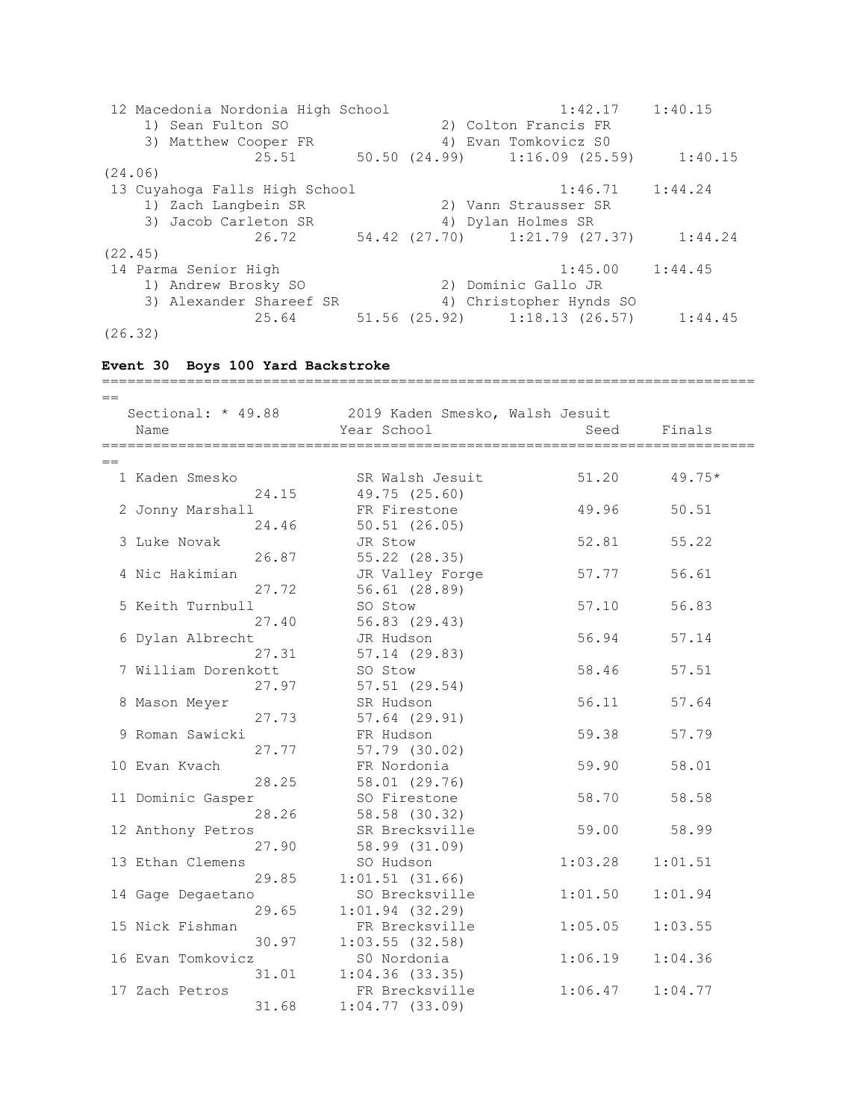12 Macedonia Nordonia High School 1:42.17 1:40.15 1) Sean Fulton SO 2) Colton Francis FR 3) Matthew Cooper FR 4) Evan Tomkovicz S0 25.51 50.50 (24.99) 1:16.09 (25.59) 1:40.15 (24.06) 13 Cuyahoga Falls High School 1:46.71 1:44.24 1) Zach Langbein SR 2) Vann Strausser SR 3) Jacob Carleton SR 4) Dylan Holmes SR 26.72 54.42 (27.70) 1:21.79 (27.37) 1:44.24 (22.45) 14 Parma Senior High 1:45.00 1:44.45 1) Andrew Brosky SO 2) Dominic Gallo JR 3) Alexander Shareef SR 4) Christopher Hynds SO 25.64 51.56 (25.92) 1:18.13 (26.57) 1:44.45 (26.32) **Event 30 Boys 100 Yard Backstroke** =============================================================================  $=$  Sectional: \* 49.88 2019 Kaden Smesko, Walsh Jesuit Name Seed Finals (Name Seed Finals =============================================================================  $-$ 1 Kaden Smesko SR Walsh Jesuit 51.20 49.75\* 24.15 49.75 (25.60) 2 Jonny Marshall FR Firestone 49.96 50.51 24.46 50.51 (26.05) 3 Luke Novak JR Stow 52.81 55.22 26.87 55.22 (28.35) 4 Nic Hakimian JR Valley Forge 57.77 56.61 27.72 56.61 (28.89) 5 Keith Turnbull SO Stow 57.10 56.83 27.40 56.83 (29.43) 6 Dylan Albrecht JR Hudson 56.94 57.14 27.31 57.14 (29.83) 7 William Dorenkott SO Stow 58.46 57.51 27.97 57.51 (29.54) 8 Mason Meyer SR Hudson 56.11 57.64 27.73 57.64 (29.91) 9 Roman Sawicki FR Hudson 59.38 57.79 27.77 57.79 (30.02) 10 Evan Kvach FR Nordonia 59.90 58.01 28.25 58.01 (29.76) 11 Dominic Gasper SO Firestone 58.70 58.58 28.26 58.58 (30.32) 12 Anthony Petros SR Brecksville 59.00 58.99 s<br>27.90 58.99 (31.09)<br>20 Tudoon 13 Ethan Clemens SO Hudson 1:03.28 1:01.51 29.85 1:01.51 (31.66) 14 Gage Degaetano SO Brecksville 1:01.50 1:01.94 29.65 1:01.94 (32.29) 15 Nick Fishman FR Brecksville 1:05.05 1:03.55 30.97 1:03.55 (32.58) 16 Evan Tomkovicz S0 Nordonia 1:06.19 1:04.36 31.01 1:04.36 (33.35) 17 Zach Petros FR Brecksville 1:06.47 1:04.77 31.68 1:04.77 (33.09)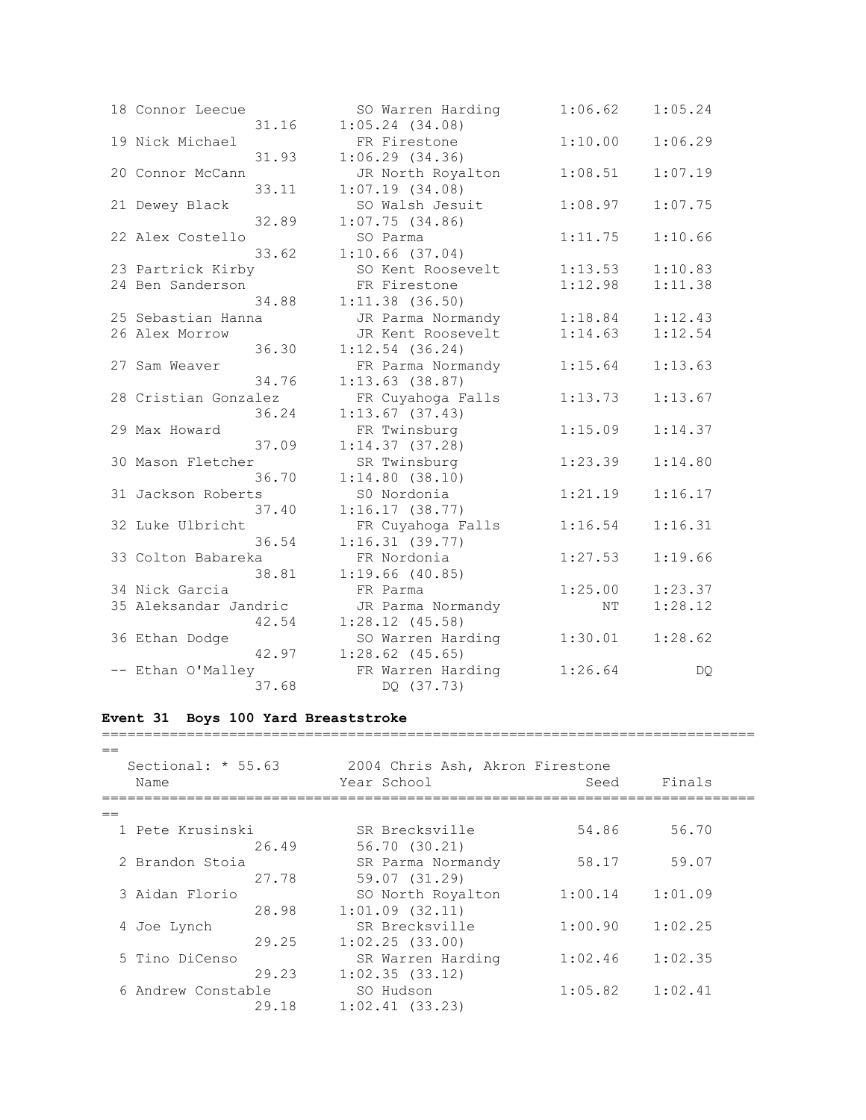| 18 Connor Leecue      | 31.16 | SO Warren Harding<br>$1:05.24$ $(34.08)$ | 1:06.62 | 1:05.24 |
|-----------------------|-------|------------------------------------------|---------|---------|
| 19 Nick Michael       | 31.93 | FR Firestone<br>1:06.29(34.36)           | 1:10.00 | 1:06.29 |
| 20 Connor McCann      | 33.11 | JR North Royalton<br>1:07.19(34.08)      | 1:08.51 | 1:07.19 |
| 21 Dewey Black        | 32.89 | SO Walsh Jesuit<br>1:07.75(34.86)        | 1:08.97 | 1:07.75 |
| 22 Alex Costello      | 33.62 | SO Parma<br>$1:10.66$ (37.04)            | 1:11.75 | 1:10.66 |
| 23 Partrick Kirby     |       | SO Kent Roosevelt                        | 1:13.53 | 1:10.83 |
| 24 Ben Sanderson      |       | FR Firestone                             | 1:12.98 | 1:11.38 |
|                       | 34.88 | $1:11.38$ (36.50)                        |         |         |
| 25 Sebastian Hanna    |       | JR Parma Normandy                        | 1:18.84 | 1:12.43 |
| 26 Alex Morrow        |       | JR Kent Roosevelt                        | 1:14.63 | 1:12.54 |
|                       | 36.30 | $1:12.54$ (36.24)                        |         |         |
| 27 Sam Weaver         |       | FR Parma Normandy                        | 1:15.64 | 1:13.63 |
|                       | 34.76 | $1:13.63$ (38.87)                        |         |         |
| 28 Cristian Gonzalez  |       | FR Cuyahoga Falls                        | 1:13.73 | 1:13.67 |
|                       | 36.24 | 1:13.67(37.43)                           |         |         |
| 29 Max Howard         |       | FR Twinsburg                             | 1:15.09 | 1:14.37 |
|                       | 37.09 | 1:14.37(37.28)                           |         |         |
| 30 Mason Fletcher     |       | SR Twinsburg                             | 1:23.39 | 1:14.80 |
|                       | 36.70 | 1:14.80(38.10)                           |         |         |
| 31 Jackson Roberts    |       | S0 Nordonia                              | 1:21.19 | 1:16.17 |
|                       | 37.40 | 1:16.17(38.77)                           |         |         |
| 32 Luke Ulbricht      |       | FR Cuyahoga Falls                        | 1:16.54 | 1:16.31 |
|                       | 36.54 | 1:16.31(39.77)                           |         |         |
| 33 Colton Babareka    |       | FR Nordonia                              | 1:27.53 | 1:19.66 |
|                       | 38.81 | $1:19.66$ (40.85)                        |         |         |
| 34 Nick Garcia        |       | FR Parma                                 | 1:25.00 | 1:23.37 |
| 35 Aleksandar Jandric | 42.54 | JR Parma Normandy<br>$1:28.12$ (45.58)   | NΤ      | 1:28.12 |
| 36 Ethan Dodge        |       | SO Warren Harding                        | 1:30.01 | 1:28.62 |
|                       | 42.97 | $1:28.62$ (45.65)                        |         |         |
| -- Ethan O'Malley     |       | FR Warren Harding                        | 1:26.64 | DQ.     |
|                       | 37.68 | DQ (37.73)                               |         |         |

## **Event 31 Boys 100 Yard Breaststroke** =============================================================================

| $=$ |                              |       |                                                |         |         |  |  |  |  |
|-----|------------------------------|-------|------------------------------------------------|---------|---------|--|--|--|--|
|     | Sectional: $* 55.63$<br>Name |       | 2004 Chris Ash, Akron Firestone<br>Year School | Seed    | Finals  |  |  |  |  |
| $=$ |                              |       |                                                |         |         |  |  |  |  |
|     | 1 Pete Krusinski             |       | SR Brecksville                                 | 54.86   | 56.70   |  |  |  |  |
|     |                              | 26.49 | 56.70 (30.21)                                  |         |         |  |  |  |  |
|     | 2 Brandon Stoia              |       | SR Parma Normandy                              | 58.17   | 59.07   |  |  |  |  |
|     |                              | 27.78 | 59.07 (31.29)                                  |         |         |  |  |  |  |
|     | 3 Aidan Florio               |       | SO North Royalton                              | 1:00.14 | 1:01.09 |  |  |  |  |
|     |                              | 28.98 | $1:01.09$ $(32.11)$                            |         |         |  |  |  |  |
|     | 4 Joe Lynch                  |       | SR Brecksville                                 | 1:00.90 | 1:02.25 |  |  |  |  |
|     |                              | 29.25 | 1:02.25(33.00)                                 |         |         |  |  |  |  |
|     | 5 Tino DiCenso               |       | SR Warren Harding                              | 1:02.46 | 1:02.35 |  |  |  |  |
|     |                              | 29.23 | 1:02.35(33.12)                                 |         |         |  |  |  |  |
|     | 6 Andrew Constable           |       | SO Hudson                                      | 1:05.82 | 1:02.41 |  |  |  |  |
|     |                              | 29.18 | $1:02.41$ (33.23)                              |         |         |  |  |  |  |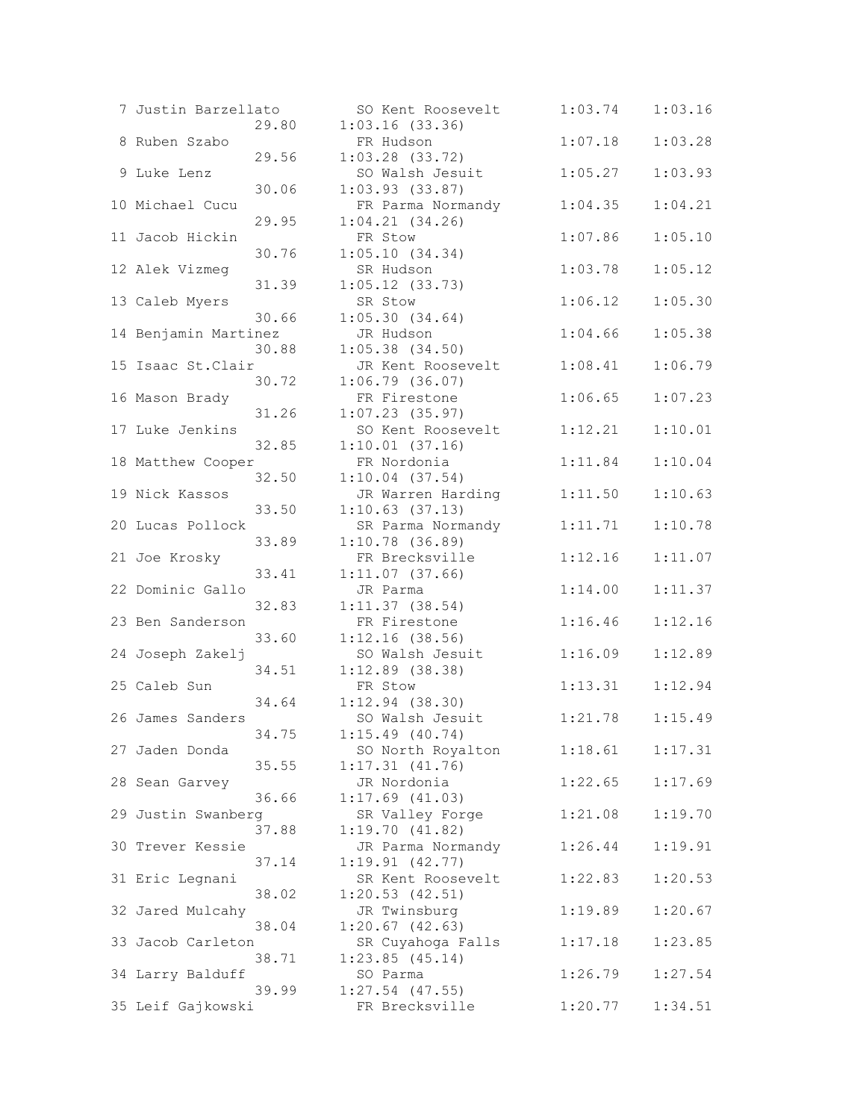| 7 Justin Barzellato  |       | SO Kent Roosevelt                   | 1:03.74 | 1:03.16 |
|----------------------|-------|-------------------------------------|---------|---------|
|                      | 29.80 | 1:03.16(33.36)                      |         |         |
| 8 Ruben Szabo        |       | FR Hudson                           | 1:07.18 | 1:03.28 |
|                      | 29.56 | $1:03.28$ (33.72)                   |         |         |
| 9 Luke Lenz          |       | SO Walsh Jesuit                     | 1:05.27 | 1:03.93 |
|                      | 30.06 | 1:03.93(33.87)                      |         |         |
| 10 Michael Cucu      |       | FR Parma Normandy                   | 1:04.35 | 1:04.21 |
|                      | 29.95 | $1:04.21$ $(34.26)$                 |         |         |
| 11 Jacob Hickin      |       | FR Stow                             | 1:07.86 | 1:05.10 |
|                      | 30.76 | 1:05.10(34.34)                      |         |         |
| 12 Alek Vizmeg       |       | SR Hudson                           | 1:03.78 | 1:05.12 |
|                      | 31.39 | $1:05.12$ (33.73)                   |         |         |
| 13 Caleb Myers       |       | SR Stow                             | 1:06.12 | 1:05.30 |
|                      | 30.66 | 1:05.30(34.64)                      |         |         |
| 14 Benjamin Martinez |       | JR Hudson                           | 1:04.66 | 1:05.38 |
|                      | 30.88 | $1:05.38$ (34.50)                   |         |         |
| 15 Isaac St. Clair   |       | JR Kent Roosevelt                   | 1:08.41 | 1:06.79 |
|                      | 30.72 | $1:06.79$ (36.07)                   |         |         |
| 16 Mason Brady       | 31.26 | FR Firestone<br>$1:07.23$ (35.97)   | 1:06.65 | 1:07.23 |
| 17 Luke Jenkins      |       | SO Kent Roosevelt                   | 1:12.21 | 1:10.01 |
|                      | 32.85 | $1:10.01$ (37.16)                   |         |         |
| 18 Matthew Cooper    |       | FR Nordonia                         | 1:11.84 | 1:10.04 |
|                      | 32.50 | $1:10.04$ $(37.54)$                 |         |         |
| 19 Nick Kassos       |       | JR Warren Harding                   | 1:11.50 | 1:10.63 |
|                      | 33.50 | $1:10.63$ $(37.13)$                 |         |         |
| 20 Lucas Pollock     |       | SR Parma Normandy                   | 1:11.71 | 1:10.78 |
|                      | 33.89 | $1:10.78$ (36.89)                   |         |         |
| 21 Joe Krosky        |       | FR Brecksville                      | 1:12.16 | 1:11.07 |
|                      | 33.41 | 1:11.07(37.66)                      |         |         |
| 22 Dominic Gallo     |       | JR Parma                            | 1:14.00 | 1:11.37 |
|                      | 32.83 | $1:11.37$ (38.54)                   |         |         |
| 23 Ben Sanderson     |       | FR Firestone                        | 1:16.46 | 1:12.16 |
|                      | 33.60 | 1:12.16(38.56)                      |         |         |
| 24 Joseph Zakelj     |       | SO Walsh Jesuit                     | 1:16.09 | 1:12.89 |
|                      | 34.51 | $1:12.89$ (38.38)                   |         |         |
| 25 Caleb Sun         |       | FR Stow                             | 1:13.31 | 1:12.94 |
|                      | 34.64 | $1:12.94$ (38.30)                   |         |         |
| 26 James Sanders     |       | SO Walsh Jesuit                     | 1:21.78 | 1:15.49 |
|                      | 34.75 | $1:15.49$ (40.74)                   |         |         |
| 27 Jaden Donda       |       | SO North Royalton                   | 1:18.61 | 1:17.31 |
|                      | 35.55 | 1:17.31(41.76)                      |         |         |
| 28 Sean Garvey       |       | JR Nordonia                         | 1:22.65 | 1:17.69 |
|                      | 36.66 | $1:17.69$ $(41.03)$                 |         |         |
| 29 Justin Swanberg   |       | SR Valley Forge                     | 1:21.08 | 1:19.70 |
|                      | 37.88 | 1:19.70(41.82)                      |         |         |
| 30 Trever Kessie     |       | JR Parma Normandy                   | 1:26.44 | 1:19.91 |
|                      | 37.14 | 1:19.91(42.77)                      | 1:22.83 |         |
| 31 Eric Legnani      | 38.02 | SR Kent Roosevelt<br>1:20.53(42.51) |         | 1:20.53 |
| 32 Jared Mulcahy     |       |                                     | 1:19.89 | 1:20.67 |
|                      | 38.04 | JR Twinsburg<br>$1:20.67$ (42.63)   |         |         |
| 33 Jacob Carleton    |       | SR Cuyahoga Falls                   | 1:17.18 | 1:23.85 |
|                      | 38.71 | 1:23.85(45.14)                      |         |         |
| 34 Larry Balduff     |       | SO Parma                            | 1:26.79 | 1:27.54 |
|                      | 39.99 | $1:27.54$ (47.55)                   |         |         |
| 35 Leif Gajkowski    |       | FR Brecksville                      | 1:20.77 | 1:34.51 |
|                      |       |                                     |         |         |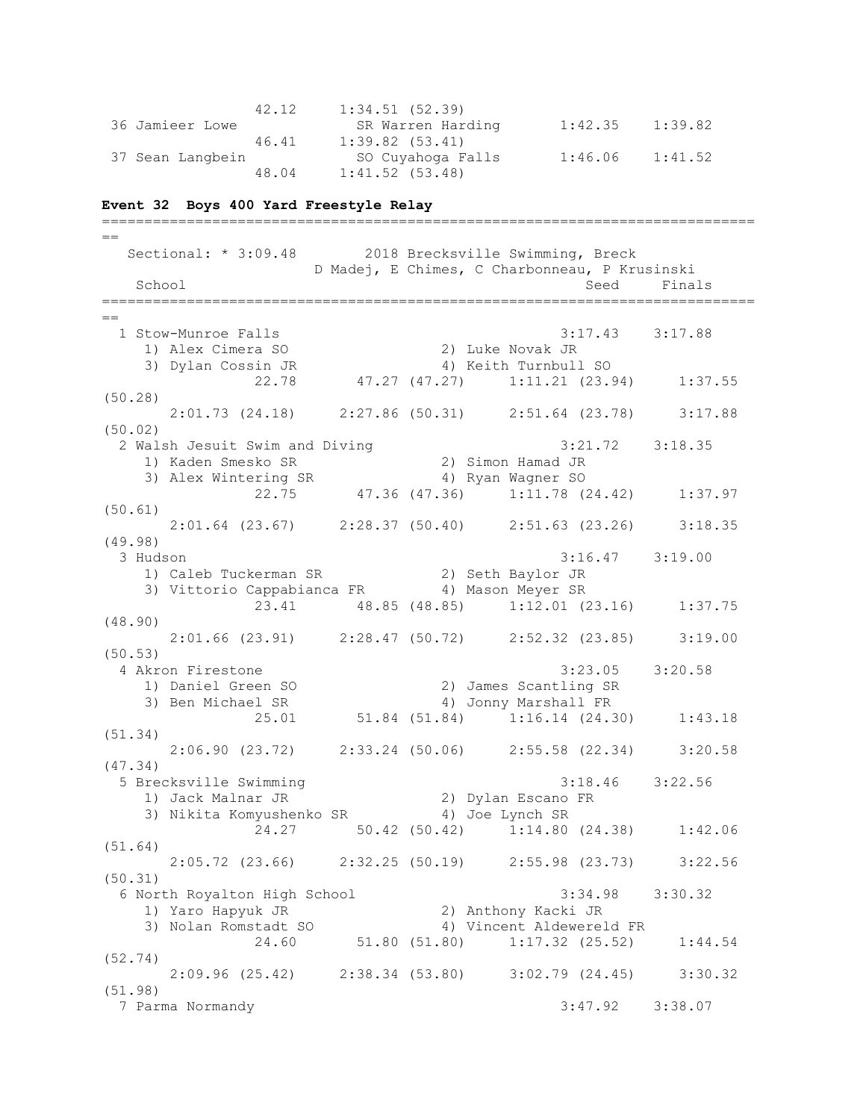|                  | 42.12 | 1:34.51(52.39)    |         |         |
|------------------|-------|-------------------|---------|---------|
| 36 Jamieer Lowe  |       | SR Warren Harding | 1:42.35 | 1:39.82 |
|                  | 46.41 | $1:39.82$ (53.41) |         |         |
| 37 Sean Langbein |       | SO Cuyahoga Falls | 1:46.06 | 1:41.52 |
|                  | 48.04 | 1:41.52(53.48)    |         |         |

### **Event 32 Boys 400 Yard Freestyle Relay**

=============================================================================  $=$ Sectional: \* 3:09.48 2018 Brecksville Swimming, Breck D Madej, E Chimes, C Charbonneau, P Krusinski School School Seed Finals ============================================================================= == 1 Stow-Munroe Falls 3:17.43 3:17.88 1) Alex Cimera SO 2) Luke Novak JR 3) Dylan Cossin JR 4) Keith Turnbull SO 22.78 47.27 (47.27) 1:11.21 (23.94) 1:37.55 (50.28) 2:01.73 (24.18) 2:27.86 (50.31) 2:51.64 (23.78) 3:17.88 (50.02) 2 Walsh Jesuit Swim and Diving 3:21.72 3:18.35 1) Kaden Smesko SR 2) Simon Hamad JR 3) Alex Wintering SR 4) Ryan Wagner SO 22.75 47.36 (47.36) 1:11.78 (24.42) 1:37.97 (50.61) 2:01.64 (23.67) 2:28.37 (50.40) 2:51.63 (23.26) 3:18.35 (49.98) 3 Hudson 3:16.47 3:19.00 1) Caleb Tuckerman SR 2) Seth Baylor JR 3) Vittorio Cappabianca FR 4) Mason Meyer SR 23.41 48.85 (48.85) 1:12.01 (23.16) 1:37.75 (48.90) 2:01.66 (23.91) 2:28.47 (50.72) 2:52.32 (23.85) 3:19.00 (50.53) 4 Akron Firestone 3:23.05 3:20.58 1) Daniel Green SO 2) James Scantling SR 3) Ben Michael SR 4) Jonny Marshall FR 25.01 51.84 (51.84) 1:16.14 (24.30) 1:43.18 (51.34) 2:06.90 (23.72) 2:33.24 (50.06) 2:55.58 (22.34) 3:20.58 (47.34) 5 Brecksville Swimming 3:18.46 3:22.56<br>1) Jack Malnar JR 3:22.56 1) Jack Malnar JR 2) Dylan Escano FR 3) Nikita Komyushenko SR 4) Joe Lynch SR 24.27 50.42 (50.42) 1:14.80 (24.38) 1:42.06 (51.64) 2:05.72 (23.66) 2:32.25 (50.19) 2:55.98 (23.73) 3:22.56 (50.31) 6 North Royalton High School 3:34.98 3:30.32 1) Yaro Hapyuk JR 2) Anthony Kacki JR 3) Nolan Romstadt SO 4) Vincent Aldewereld FR 24.60 51.80 (51.80) 1:17.32 (25.52) 1:44.54 (52.74) 2:09.96 (25.42) 2:38.34 (53.80) 3:02.79 (24.45) 3:30.32 (51.98) 7 Parma Normandy 3:47.92 3:38.07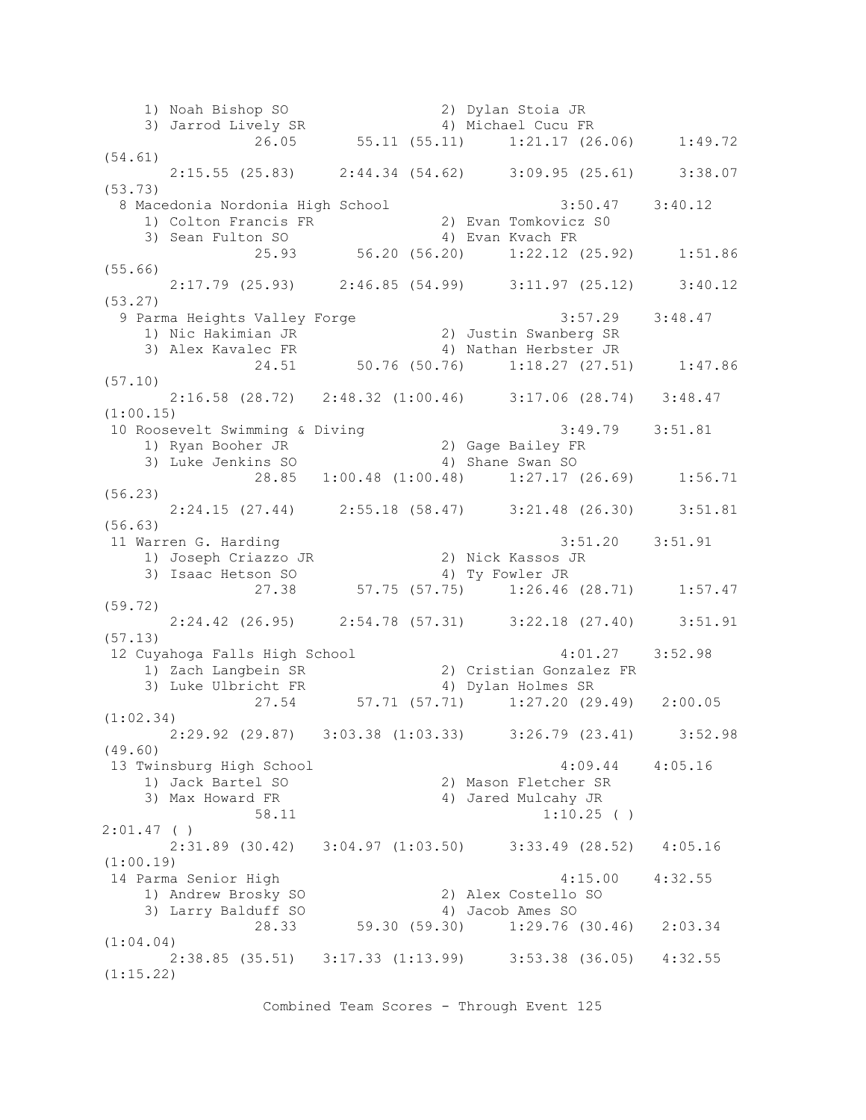1) Noah Bishop SO 2) Dylan Stoia JR 3) Jarrod Lively SR 4) Michael Cucu FR 26.05 55.11 (55.11) 1:21.17 (26.06) 1:49.72 (54.61) 2:15.55 (25.83) 2:44.34 (54.62) 3:09.95 (25.61) 3:38.07 (53.73) 8 Macedonia Nordonia High School 3:50.47 3:40.12 1) Colton Francis FR 2) Evan Tomkovicz S0 3) Sean Fulton SO 4) Evan Kvach FR 25.93 56.20 (56.20) 1:22.12 (25.92) 1:51.86 (55.66) 2:17.79 (25.93) 2:46.85 (54.99) 3:11.97 (25.12) 3:40.12 (53.27) 9 Parma Heights Valley Forge 3:57.29 3:48.47 1) Nic Hakimian JR 2) Justin Swanberg SR 3) Alex Kavalec FR 4) Nathan Herbster JR 24.51 50.76 (50.76) 1:18.27 (27.51) 1:47.86 (57.10) 2:16.58 (28.72) 2:48.32 (1:00.46) 3:17.06 (28.74) 3:48.47 (1:00.15) 10 Roosevelt Swimming & Diving 3:49.79 3:51.81 1) Ryan Booher JR 2) Gage Bailey FR 3) Luke Jenkins SO 4) Shane Swan SO 28.85 1:00.48 (1:00.48) 1:27.17 (26.69) 1:56.71 (56.23) 2:24.15 (27.44) 2:55.18 (58.47) 3:21.48 (26.30) 3:51.81 (56.63) 11 Warren G. Harding 3:51.20 3:51.91 1) Joseph Criazzo JR 2) Nick Kassos JR 3) Isaac Hetson SO 4) Ty Fowler JR 27.38 57.75 (57.75) 1:26.46 (28.71) 1:57.47 (59.72) 2:24.42 (26.95) 2:54.78 (57.31) 3:22.18 (27.40) 3:51.91 (57.13) 12 Cuyahoga Falls High School 4:01.27 3:52.98 1) Zach Langbein SR 2) Cristian Gonzalez FR 3) Luke Ulbricht FR 4) Dylan Holmes SR 27.54 57.71 (57.71) 1:27.20 (29.49) 2:00.05 (1:02.34) 2:29.92 (29.87) 3:03.38 (1:03.33) 3:26.79 (23.41) 3:52.98 (49.60) 13 Twinsburg High School 4:09.44 4:05.16 1) Jack Bartel SO 2) Mason Fletcher SR 3) Max Howard FR 4) Jared Mulcahy JR  $58.11$  1:10.25 ( ) 2:01.47 ( ) 2:31.89 (30.42) 3:04.97 (1:03.50) 3:33.49 (28.52) 4:05.16 (1:00.19) 14 Parma Senior High 4:15.00 4:32.55 1) Andrew Brosky SO 2) Alex Costello SO 3) Larry Balduff SO 4) Jacob Ames SO 28.33 59.30 (59.30) 1:29.76 (30.46) 2:03.34 (1:04.04) 2:38.85 (35.51) 3:17.33 (1:13.99) 3:53.38 (36.05) 4:32.55 (1:15.22)

Combined Team Scores - Through Event 125